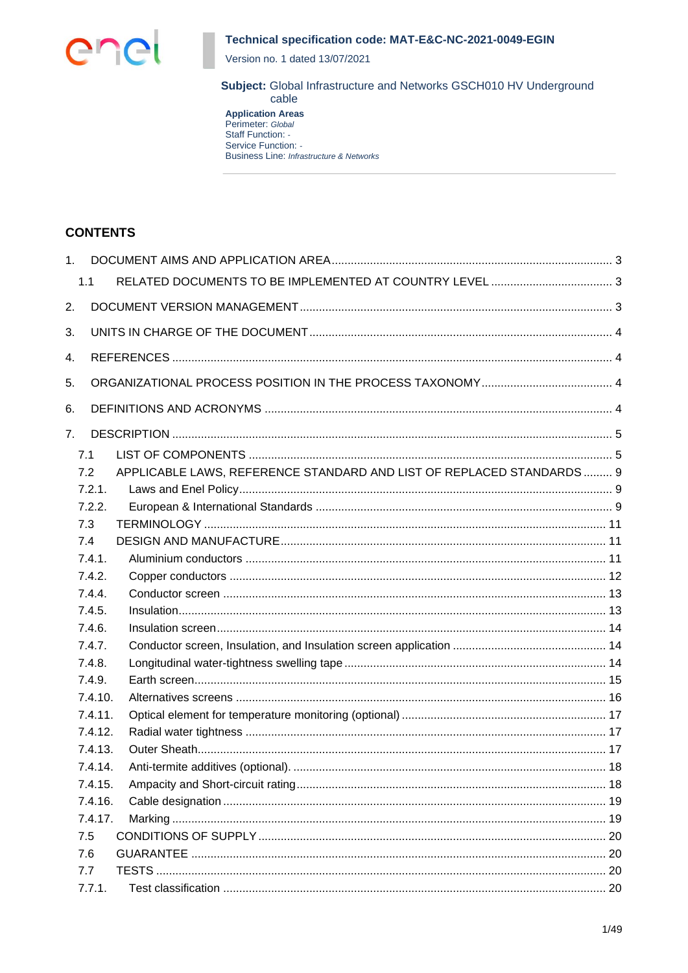

Version no. 1 dated 13/07/2021

Subject: Global Infrastructure and Networks GSCH010 HV Underground cable

**Application Areas** Perimeter: Global Staff Function: -Service Function: -**Business Line: Infrastructure & Networks** 

## **CONTENTS**

| 1. |         |                                                                       |  |
|----|---------|-----------------------------------------------------------------------|--|
|    | 1.1     |                                                                       |  |
| 2. |         |                                                                       |  |
| 3. |         |                                                                       |  |
| 4. |         |                                                                       |  |
| 5. |         |                                                                       |  |
|    |         |                                                                       |  |
| 6. |         |                                                                       |  |
| 7. |         |                                                                       |  |
|    | 7.1     |                                                                       |  |
|    | 7.2     | APPLICABLE LAWS, REFERENCE STANDARD AND LIST OF REPLACED STANDARDS  9 |  |
|    | 7.2.1.  |                                                                       |  |
|    | 7.2.2.  |                                                                       |  |
|    | 7.3     |                                                                       |  |
|    | 7.4     |                                                                       |  |
|    | 7.4.1.  |                                                                       |  |
|    | 7.4.2.  |                                                                       |  |
|    | 7.4.4.  |                                                                       |  |
|    | 7.4.5.  |                                                                       |  |
|    | 7.4.6.  |                                                                       |  |
|    | 7.4.7.  |                                                                       |  |
|    | 7.4.8.  |                                                                       |  |
|    | 7.4.9.  |                                                                       |  |
|    | 7.4.10. |                                                                       |  |
|    | 7.4.11. |                                                                       |  |
|    | 7.4.12. |                                                                       |  |
|    | 7.4.13. |                                                                       |  |
|    | 7.4.14. |                                                                       |  |
|    | 7.4.15. |                                                                       |  |
|    | 7.4.16. |                                                                       |  |
|    | 7.4.17. |                                                                       |  |
|    | 7.5     |                                                                       |  |
|    | 7.6     |                                                                       |  |
|    | 7.7     |                                                                       |  |
|    | 7.7.1.  |                                                                       |  |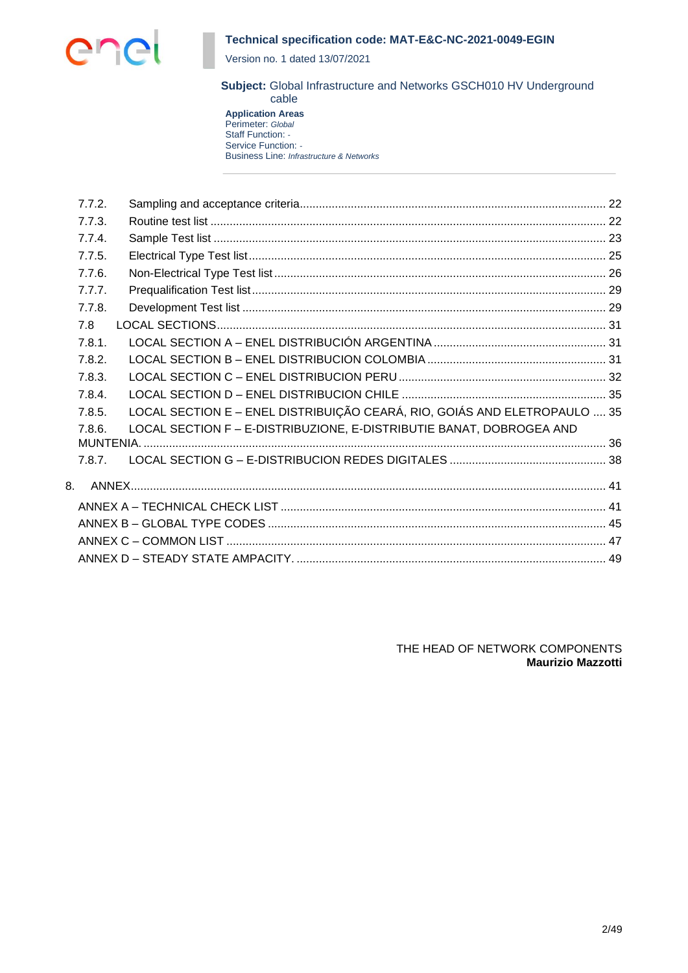

Version no. 1 dated 13/07/2021

**Subject:** Global Infrastructure and Networks GSCH010 HV Underground cable

**Application Areas** Perimeter: *Global* Staff Function: *-* Service Function: *-* Business Line: *Infrastructure & Networks*

|    | 7.7.2. |                                                                           |  |
|----|--------|---------------------------------------------------------------------------|--|
|    | 7.7.3. |                                                                           |  |
|    | 7.7.4. |                                                                           |  |
|    | 7.7.5. |                                                                           |  |
|    | 7.7.6. |                                                                           |  |
|    | 7.7.7. |                                                                           |  |
|    | 7.7.8. |                                                                           |  |
|    | 7.8    |                                                                           |  |
|    | 7.8.1. |                                                                           |  |
|    | 7.8.2. |                                                                           |  |
|    | 7.8.3. |                                                                           |  |
|    | 7.8.4. |                                                                           |  |
|    | 7.8.5. | LOCAL SECTION E - ENEL DISTRIBUIÇÃO CEARÁ, RIO, GOIÁS AND ELETROPAULO  35 |  |
|    | 7.8.6. | LOCAL SECTION F - E-DISTRIBUZIONE, E-DISTRIBUTIE BANAT, DOBROGEA AND      |  |
|    |        |                                                                           |  |
|    | 7.8.7. |                                                                           |  |
| 8. |        |                                                                           |  |
|    |        |                                                                           |  |
|    |        |                                                                           |  |
|    |        |                                                                           |  |
|    |        |                                                                           |  |
|    |        |                                                                           |  |

THE HEAD OF NETWORK COMPONENTS **Maurizio Mazzotti**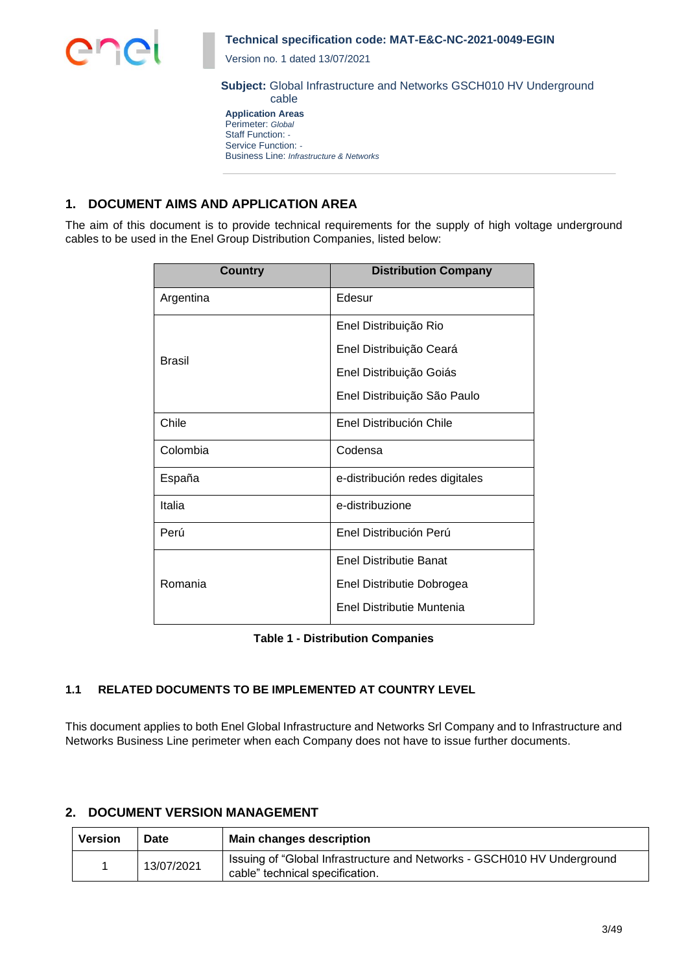

Version no. 1 dated 13/07/2021

**Subject:** Global Infrastructure and Networks GSCH010 HV Underground cable

**Application Areas** Perimeter: *Global* Staff Function: *-* Service Function: *-* Business Line: *Infrastructure & Networks*

# **1. DOCUMENT AIMS AND APPLICATION AREA**

The aim of this document is to provide technical requirements for the supply of high voltage underground cables to be used in the Enel Group Distribution Companies, listed below:

| <b>Country</b> | <b>Distribution Company</b>    |
|----------------|--------------------------------|
| Argentina      | Edesur                         |
|                | Enel Distribuição Rio          |
| Brasil         | Enel Distribuição Ceará        |
|                | Enel Distribuição Goiás        |
|                | Enel Distribuição São Paulo    |
| Chile          | Enel Distribución Chile        |
| Colombia       | Codensa                        |
| España         | e-distribución redes digitales |
| Italia         | e-distribuzione                |
| Perú           | Enel Distribución Perú         |
|                | <b>Enel Distributie Banat</b>  |
| Romania        | Enel Distributie Dobrogea      |
|                | Enel Distributie Muntenia      |

**Table 1 - Distribution Companies**

## **1.1 RELATED DOCUMENTS TO BE IMPLEMENTED AT COUNTRY LEVEL**

This document applies to both Enel Global Infrastructure and Networks Srl Company and to Infrastructure and Networks Business Line perimeter when each Company does not have to issue further documents.

## **2. DOCUMENT VERSION MANAGEMENT**

| Version | Date       | <b>Main changes description</b>                                                                            |
|---------|------------|------------------------------------------------------------------------------------------------------------|
|         | 13/07/2021 | Issuing of "Global Infrastructure and Networks - GSCH010 HV Underground<br>cable" technical specification. |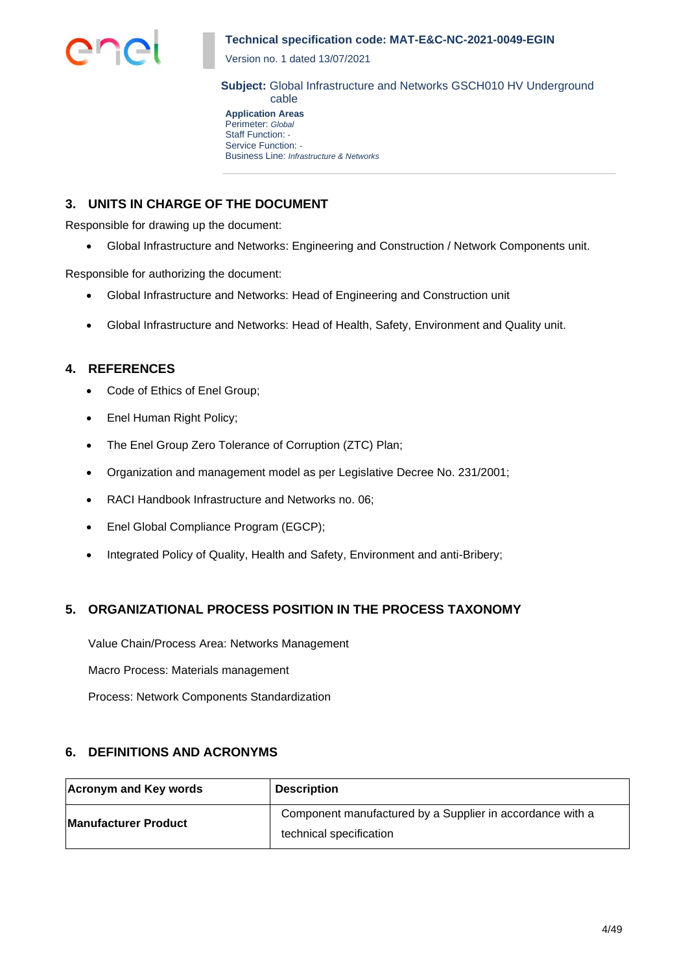

Version no. 1 dated 13/07/2021

**Subject:** Global Infrastructure and Networks GSCH010 HV Underground cable

**Application Areas** Perimeter: *Global* Staff Function: *-* Service Function: *-* Business Line: *Infrastructure & Networks*

# **3. UNITS IN CHARGE OF THE DOCUMENT**

Responsible for drawing up the document:

• Global Infrastructure and Networks: Engineering and Construction / Network Components unit.

Responsible for authorizing the document:

- Global Infrastructure and Networks: Head of Engineering and Construction unit
- Global Infrastructure and Networks: Head of Health, Safety, Environment and Quality unit.

## **4. REFERENCES**

- Code of Ethics of Enel Group;
- Enel Human Right Policy;
- The Enel Group Zero Tolerance of Corruption (ZTC) Plan;
- Organization and management model as per Legislative Decree No. 231/2001;
- RACI Handbook Infrastructure and Networks no. 06;
- Enel Global Compliance Program (EGCP);
- Integrated Policy of Quality, Health and Safety, Environment and anti-Bribery;

## **5. ORGANIZATIONAL PROCESS POSITION IN THE PROCESS TAXONOMY**

Value Chain/Process Area: Networks Management

Macro Process: Materials management

Process: Network Components Standardization

## **6. DEFINITIONS AND ACRONYMS**

| Acronym and Key words       | <b>Description</b>                                                                   |
|-----------------------------|--------------------------------------------------------------------------------------|
| <b>Manufacturer Product</b> | Component manufactured by a Supplier in accordance with a<br>technical specification |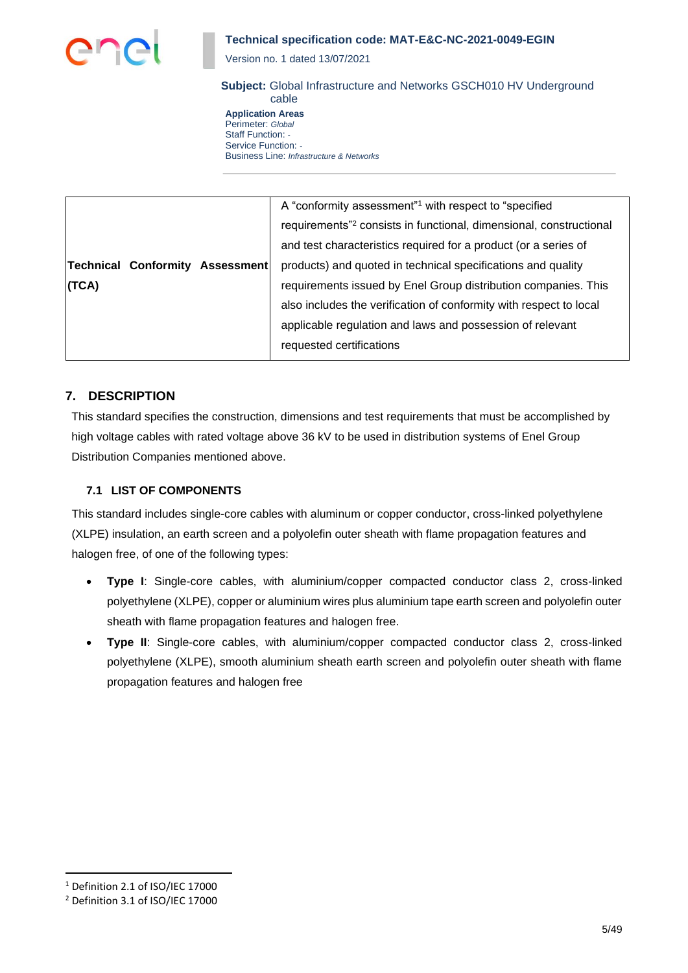

Version no. 1 dated 13/07/2021

# **Subject:** Global Infrastructure and Networks GSCH010 HV Underground

cable **Application Areas** Perimeter: *Global* Staff Function: *-* Service Function: *-* Business Line: *Infrastructure & Networks*

|                                 | A "conformity assessment" <sup>1</sup> with respect to "specified"             |
|---------------------------------|--------------------------------------------------------------------------------|
|                                 | requirements" <sup>2</sup> consists in functional, dimensional, constructional |
|                                 | and test characteristics required for a product (or a series of                |
| Technical Conformity Assessment | products) and quoted in technical specifications and quality                   |
| (TCA)                           | requirements issued by Enel Group distribution companies. This                 |
|                                 | also includes the verification of conformity with respect to local             |
|                                 | applicable regulation and laws and possession of relevant                      |
|                                 | requested certifications                                                       |
|                                 |                                                                                |

## **7. DESCRIPTION**

This standard specifies the construction, dimensions and test requirements that must be accomplished by high voltage cables with rated voltage above 36 kV to be used in distribution systems of Enel Group Distribution Companies mentioned above.

## **7.1 LIST OF COMPONENTS**

This standard includes single-core cables with aluminum or copper conductor, cross-linked polyethylene (XLPE) insulation, an earth screen and a polyolefin outer sheath with flame propagation features and halogen free, of one of the following types:

- **Type I**: Single-core cables, with aluminium/copper compacted conductor class 2, cross-linked polyethylene (XLPE), copper or aluminium wires plus aluminium tape earth screen and polyolefin outer sheath with flame propagation features and halogen free.
- **Type II**: Single-core cables, with aluminium/copper compacted conductor class 2, cross-linked polyethylene (XLPE), smooth aluminium sheath earth screen and polyolefin outer sheath with flame propagation features and halogen free

<sup>1</sup> Definition 2.1 of ISO/IEC 17000

<sup>2</sup> Definition 3.1 of ISO/IEC 17000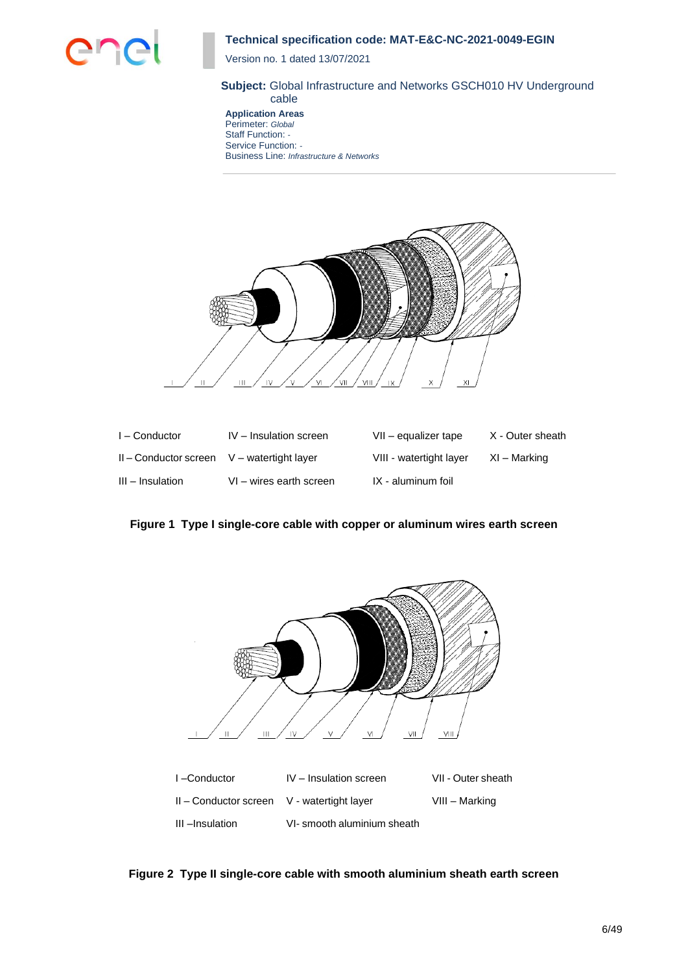

Version no. 1 dated 13/07/2021

#### **Subject:** Global Infrastructure and Networks GSCH010 HV Underground cable

**Application Areas** Perimeter: *Global* Staff Function: *-* Service Function: *-* Business Line: *Infrastructure & Networks*



| $I -$ Conductor                                | IV - Insulation screen  | VII - equalizer tape    | X - Outer sheath |
|------------------------------------------------|-------------------------|-------------------------|------------------|
| $II$ – Conductor screen $V$ – watertight layer |                         | VIII - watertight layer | XI – Marking     |
| III - Insulation                               | VI - wires earth screen | IX - aluminum foil      |                  |

**Figure 1 Type I single-core cable with copper or aluminum wires earth screen**



**Figure 2 Type II single-core cable with smooth aluminium sheath earth screen**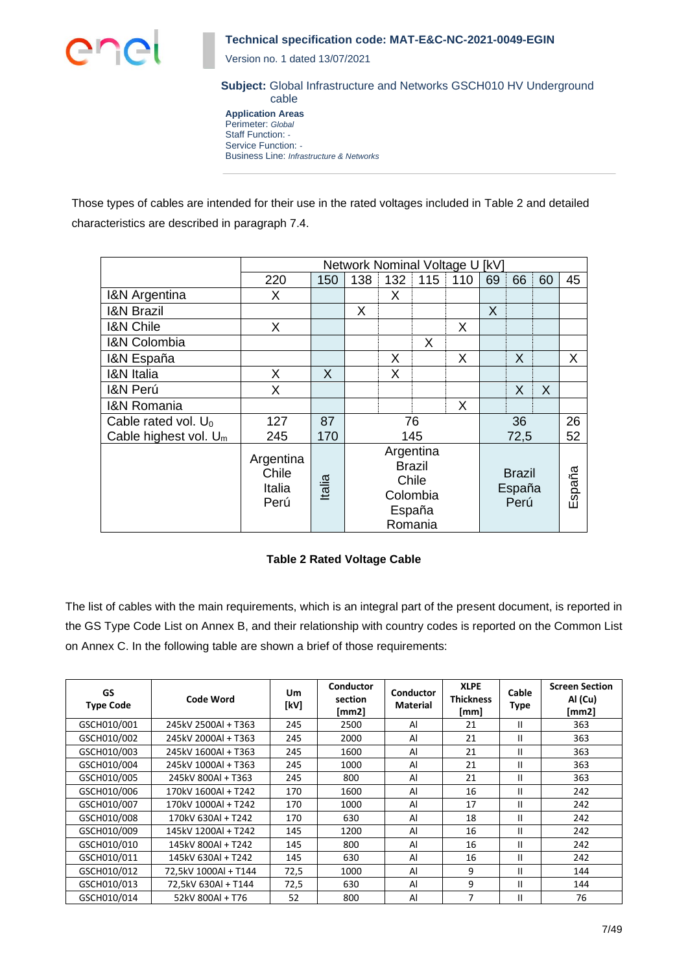

Version no. 1 dated 13/07/2021

**Subject:** Global Infrastructure and Networks GSCH010 HV Underground cable

**Application Areas** Perimeter: *Global* Staff Function: *-* Service Function: *-* Business Line: *Infrastructure & Networks*

Those types of cables are intended for their use in the rated voltages included in Table 2 and detailed characteristics are described in paragraph 7.4.

|                                 | Network Nominal Voltage U<br>[kV]    |        |                                                                      |     |                                 |     |    |        |    |    |
|---------------------------------|--------------------------------------|--------|----------------------------------------------------------------------|-----|---------------------------------|-----|----|--------|----|----|
|                                 | 220                                  | 150    | 138                                                                  | 132 | 115                             | 110 | 69 | 66     | 60 | 45 |
| <b>I&amp;N Argentina</b>        | X                                    |        |                                                                      | X   |                                 |     |    |        |    |    |
| <b>I&amp;N Brazil</b>           |                                      |        | X                                                                    |     |                                 |     | X  |        |    |    |
| <b>I&amp;N Chile</b>            | X                                    |        |                                                                      |     |                                 | X   |    |        |    |    |
| <b>I&amp;N Colombia</b>         |                                      |        |                                                                      |     | X                               |     |    |        |    |    |
| I&N España                      |                                      |        |                                                                      | X   |                                 | X   |    | X      |    | X  |
| <b>I&amp;N</b> Italia           | X                                    | X      |                                                                      | X   |                                 |     |    |        |    |    |
| I&N Perú                        | X                                    |        |                                                                      |     |                                 |     |    | X      | X  |    |
| <b>I&amp;N Romania</b>          |                                      |        |                                                                      |     |                                 | X   |    |        |    |    |
| Cable rated vol. U <sub>0</sub> | 127                                  | 87     |                                                                      | 76  |                                 |     |    | 36     |    | 26 |
| Cable highest vol. $U_m$        | 245                                  | 170    | 145<br>72,5                                                          |     |                                 |     | 52 |        |    |    |
|                                 | Argentina<br>Chile<br>Italia<br>Perú | Italia | Argentina<br><b>Brazil</b><br>Chile<br>Colombia<br>España<br>Romania |     | <b>Brazil</b><br>España<br>Perú |     |    | España |    |    |

## **Table 2 Rated Voltage Cable**

The list of cables with the main requirements, which is an integral part of the present document, is reported in the GS Type Code List on Annex B, and their relationship with country codes is reported on the Common List on Annex C. In the following table are shown a brief of those requirements:

| GS<br><b>Type Code</b> | <b>Code Word</b>     | <b>Um</b><br>[kV] | <b>Conductor</b><br>section<br>[mm2] | <b>Conductor</b><br><b>Material</b> | <b>XLPE</b><br><b>Thickness</b><br>[mm] | Cable<br>Type | <b>Screen Section</b><br>Al (Cu)<br>[mm2] |
|------------------------|----------------------|-------------------|--------------------------------------|-------------------------------------|-----------------------------------------|---------------|-------------------------------------------|
| GSCH010/001            | 245kV 2500Al + T363  | 245               | 2500                                 | Al                                  | 21                                      | Ш             | 363                                       |
| GSCH010/002            | 245kV 2000Al + T363  | 245               | 2000                                 | Al                                  | 21                                      | Ш             | 363                                       |
| GSCH010/003            | 245kV 1600Al + T363  | 245               | 1600                                 | Al                                  | 21                                      | Ш             | 363                                       |
| GSCH010/004            | 245kV 1000Al + T363  | 245               | 1000                                 | Al                                  | 21                                      | Ш             | 363                                       |
| GSCH010/005            | 245kV 800Al + T363   | 245               | 800                                  | Al                                  | 21                                      | Ш             | 363                                       |
| GSCH010/006            | 170kV 1600Al + T242  | 170               | 1600                                 | Al                                  | 16                                      | Ш             | 242                                       |
| GSCH010/007            | 170kV 1000Al + T242  | 170               | 1000                                 | Al                                  | 17                                      | Ш             | 242                                       |
| GSCH010/008            | 170kV 630Al + T242   | 170               | 630                                  | Al                                  | 18                                      | Ш             | 242                                       |
| GSCH010/009            | 145kV 1200Al + T242  | 145               | 1200                                 | Al                                  | 16                                      | Ш             | 242                                       |
| GSCH010/010            | 145kV 800Al + T242   | 145               | 800                                  | Al                                  | 16                                      | Ш             | 242                                       |
| GSCH010/011            | 145kV 630Al + T242   | 145               | 630                                  | Al                                  | 16                                      | Ш             | 242                                       |
| GSCH010/012            | 72,5kV 1000Al + T144 | 72,5              | 1000                                 | Al                                  | 9                                       | Ш             | 144                                       |
| GSCH010/013            | 72,5kV 630Al + T144  | 72,5              | 630                                  | Al                                  | 9                                       | Ш             | 144                                       |
| GSCH010/014            | 52kV 800AI + T76     | 52                | 800                                  | Al                                  | 7                                       | Ш             | 76                                        |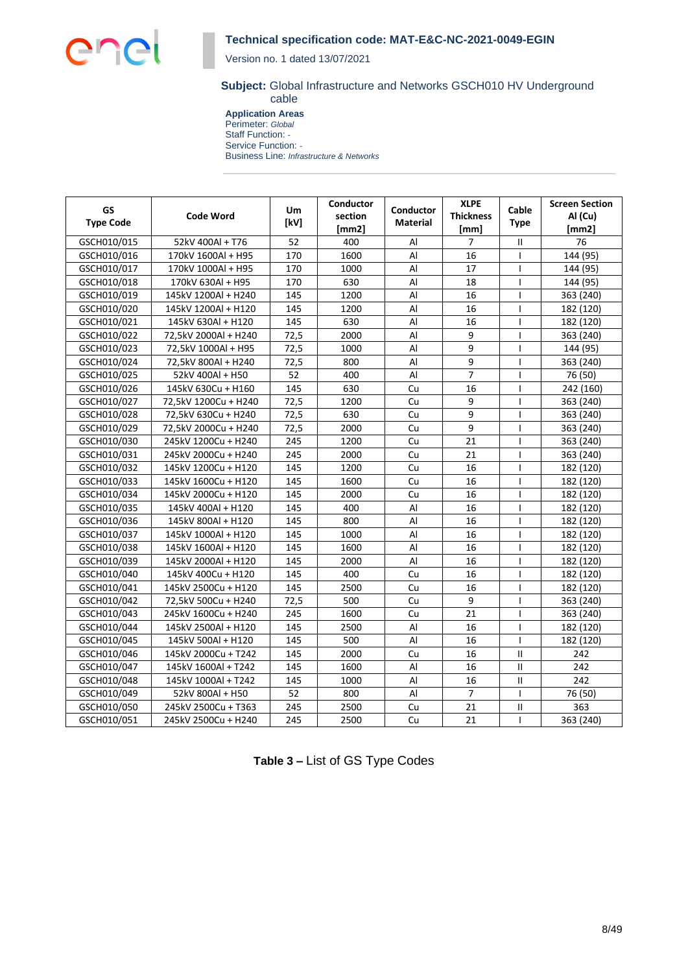Version no. 1 dated 13/07/2021

#### **Subject:** Global Infrastructure and Networks GSCH010 HV Underground cable

**Application Areas** Perimeter: *Global* Staff Function: *-* Service Function: *-* Business Line: *Infrastructure & Networks*

| GS<br><b>Type Code</b> | <b>Code Word</b>     | <b>Um</b><br>[kV] | Conductor<br>section<br>[mm2] | Conductor<br>Material | <b>XLPE</b><br><b>Thickness</b><br>[mm] | Cable<br><b>Type</b> | <b>Screen Section</b><br>Al (Cu)<br>[mm2] |
|------------------------|----------------------|-------------------|-------------------------------|-----------------------|-----------------------------------------|----------------------|-------------------------------------------|
| GSCH010/015            | 52kV 400Al + T76     | 52                | 400                           | Al                    | $\overline{7}$                          | $\mathbf{H}$         | 76                                        |
| GSCH010/016            | 170kV 1600Al + H95   | 170               | 1600                          | Al                    | 16                                      | $\mathbf{I}$         | 144 (95)                                  |
| GSCH010/017            | 170kV 1000Al + H95   | 170               | 1000                          | Al                    | 17                                      | $\mathbf{I}$         | 144 (95)                                  |
| GSCH010/018            | 170kV 630Al + H95    | 170               | 630                           | $\mathsf{Al}$         | 18                                      | $\overline{1}$       | 144 (95)                                  |
| GSCH010/019            | 145kV 1200Al + H240  | 145               | 1200                          | Al                    | 16                                      | T                    | 363 (240)                                 |
| GSCH010/020            | 145kV 1200Al + H120  | 145               | 1200                          | Al                    | 16                                      | I                    | 182 (120)                                 |
| GSCH010/021            | 145kV 630Al + H120   | 145               | 630                           | Al                    | 16                                      | T                    | 182 (120)                                 |
| GSCH010/022            | 72,5kV 2000Al + H240 | 72,5              | 2000                          | Al                    | 9                                       | I                    | 363 (240)                                 |
| GSCH010/023            | 72,5kV 1000Al + H95  | 72,5              | 1000                          | Al                    | 9                                       | ı                    | 144 (95)                                  |
| GSCH010/024            | 72,5kV 800Al + H240  | 72,5              | 800                           | Al                    | 9                                       | T                    | 363 (240)                                 |
| GSCH010/025            | 52kV 400Al + H50     | 52                | 400                           | Al                    | $\overline{7}$                          | $\mathbf{I}$         | 76 (50)                                   |
| GSCH010/026            | 145kV 630Cu + H160   | 145               | 630                           | Cu                    | 16                                      | $\mathbf{I}$         | 242 (160)                                 |
| GSCH010/027            | 72,5kV 1200Cu + H240 | 72,5              | 1200                          | Cu                    | 9                                       |                      | 363 (240)                                 |
| GSCH010/028            | 72,5kV 630Cu + H240  | 72,5              | 630                           | Cu                    | 9                                       | т                    | 363 (240)                                 |
| GSCH010/029            | 72,5kV 2000Cu + H240 | 72,5              | 2000                          | Cu                    | 9                                       | H                    | 363 (240)                                 |
| GSCH010/030            | 245kV 1200Cu + H240  | 245               | 1200                          | Cu                    | 21                                      | T                    | 363 (240)                                 |
| GSCH010/031            | 245kV 2000Cu + H240  | 245               | 2000                          | Cu                    | 21                                      | $\mathbf{I}$         | 363 (240)                                 |
| GSCH010/032            | 145kV 1200Cu + H120  | 145               | 1200                          | Cu                    | 16                                      | T                    | 182 (120)                                 |
| GSCH010/033            | 145kV 1600Cu + H120  | 145               | 1600                          | Cu                    | 16                                      | T                    | 182 (120)                                 |
| GSCH010/034            | 145kV 2000Cu + H120  | 145               | 2000                          | Cu                    | 16                                      | I                    | 182 (120)                                 |
| GSCH010/035            | 145kV 400Al + H120   | 145               | 400                           | Al                    | 16                                      | T                    | 182 (120)                                 |
| GSCH010/036            | 145kV 800Al + H120   | 145               | 800                           | Al                    | 16                                      |                      | 182 (120)                                 |
| GSCH010/037            | 145kV 1000Al + H120  | 145               | 1000                          | Al                    | 16                                      | T                    | 182 (120)                                 |
| GSCH010/038            | 145kV 1600Al + H120  | 145               | 1600                          | Al                    | 16                                      | $\mathbf{I}$         | 182 (120)                                 |
| GSCH010/039            | 145kV 2000Al + H120  | 145               | 2000                          | Al                    | 16                                      | $\mathbf{I}$         | 182 (120)                                 |
| GSCH010/040            | 145kV 400Cu + H120   | 145               | 400                           | Cu                    | 16                                      | $\mathbf{I}$         | 182 (120)                                 |
| GSCH010/041            | 145kV 2500Cu + H120  | 145               | 2500                          | Cu                    | 16                                      | ı                    | 182 (120)                                 |
| GSCH010/042            | 72,5kV 500Cu + H240  | 72,5              | 500                           | Cu                    | 9                                       | ı                    | 363 (240)                                 |
| GSCH010/043            | 245kV 1600Cu + H240  | 245               | 1600                          | Cu                    | 21                                      | T                    | 363 (240)                                 |
| GSCH010/044            | 145kV 2500Al + H120  | 145               | 2500                          | Al                    | 16                                      | T                    | 182 (120)                                 |
| GSCH010/045            | 145kV 500Al + H120   | 145               | 500                           | Al                    | 16                                      | $\mathbf{I}$         | 182 (120)                                 |
| GSCH010/046            | 145kV 2000Cu + T242  | 145               | 2000                          | Cu                    | 16                                      | П                    | 242                                       |
| GSCH010/047            | 145kV 1600Al + T242  | 145               | 1600                          | Al                    | 16                                      | $\mathbf{I}$         | 242                                       |
| GSCH010/048            | 145kV 1000Al + T242  | 145               | 1000                          | Al                    | 16                                      | Ш                    | 242                                       |
| GSCH010/049            | 52kV 800Al + H50     | 52                | 800                           | Al                    | $\overline{7}$                          | T                    | 76 (50)                                   |
| GSCH010/050            | 245kV 2500Cu + T363  | 245               | 2500                          | Cu                    | 21                                      | $\mathsf{II}$        | 363                                       |
| GSCH010/051            | 245kV 2500Cu + H240  | 245               | 2500                          | Cu                    | 21                                      | T                    | 363 (240)                                 |

| Table 3 - List of GS Type Codes |  |  |  |  |
|---------------------------------|--|--|--|--|
|---------------------------------|--|--|--|--|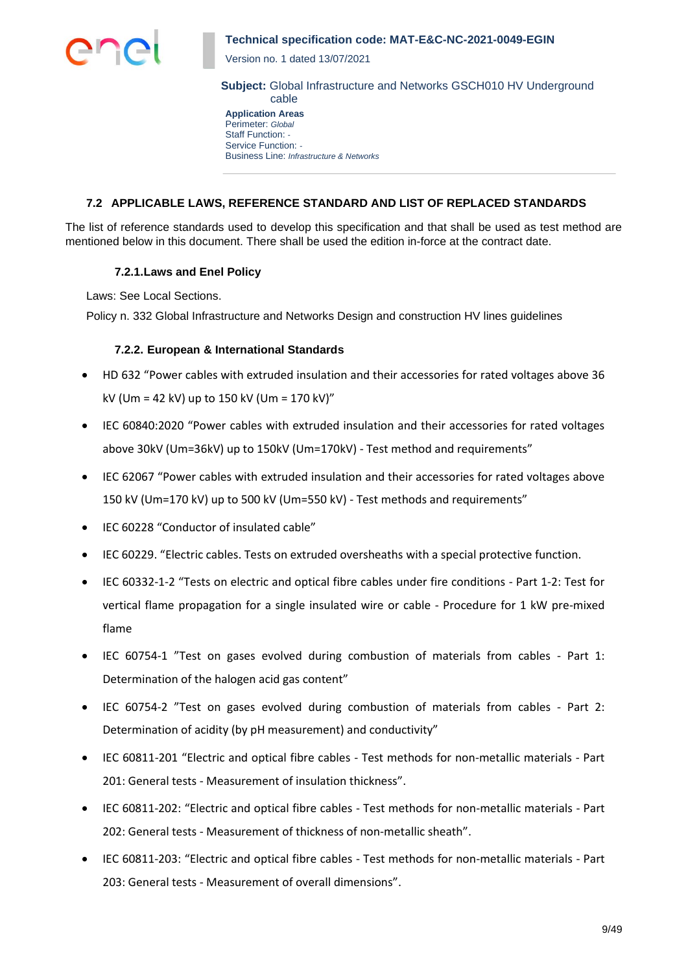

Version no. 1 dated 13/07/2021

**Subject:** Global Infrastructure and Networks GSCH010 HV Underground cable

**Application Areas** Perimeter: *Global* Staff Function: *-* Service Function: *-* Business Line: *Infrastructure & Networks*

## **7.2 APPLICABLE LAWS, REFERENCE STANDARD AND LIST OF REPLACED STANDARDS**

The list of reference standards used to develop this specification and that shall be used as test method are mentioned below in this document. There shall be used the edition in-force at the contract date.

### **7.2.1.Laws and Enel Policy**

Laws: See Local Sections.

Policy n. 332 Global Infrastructure and Networks Design and construction HV lines guidelines

## **7.2.2. European & International Standards**

- HD 632 "Power cables with extruded insulation and their accessories for rated voltages above 36 kV (Um = 42 kV) up to 150 kV (Um = 170 kV)"
- IEC 60840:2020 "Power cables with extruded insulation and their accessories for rated voltages above 30kV (Um=36kV) up to 150kV (Um=170kV) - Test method and requirements"
- IEC 62067 "Power cables with extruded insulation and their accessories for rated voltages above 150 kV (Um=170 kV) up to 500 kV (Um=550 kV) - Test methods and requirements"
- IEC 60228 "Conductor of insulated cable"
- IEC 60229. "Electric cables. Tests on extruded oversheaths with a special protective function.
- IEC 60332-1-2 "Tests on electric and optical fibre cables under fire conditions Part 1-2: Test for vertical flame propagation for a single insulated wire or cable - Procedure for 1 kW pre-mixed flame
- IEC 60754-1 "Test on gases evolved during combustion of materials from cables Part 1: Determination of the halogen acid gas content"
- IEC 60754-2 "Test on gases evolved during combustion of materials from cables Part 2: Determination of acidity (by pH measurement) and conductivity"
- IEC 60811-201 "Electric and optical fibre cables Test methods for non-metallic materials Part 201: General tests - Measurement of insulation thickness".
- IEC 60811-202: "Electric and optical fibre cables Test methods for non-metallic materials Part 202: General tests - Measurement of thickness of non-metallic sheath".
- IEC 60811-203: "Electric and optical fibre cables Test methods for non-metallic materials Part 203: General tests - Measurement of overall dimensions".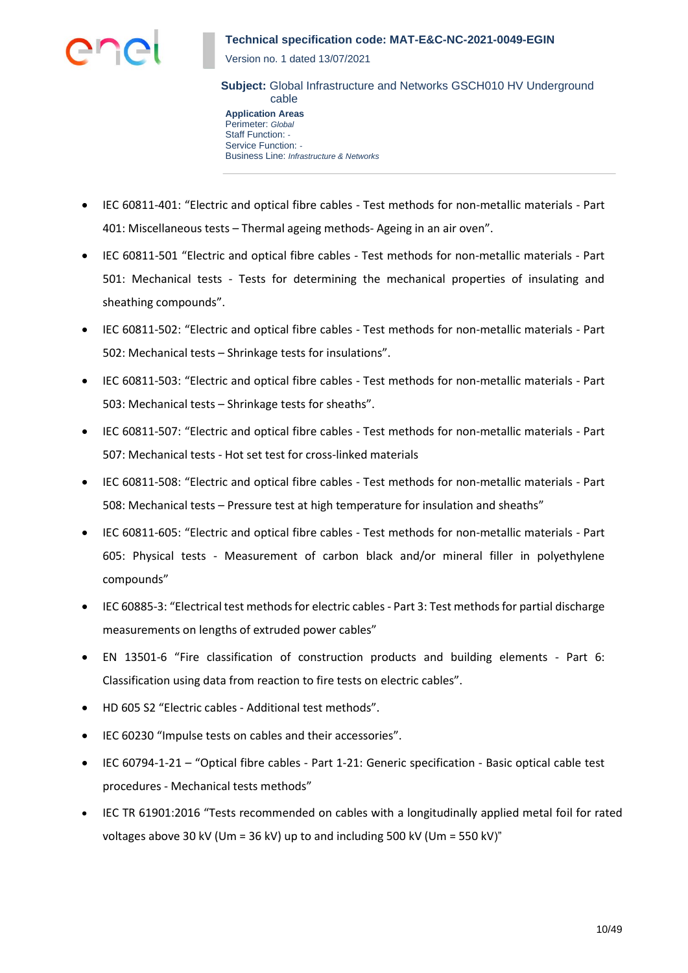

Version no. 1 dated 13/07/2021

**Subject:** Global Infrastructure and Networks GSCH010 HV Underground cable

**Application Areas** Perimeter: *Global* Staff Function: *-* Service Function: *-* Business Line: *Infrastructure & Networks*

- IEC 60811-401: "Electric and optical fibre cables Test methods for non-metallic materials Part 401: Miscellaneous tests – Thermal ageing methods- Ageing in an air oven".
- IEC 60811-501 "Electric and optical fibre cables Test methods for non-metallic materials Part 501: Mechanical tests - Tests for determining the mechanical properties of insulating and sheathing compounds".
- IEC 60811-502: "Electric and optical fibre cables Test methods for non-metallic materials Part 502: Mechanical tests – Shrinkage tests for insulations".
- IEC 60811-503: "Electric and optical fibre cables Test methods for non-metallic materials Part 503: Mechanical tests – Shrinkage tests for sheaths".
- IEC 60811-507: "Electric and optical fibre cables Test methods for non-metallic materials Part 507: Mechanical tests - Hot set test for cross-linked materials
- IEC 60811-508: "Electric and optical fibre cables Test methods for non-metallic materials Part 508: Mechanical tests – Pressure test at high temperature for insulation and sheaths"
- IEC 60811-605: "Electric and optical fibre cables Test methods for non-metallic materials Part 605: Physical tests - Measurement of carbon black and/or mineral filler in polyethylene compounds"
- IEC 60885-3: "Electrical test methods for electric cables Part 3: Test methods for partial discharge measurements on lengths of extruded power cables"
- [EN 13501-6](https://www.aenor.es/aenor/normas/normas/fichanorma.asp?tipo=N&codigo=N0054725&PDF=Si) "Fire classification of construction products and building elements Part 6: Classification using data from reaction to fire tests on electric cables".
- HD 605 S2 "Electric cables Additional test methods".
- IEC 60230 "Impulse tests on cables and their accessories".
- IEC 60794-1-21 "Optical fibre cables Part 1-21: Generic specification Basic optical cable test procedures - Mechanical tests methods"
- IEC TR 61901:2016 "Tests recommended on cables with a longitudinally applied metal foil for rated voltages above 30 kV (Um = 36 kV) up to and including 500 kV (Um = 550 kV)"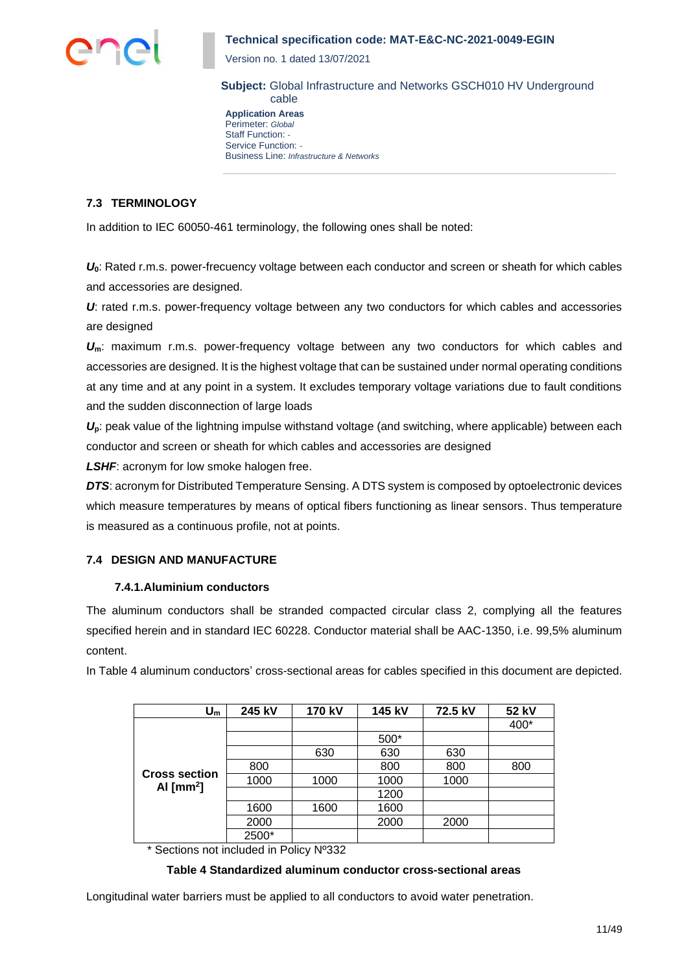

Version no. 1 dated 13/07/2021

**Subject:** Global Infrastructure and Networks GSCH010 HV Underground cable

**Application Areas** Perimeter: *Global* Staff Function: *-* Service Function: *-* Business Line: *Infrastructure & Networks*

## **7.3 TERMINOLOGY**

In addition to IEC 60050-461 terminology, the following ones shall be noted:

*U***0**: Rated r.m.s. power-frecuency voltage between each conductor and screen or sheath for which cables and accessories are designed.

*U*: rated r.m.s. power-frequency voltage between any two conductors for which cables and accessories are designed

*U***m**: maximum r.m.s. power-frequency voltage between any two conductors for which cables and accessories are designed. It is the highest voltage that can be sustained under normal operating conditions at any time and at any point in a system. It excludes temporary voltage variations due to fault conditions and the sudden disconnection of large loads

*U***p**: peak value of the lightning impulse withstand voltage (and switching, where applicable) between each conductor and screen or sheath for which cables and accessories are designed

*LSHF*: acronym for low smoke halogen free.

**DTS:** acronym for Distributed Temperature Sensing. A DTS system is composed by optoelectronic devices which measure temperatures by means of optical fibers functioning as linear sensors. Thus temperature is measured as a continuous profile, not at points.

## **7.4 DESIGN AND MANUFACTURE**

## **7.4.1.Aluminium conductors**

The aluminum conductors shall be stranded compacted circular class 2, complying all the features specified herein and in standard IEC 60228. Conductor material shall be AAC-1350, i.e. 99,5% aluminum content.

In Table 4 aluminum conductors' cross-sectional areas for cables specified in this document are depicted.

| $\mathsf{U}_{\mathsf{m}}$                | 245 kV | 170 kV | 145 kV | 72.5 kV | 52 kV |
|------------------------------------------|--------|--------|--------|---------|-------|
|                                          |        |        |        |         | 400*  |
|                                          |        |        | 500*   |         |       |
|                                          |        | 630    | 630    | 630     |       |
|                                          | 800    |        | 800    | 800     | 800   |
| <b>Cross section</b><br>Al $\text{[mm]}$ | 1000   | 1000   | 1000   | 1000    |       |
|                                          |        |        | 1200   |         |       |
|                                          | 1600   | 1600   | 1600   |         |       |
|                                          | 2000   |        | 2000   | 2000    |       |
|                                          | 2500*  |        |        |         |       |

\* Sections not included in Policy Nº332

## **Table 4 Standardized aluminum conductor cross-sectional areas**

Longitudinal water barriers must be applied to all conductors to avoid water penetration.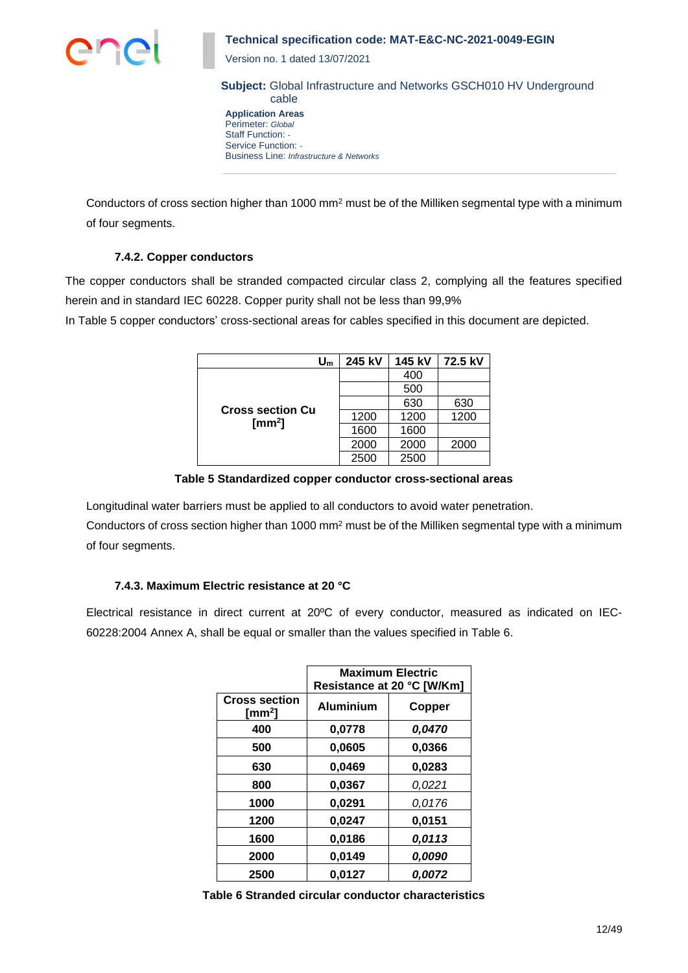

Version no. 1 dated 13/07/2021

**Subject:** Global Infrastructure and Networks GSCH010 HV Underground cable

**Application Areas** Perimeter: *Global* Staff Function: *-* Service Function: *-* Business Line: *Infrastructure & Networks*

Conductors of cross section higher than 1000 mm<sup>2</sup> must be of the Milliken segmental type with a minimum of four segments.

## **7.4.2. Copper conductors**

The copper conductors shall be stranded compacted circular class 2, complying all the features specified herein and in standard IEC 60228. Copper purity shall not be less than 99,9%

In Table 5 copper conductors' cross-sectional areas for cables specified in this document are depicted.

| $\mathsf{U}_\mathsf{m}$                   | 245 kV | 145 kV | 72.5 kV |
|-------------------------------------------|--------|--------|---------|
|                                           |        | 400    |         |
|                                           |        | 500    |         |
|                                           |        | 630    | 630     |
| <b>Cross section Cu</b><br>$\text{[mm}^2$ | 1200   | 1200   | 1200    |
|                                           | 1600   | 1600   |         |
|                                           | 2000   | 2000   | 2000    |
|                                           | 2500   | 2500   |         |

**Table 5 Standardized copper conductor cross-sectional areas**

Longitudinal water barriers must be applied to all conductors to avoid water penetration.

Conductors of cross section higher than 1000 mm<sup>2</sup> must be of the Milliken segmental type with a minimum of four segments.

## **7.4.3. Maximum Electric resistance at 20 °C**

Electrical resistance in direct current at 20ºC of every conductor, measured as indicated on IEC-60228:2004 Annex A, shall be equal or smaller than the values specified in Table 6.

|                               | <b>Maximum Electric</b><br>Resistance at 20 °C [W/Km] |        |  |
|-------------------------------|-------------------------------------------------------|--------|--|
| <b>Cross section</b><br>[mm²] | <b>Aluminium</b>                                      | Copper |  |
| 400                           | 0,0778                                                | 0,0470 |  |
| 500                           | 0,0605                                                | 0,0366 |  |
| 630                           | 0,0469                                                | 0,0283 |  |
| 800                           | 0,0367                                                | 0,0221 |  |
| 1000                          | 0,0291                                                | 0,0176 |  |
| 1200                          | 0,0247                                                | 0,0151 |  |
| 1600                          | 0,0186                                                | 0,0113 |  |
| 2000                          | 0,0149                                                | 0.0090 |  |
| 2500                          | 0,0127                                                | 0.0072 |  |

**Table 6 Stranded circular conductor characteristics**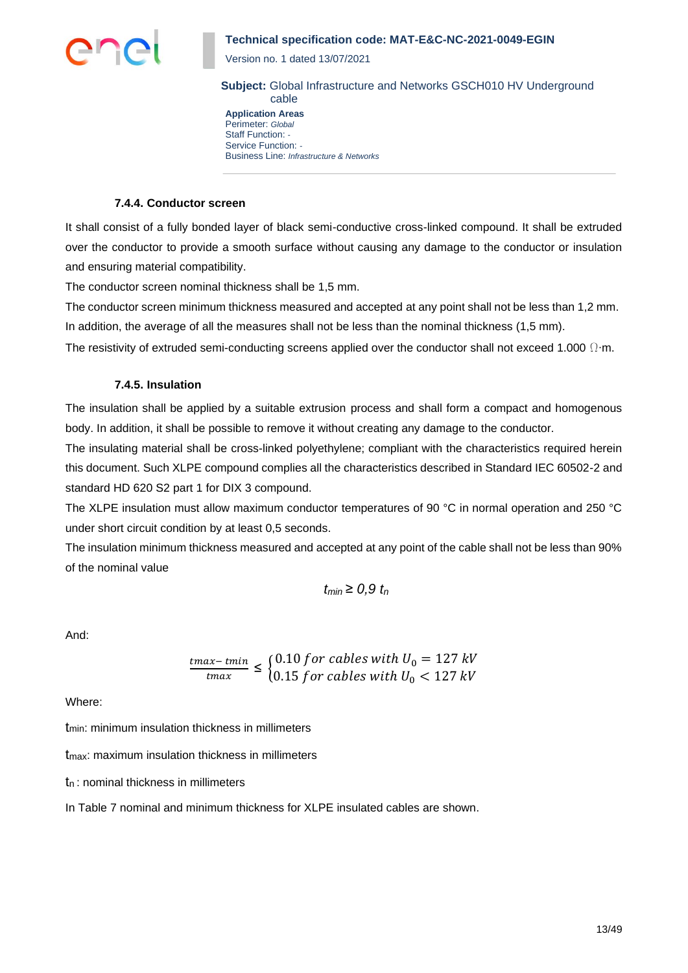

Version no. 1 dated 13/07/2021

**Subject:** Global Infrastructure and Networks GSCH010 HV Underground cable

**Application Areas** Perimeter: *Global* Staff Function: *-* Service Function: *-* Business Line: *Infrastructure & Networks*

#### **7.4.4. Conductor screen**

It shall consist of a fully bonded layer of black semi-conductive cross-linked compound. It shall be extruded over the conductor to provide a smooth surface without causing any damage to the conductor or insulation and ensuring material compatibility.

The conductor screen nominal thickness shall be 1,5 mm.

The conductor screen minimum thickness measured and accepted at any point shall not be less than 1,2 mm. In addition, the average of all the measures shall not be less than the nominal thickness (1,5 mm).

The resistivity of extruded semi-conducting screens applied over the conductor shall not exceed 1.000  $\Omega$ ⋅m.

#### **7.4.5. Insulation**

The insulation shall be applied by a suitable extrusion process and shall form a compact and homogenous body. In addition, it shall be possible to remove it without creating any damage to the conductor.

The insulating material shall be cross-linked polyethylene; compliant with the characteristics required herein this document. Such XLPE compound complies all the characteristics described in Standard IEC 60502-2 and standard HD 620 S2 part 1 for DIX 3 compound.

The XLPE insulation must allow maximum conductor temperatures of 90 °C in normal operation and 250 °C under short circuit condition by at least 0,5 seconds.

The insulation minimum thickness measured and accepted at any point of the cable shall not be less than 90% of the nominal value

$$
t_{min} \geq 0.9 t_n
$$

And:

$$
\frac{tmax - tmin}{tmax} \leq \begin{cases} 0.10 \, \text{for cables with } U_0 = 127 \, \text{kV} \\ 0.15 \, \text{for cables with } U_0 < 127 \, \text{kV} \end{cases}
$$

Where:

tmin: minimum insulation thickness in millimeters

tmax: maximum insulation thickness in millimeters

t<sup>n</sup> : nominal thickness in millimeters

In Table 7 nominal and minimum thickness for XLPE insulated cables are shown.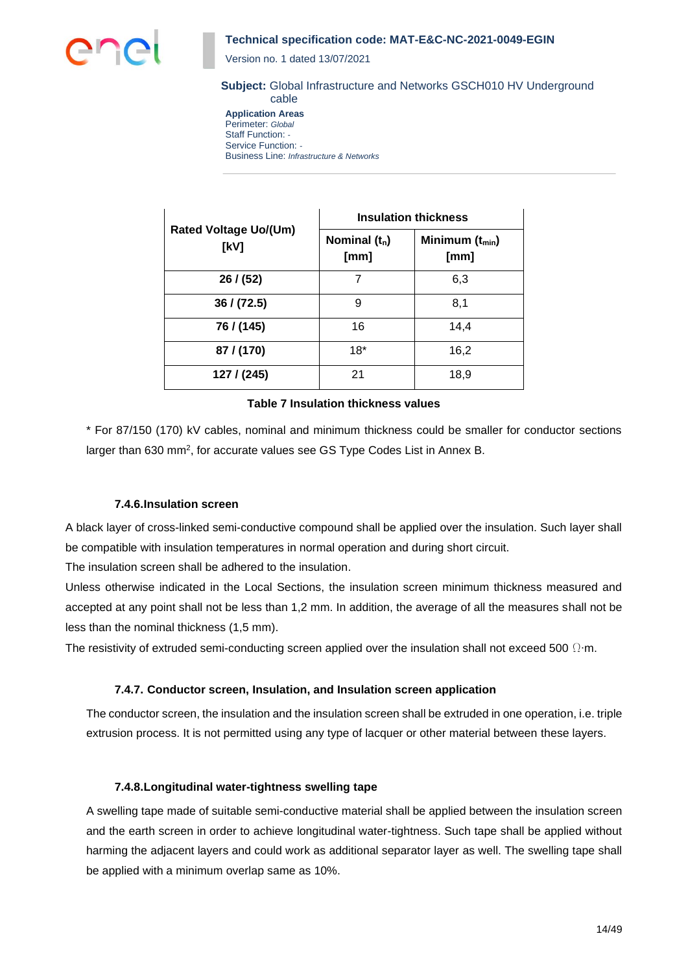

Version no. 1 dated 13/07/2021

#### **Subject:** Global Infrastructure and Networks GSCH010 HV Underground cable

**Application Areas** Perimeter: *Global* Staff Function: *-* Service Function: *-* Business Line: *Infrastructure & Networks*

|                                      | <b>Insulation thickness</b> |                             |  |
|--------------------------------------|-----------------------------|-----------------------------|--|
| <b>Rated Voltage Uo/(Um)</b><br>[kV] | Nominal $(t_n)$<br>[mm]     | Minimum $(t_{min})$<br>[mm] |  |
| 26/ (52)                             | 7                           | 6,3                         |  |
| 36 / (72.5)                          | 9                           | 8,1                         |  |
| 76 / (145)                           | 16                          | 14,4                        |  |
| 87 / (170)                           | $18*$                       | 16,2                        |  |
| 127/ (245)                           | 21                          | 18,9                        |  |

### **Table 7 Insulation thickness values**

\* For 87/150 (170) kV cables, nominal and minimum thickness could be smaller for conductor sections larger than 630 mm<sup>2</sup>, for accurate values see GS Type Codes List in Annex B.

#### **7.4.6.Insulation screen**

A black layer of cross-linked semi-conductive compound shall be applied over the insulation. Such layer shall be compatible with insulation temperatures in normal operation and during short circuit.

The insulation screen shall be adhered to the insulation.

Unless otherwise indicated in the Local Sections, the insulation screen minimum thickness measured and accepted at any point shall not be less than 1,2 mm. In addition, the average of all the measures shall not be less than the nominal thickness (1,5 mm).

The resistivity of extruded semi-conducting screen applied over the insulation shall not exceed 500  $\Omega$ ⋅m.

## **7.4.7. Conductor screen, Insulation, and Insulation screen application**

The conductor screen, the insulation and the insulation screen shall be extruded in one operation, i.e. triple extrusion process. It is not permitted using any type of lacquer or other material between these layers.

## **7.4.8.Longitudinal water-tightness swelling tape**

A swelling tape made of suitable semi-conductive material shall be applied between the insulation screen and the earth screen in order to achieve longitudinal water-tightness. Such tape shall be applied without harming the adjacent layers and could work as additional separator layer as well. The swelling tape shall be applied with a minimum overlap same as 10%.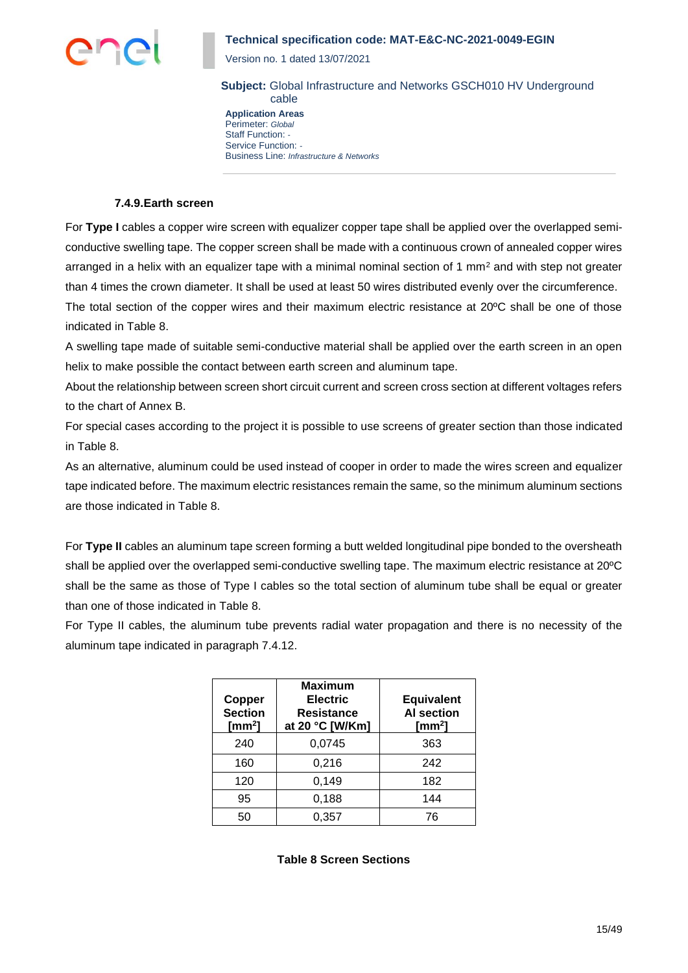

indicated in Table 8.

## **Technical specification code: MAT-E&C-NC-2021-0049-EGIN**

Version no. 1 dated 13/07/2021

**Subject:** Global Infrastructure and Networks GSCH010 HV Underground cable

**Application Areas** Perimeter: *Global* Staff Function: *-* Service Function: *-* Business Line: *Infrastructure & Networks*

#### **7.4.9.Earth screen**

For **Type I** cables a copper wire screen with equalizer copper tape shall be applied over the overlapped semiconductive swelling tape. The copper screen shall be made with a continuous crown of annealed copper wires arranged in a helix with an equalizer tape with a minimal nominal section of 1 mm<sup>2</sup> and with step not greater than 4 times the crown diameter. It shall be used at least 50 wires distributed evenly over the circumference. The total section of the copper wires and their maximum electric resistance at 20ºC shall be one of those

A swelling tape made of suitable semi-conductive material shall be applied over the earth screen in an open helix to make possible the contact between earth screen and aluminum tape.

About the relationship between screen short circuit current and screen cross section at different voltages refers to the chart of Annex B.

For special cases according to the project it is possible to use screens of greater section than those indicated in Table 8.

As an alternative, aluminum could be used instead of cooper in order to made the wires screen and equalizer tape indicated before. The maximum electric resistances remain the same, so the minimum aluminum sections are those indicated in Table 8.

For **Type II** cables an aluminum tape screen forming a butt welded longitudinal pipe bonded to the oversheath shall be applied over the overlapped semi-conductive swelling tape. The maximum electric resistance at 20ºC shall be the same as those of Type I cables so the total section of aluminum tube shall be equal or greater than one of those indicated in Table 8.

For Type II cables, the aluminum tube prevents radial water propagation and there is no necessity of the aluminum tape indicated in paragraph 7.4.12.

| Copper<br><b>Section</b><br>[ $mm2$ ] | <b>Maximum</b><br><b>Electric</b><br>Resistance<br>at 20 °C [W/Km] | <b>Equivalent</b><br><b>AI</b> section<br>[mm <sup>2</sup> ] |
|---------------------------------------|--------------------------------------------------------------------|--------------------------------------------------------------|
| 240                                   | 0,0745                                                             | 363                                                          |
| 160                                   | 0,216                                                              | 242                                                          |
| 120                                   | 0,149                                                              | 182                                                          |
| 95                                    | 0,188                                                              | 144                                                          |
| 50                                    | 0,357                                                              | 76                                                           |

**Table 8 Screen Sections**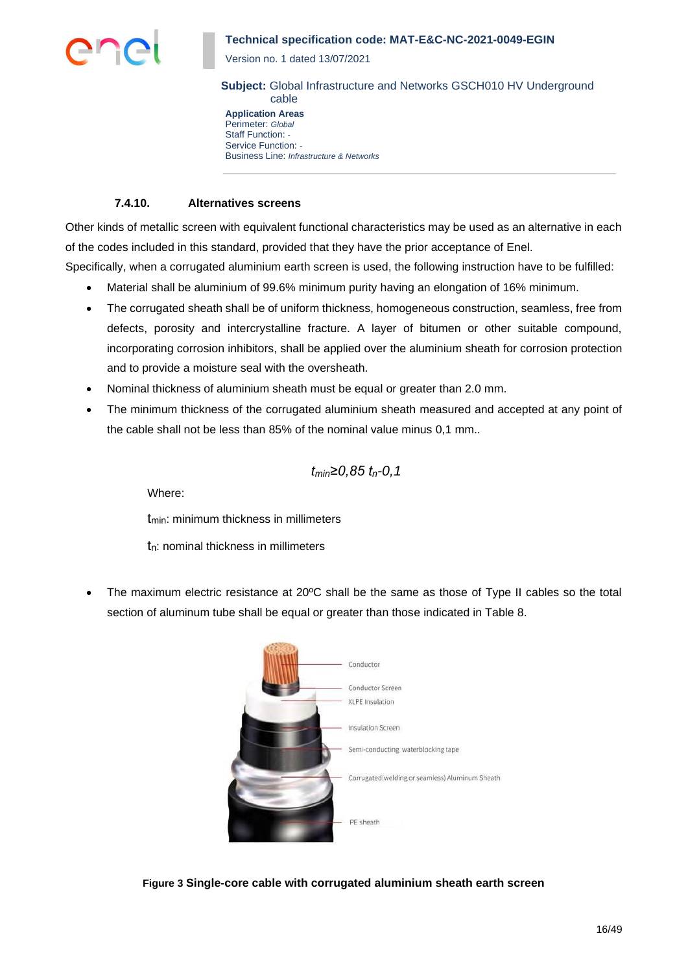

Version no. 1 dated 13/07/2021

**Subject:** Global Infrastructure and Networks GSCH010 HV Underground cable

**Application Areas** Perimeter: *Global* Staff Function: *-* Service Function: *-* Business Line: *Infrastructure & Networks*

## **7.4.10. Alternatives screens**

Other kinds of metallic screen with equivalent functional characteristics may be used as an alternative in each of the codes included in this standard, provided that they have the prior acceptance of Enel. Specifically, when a corrugated aluminium earth screen is used, the following instruction have to be fulfilled:

- Material shall be aluminium of 99.6% minimum purity having an elongation of 16% minimum.
- The corrugated sheath shall be of uniform thickness, homogeneous construction, seamless, free from defects, porosity and intercrystalline fracture. A layer of bitumen or other suitable compound, incorporating corrosion inhibitors, shall be applied over the aluminium sheath for corrosion protection and to provide a moisture seal with the oversheath.
- Nominal thickness of aluminium sheath must be equal or greater than 2.0 mm.
- The minimum thickness of the corrugated aluminium sheath measured and accepted at any point of the cable shall not be less than 85% of the nominal value minus 0,1 mm..

$$
t_{min} \ge 0.85 t_n - 0.1
$$

Where:

t<sub>min</sub>: minimum thickness in millimeters

tn: nominal thickness in millimeters

• The maximum electric resistance at 20°C shall be the same as those of Type II cables so the total section of aluminum tube shall be equal or greater than those indicated in Table 8.



**Figure 3 Single-core cable with corrugated aluminium sheath earth screen**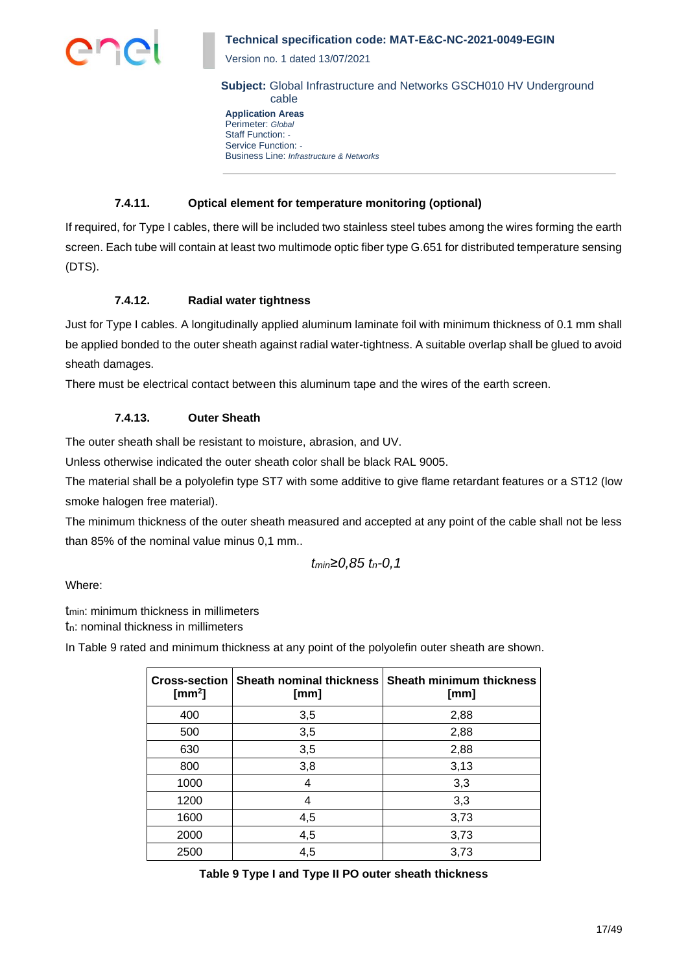

Version no. 1 dated 13/07/2021

**Subject:** Global Infrastructure and Networks GSCH010 HV Underground cable

**Application Areas** Perimeter: *Global* Staff Function: *-* Service Function: *-* Business Line: *Infrastructure & Networks*

## **7.4.11. Optical element for temperature monitoring (optional)**

If required, for Type I cables, there will be included two stainless steel tubes among the wires forming the earth screen. Each tube will contain at least two multimode optic fiber type G.651 for distributed temperature sensing (DTS).

## **7.4.12. Radial water tightness**

Just for Type I cables. A longitudinally applied aluminum laminate foil with minimum thickness of 0.1 mm shall be applied bonded to the outer sheath against radial water-tightness. A suitable overlap shall be glued to avoid sheath damages.

There must be electrical contact between this aluminum tape and the wires of the earth screen.

## **7.4.13. Outer Sheath**

The outer sheath shall be resistant to moisture, abrasion, and UV.

Unless otherwise indicated the outer sheath color shall be black RAL 9005.

The material shall be a polyolefin type ST7 with some additive to give flame retardant features or a ST12 (low smoke halogen free material).

The minimum thickness of the outer sheath measured and accepted at any point of the cable shall not be less than 85% of the nominal value minus 0,1 mm..

$$
t_{min}{\geq}0.85~t_n{\text -}0.1
$$

Where:

tmin: minimum thickness in millimeters

tn: nominal thickness in millimeters

In Table 9 rated and minimum thickness at any point of the polyolefin outer sheath are shown.

| <b>Cross-section</b><br>[ $mm2$ ] | <b>Sheath nominal thickness</b><br>[mm] | <b>Sheath minimum thickness</b><br>[mm] |
|-----------------------------------|-----------------------------------------|-----------------------------------------|
| 400                               | 3,5                                     | 2,88                                    |
| 500                               | 3,5                                     | 2,88                                    |
| 630                               | 3,5                                     | 2,88                                    |
| 800                               | 3,8                                     | 3,13                                    |
| 1000                              | 4                                       | 3,3                                     |
| 1200                              | 4                                       | 3,3                                     |
| 1600                              | 4,5                                     | 3,73                                    |
| 2000                              | 4,5                                     | 3,73                                    |
| 2500                              | 4,5                                     | 3,73                                    |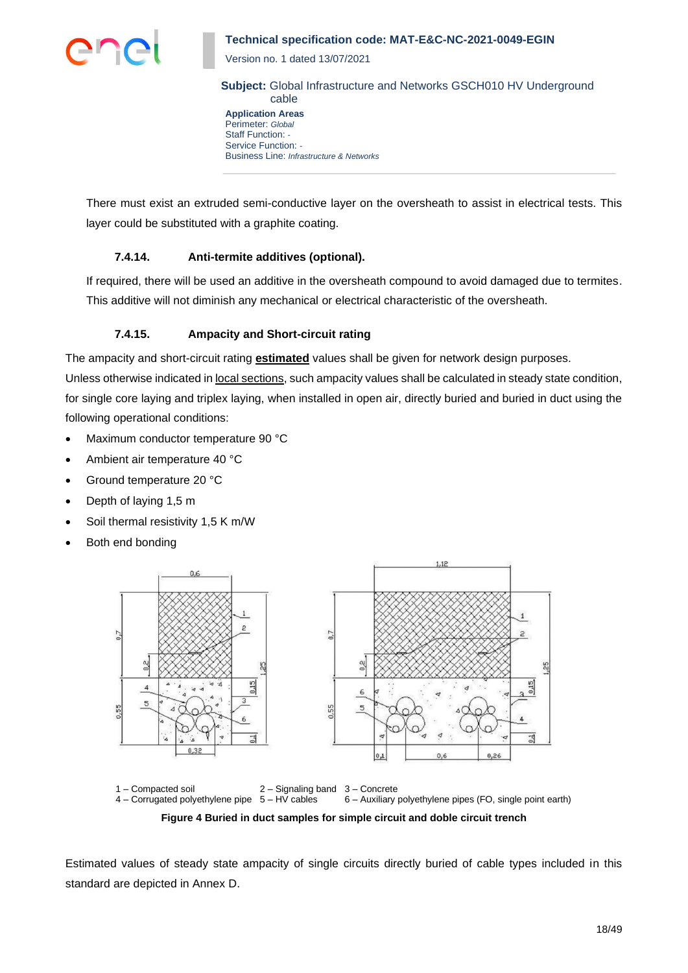

Version no. 1 dated 13/07/2021

**Subject:** Global Infrastructure and Networks GSCH010 HV Underground cable

**Application Areas** Perimeter: *Global* Staff Function: *-* Service Function: *-* Business Line: *Infrastructure & Networks*

There must exist an extruded semi-conductive layer on the oversheath to assist in electrical tests. This layer could be substituted with a graphite coating.

## **7.4.14. Anti-termite additives (optional).**

If required, there will be used an additive in the oversheath compound to avoid damaged due to termites. This additive will not diminish any mechanical or electrical characteristic of the oversheath.

## **7.4.15. Ampacity and Short-circuit rating**

The ampacity and short-circuit rating **estimated** values shall be given for network design purposes.

Unless otherwise indicated in local sections, such ampacity values shall be calculated in steady state condition, for single core laying and triplex laying, when installed in open air, directly buried and buried in duct using the following operational conditions:

- Maximum conductor temperature 90 °C
- Ambient air temperature 40 °C
- Ground temperature 20 °C
- Depth of laying 1,5 m
- Soil thermal resistivity 1,5 K m/W
- Both end bonding





**Figure 4 Buried in duct samples for simple circuit and doble circuit trench**

Estimated values of steady state ampacity of single circuits directly buried of cable types included in this standard are depicted in Annex D.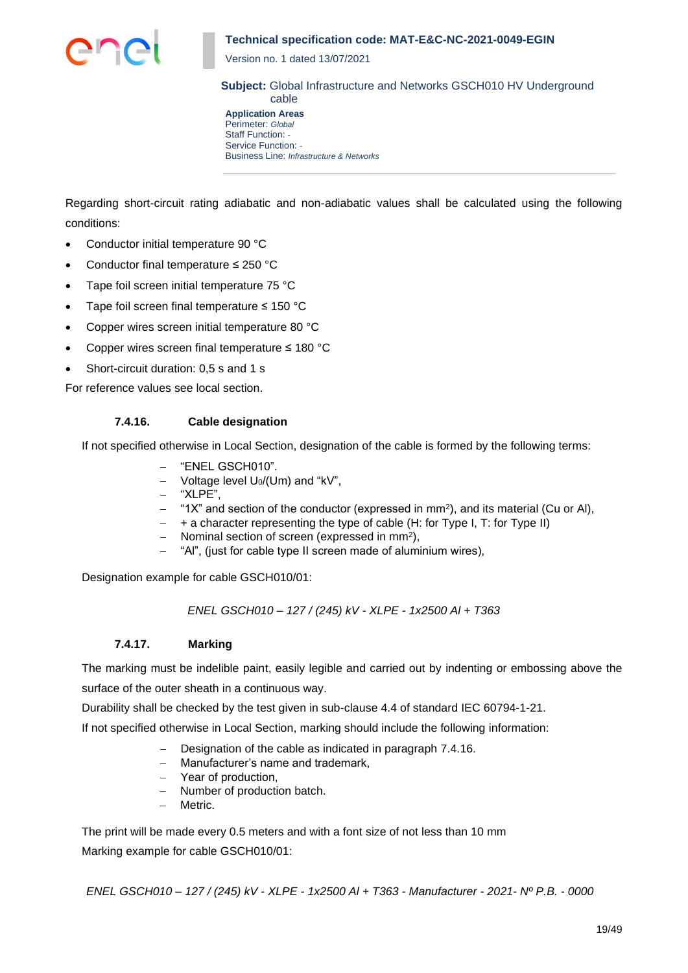

Version no. 1 dated 13/07/2021

**Subject:** Global Infrastructure and Networks GSCH010 HV Underground cable

**Application Areas** Perimeter: *Global* Staff Function: *-* Service Function: *-* Business Line: *Infrastructure & Networks*

Regarding short-circuit rating adiabatic and non-adiabatic values shall be calculated using the following conditions:

- Conductor initial temperature 90 °C
- Conductor final temperature ≤ 250 °C
- Tape foil screen initial temperature 75 °C
- Tape foil screen final temperature ≤ 150 °C
- Copper wires screen initial temperature 80 °C
- Copper wires screen final temperature ≤ 180 °C
- Short-circuit duration: 0,5 s and 1 s

For reference values see local section.

## **7.4.16. Cable designation**

If not specified otherwise in Local Section, designation of the cable is formed by the following terms:

- − "ENEL GSCH010".
- − Voltage level U0/(Um) and "kV",
- − "XLPE",
- − "1X" and section of the conductor (expressed in mm<sup>2</sup> ), and its material (Cu or Al),
- − + a character representing the type of cable (H: for Type I, T: for Type II)
- − Nominal section of screen (expressed in mm<sup>2</sup> ),
- − "Al", (just for cable type II screen made of aluminium wires),

Designation example for cable GSCH010/01:

*ENEL GSCH010 – 127 / (245) kV - XLPE - 1x2500 Al + T363*

## **7.4.17. Marking**

The marking must be indelible paint, easily legible and carried out by indenting or embossing above the surface of the outer sheath in a continuous way.

Durability shall be checked by the test given in sub-clause 4.4 of standard IEC 60794-1-21.

If not specified otherwise in Local Section, marking should include the following information:

- Designation of the cable as indicated in paragraph 7.4.16.
- − Manufacturer's name and trademark,
- − Year of production,
- − Number of production batch.
- − Metric.

The print will be made every 0.5 meters and with a font size of not less than 10 mm Marking example for cable GSCH010/01:

*ENEL GSCH010 – 127 / (245) kV - XLPE - 1x2500 Al + T363 - Manufacturer - 2021- Nº P.B. - 0000*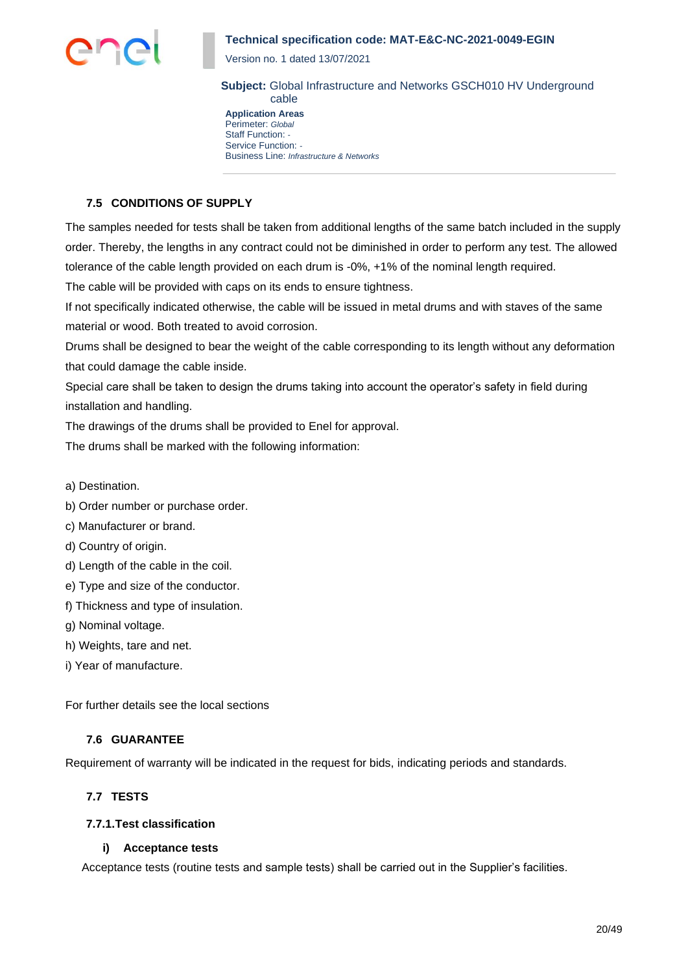

Version no. 1 dated 13/07/2021

**Subject:** Global Infrastructure and Networks GSCH010 HV Underground cable

**Application Areas** Perimeter: *Global* Staff Function: *-* Service Function: *-* Business Line: *Infrastructure & Networks*

## **7.5 CONDITIONS OF SUPPLY**

The samples needed for tests shall be taken from additional lengths of the same batch included in the supply order. Thereby, the lengths in any contract could not be diminished in order to perform any test. The allowed tolerance of the cable length provided on each drum is -0%, +1% of the nominal length required.

The cable will be provided with caps on its ends to ensure tightness.

If not specifically indicated otherwise, the cable will be issued in metal drums and with staves of the same material or wood. Both treated to avoid corrosion.

Drums shall be designed to bear the weight of the cable corresponding to its length without any deformation that could damage the cable inside.

Special care shall be taken to design the drums taking into account the operator's safety in field during installation and handling.

The drawings of the drums shall be provided to Enel for approval.

The drums shall be marked with the following information:

- a) Destination.
- b) Order number or purchase order.
- c) Manufacturer or brand.
- d) Country of origin.
- d) Length of the cable in the coil.
- e) Type and size of the conductor.
- f) Thickness and type of insulation.
- g) Nominal voltage.
- h) Weights, tare and net.
- i) Year of manufacture.

For further details see the local sections

## **7.6 GUARANTEE**

Requirement of warranty will be indicated in the request for bids, indicating periods and standards.

## **7.7 TESTS**

#### **7.7.1.Test classification**

#### **i) Acceptance tests**

Acceptance tests (routine tests and sample tests) shall be carried out in the Supplier's facilities.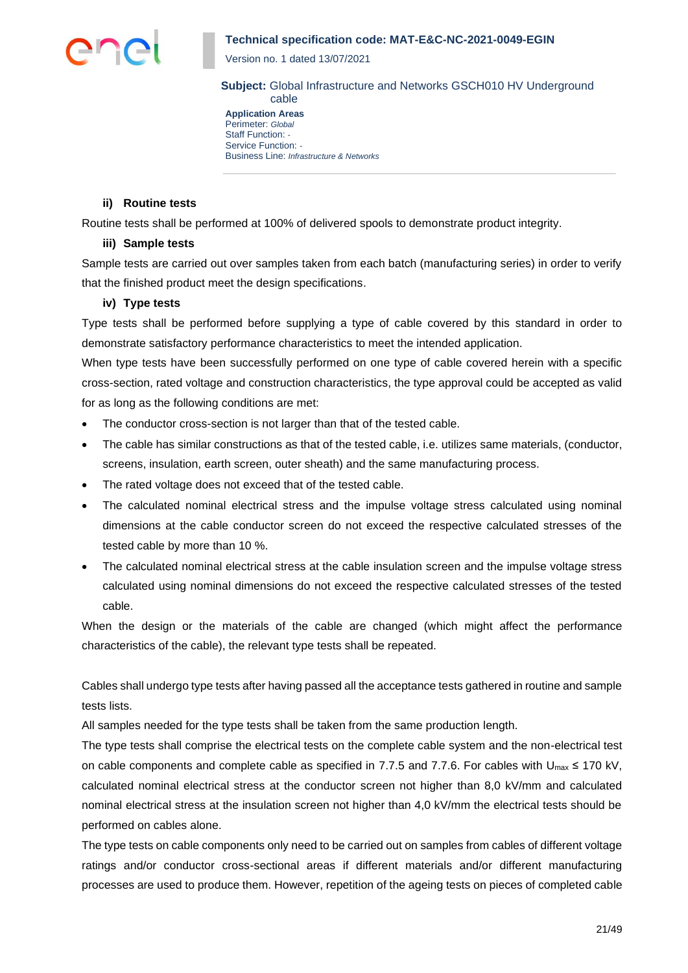

Version no. 1 dated 13/07/2021

**Subject:** Global Infrastructure and Networks GSCH010 HV Underground cable

**Application Areas** Perimeter: *Global* Staff Function: *-* Service Function: *-* Business Line: *Infrastructure & Networks*

#### **ii) Routine tests**

Routine tests shall be performed at 100% of delivered spools to demonstrate product integrity.

#### **iii) Sample tests**

Sample tests are carried out over samples taken from each batch (manufacturing series) in order to verify that the finished product meet the design specifications.

#### **iv) Type tests**

Type tests shall be performed before supplying a type of cable covered by this standard in order to demonstrate satisfactory performance characteristics to meet the intended application.

When type tests have been successfully performed on one type of cable covered herein with a specific cross-section, rated voltage and construction characteristics, the type approval could be accepted as valid for as long as the following conditions are met:

- The conductor cross-section is not larger than that of the tested cable.
- The cable has similar constructions as that of the tested cable, i.e. utilizes same materials, (conductor, screens, insulation, earth screen, outer sheath) and the same manufacturing process.
- The rated voltage does not exceed that of the tested cable.
- The calculated nominal electrical stress and the impulse voltage stress calculated using nominal dimensions at the cable conductor screen do not exceed the respective calculated stresses of the tested cable by more than 10 %.
- The calculated nominal electrical stress at the cable insulation screen and the impulse voltage stress calculated using nominal dimensions do not exceed the respective calculated stresses of the tested cable.

When the design or the materials of the cable are changed (which might affect the performance characteristics of the cable), the relevant type tests shall be repeated.

Cables shall undergo type tests after having passed all the acceptance tests gathered in routine and sample tests lists.

All samples needed for the type tests shall be taken from the same production length.

The type tests shall comprise the electrical tests on the complete cable system and the non-electrical test on cable components and complete cable as specified in 7.7.5 and 7.7.6. For cables with  $U_{\text{max}} \le 170$  kV, calculated nominal electrical stress at the conductor screen not higher than 8,0 kV/mm and calculated nominal electrical stress at the insulation screen not higher than 4,0 kV/mm the electrical tests should be performed on cables alone.

The type tests on cable components only need to be carried out on samples from cables of different voltage ratings and/or conductor cross-sectional areas if different materials and/or different manufacturing processes are used to produce them. However, repetition of the ageing tests on pieces of completed cable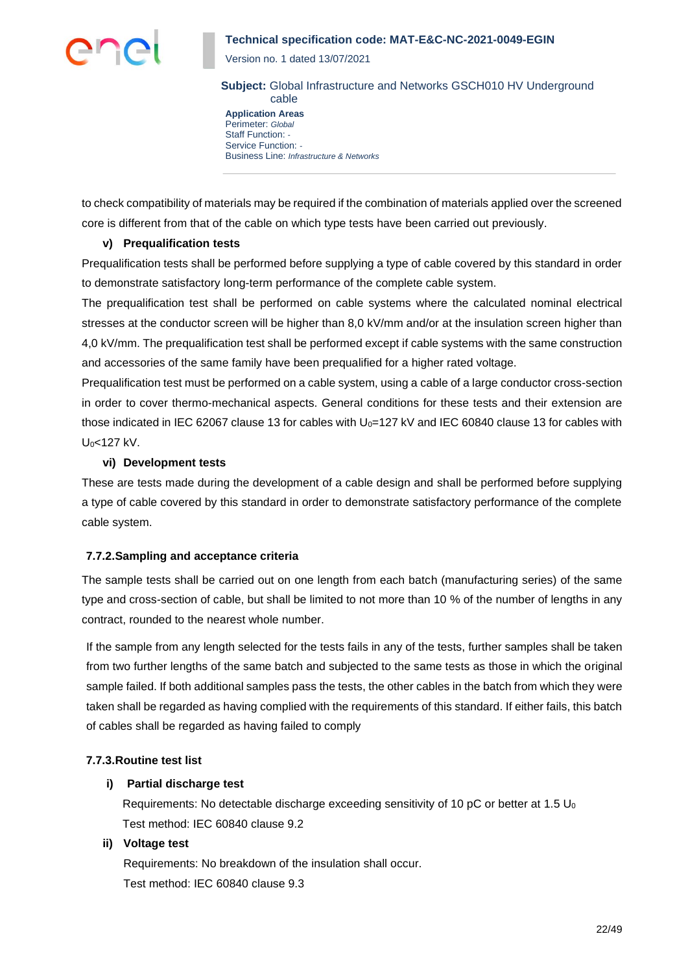

Version no. 1 dated 13/07/2021

**Subject:** Global Infrastructure and Networks GSCH010 HV Underground cable

**Application Areas** Perimeter: *Global* Staff Function: *-* Service Function: *-* Business Line: *Infrastructure & Networks*

to check compatibility of materials may be required if the combination of materials applied over the screened core is different from that of the cable on which type tests have been carried out previously.

### **v) Prequalification tests**

Prequalification tests shall be performed before supplying a type of cable covered by this standard in order to demonstrate satisfactory long-term performance of the complete cable system.

The prequalification test shall be performed on cable systems where the calculated nominal electrical stresses at the conductor screen will be higher than 8,0 kV/mm and/or at the insulation screen higher than 4,0 kV/mm. The prequalification test shall be performed except if cable systems with the same construction and accessories of the same family have been prequalified for a higher rated voltage.

Prequalification test must be performed on a cable system, using a cable of a large conductor cross-section in order to cover thermo-mechanical aspects. General conditions for these tests and their extension are those indicated in IEC 62067 clause 13 for cables with U<sub>0</sub>=127 kV and IEC 60840 clause 13 for cables with U<sub>0</sub><127 kV.

## **vi) Development tests**

These are tests made during the development of a cable design and shall be performed before supplying a type of cable covered by this standard in order to demonstrate satisfactory performance of the complete cable system.

## **7.7.2.Sampling and acceptance criteria**

The sample tests shall be carried out on one length from each batch (manufacturing series) of the same type and cross-section of cable, but shall be limited to not more than 10 % of the number of lengths in any contract, rounded to the nearest whole number.

If the sample from any length selected for the tests fails in any of the tests, further samples shall be taken from two further lengths of the same batch and subjected to the same tests as those in which the original sample failed. If both additional samples pass the tests, the other cables in the batch from which they were taken shall be regarded as having complied with the requirements of this standard. If either fails, this batch of cables shall be regarded as having failed to comply

## **7.7.3.Routine test list**

## **i) Partial discharge test**

Requirements: No detectable discharge exceeding sensitivity of 10 pC or better at 1.5  $U_0$ Test method: IEC 60840 clause 9.2

## **ii) Voltage test**

Requirements: No breakdown of the insulation shall occur. Test method: IEC 60840 clause 9.3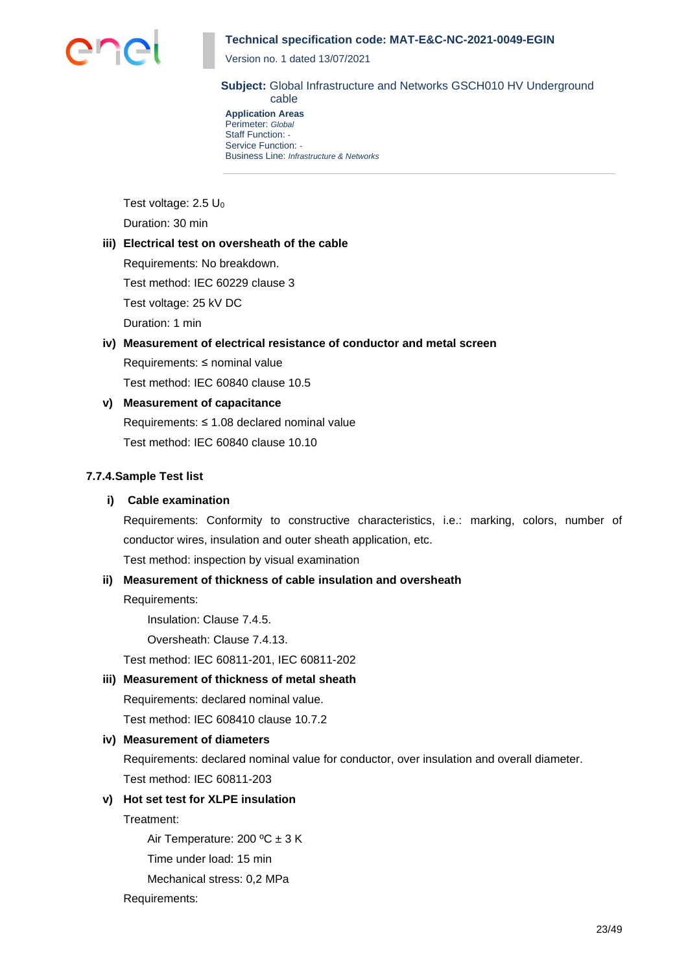

Version no. 1 dated 13/07/2021

**Subject:** Global Infrastructure and Networks GSCH010 HV Underground cable

**Application Areas** Perimeter: *Global* Staff Function: *-* Service Function: *-* Business Line: *Infrastructure & Networks*

Test voltage: 2.5 U<sub>0</sub> Duration: 30 min

### **iii) Electrical test on oversheath of the cable**

Requirements: No breakdown. Test method: IEC 60229 clause 3 Test voltage: 25 kV DC Duration: 1 min

**iv) Measurement of electrical resistance of conductor and metal screen** Requirements: ≤ nominal value

Test method: IEC 60840 clause 10.5

## **v) Measurement of capacitance**

Requirements: ≤ 1.08 declared nominal value Test method: IEC 60840 clause 10.10

## **7.7.4.Sample Test list**

## **i) Cable examination**

Requirements: Conformity to constructive characteristics, i.e.: marking, colors, number of conductor wires, insulation and outer sheath application, etc.

Test method: inspection by visual examination

## **ii) Measurement of thickness of cable insulation and oversheath**

Requirements:

Insulation: Clause 7.4.5.

Oversheath: Clause 7.4.13.

Test method: IEC 60811-201, IEC 60811-202

## **iii) Measurement of thickness of metal sheath**

Requirements: declared nominal value.

Test method: IEC 608410 clause 10.7.2

## **iv) Measurement of diameters**

Requirements: declared nominal value for conductor, over insulation and overall diameter. Test method: IEC 60811-203

# **v) Hot set test for XLPE insulation**

Treatment:

Air Temperature: 200 ºC ± 3 K

Time under load: 15 min

Mechanical stress: 0,2 MPa

Requirements: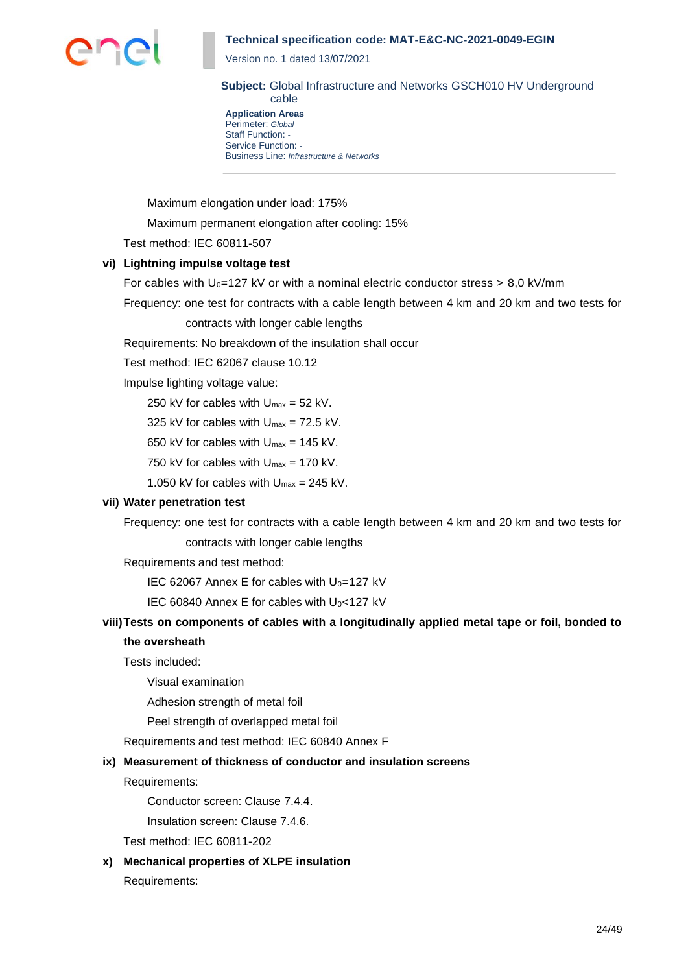

Version no. 1 dated 13/07/2021

**Subject:** Global Infrastructure and Networks GSCH010 HV Underground cable

**Application Areas** Perimeter: *Global* Staff Function: *-* Service Function: *-* Business Line: *Infrastructure & Networks*

Maximum elongation under load: 175%

Maximum permanent elongation after cooling: 15%

Test method: IEC 60811-507

## **vi) Lightning impulse voltage test**

For cables with  $U_0$ =127 kV or with a nominal electric conductor stress  $> 8.0$  kV/mm

Frequency: one test for contracts with a cable length between 4 km and 20 km and two tests for

contracts with longer cable lengths

Requirements: No breakdown of the insulation shall occur

Test method: IEC 62067 clause 10.12

Impulse lighting voltage value:

250 kV for cables with  $U_{\text{max}} = 52$  kV.

325 kV for cables with  $U_{\text{max}} = 72.5$  kV.

650 kV for cables with  $U_{\text{max}} = 145$  kV.

750 kV for cables with  $U_{\text{max}} = 170$  kV.

1.050 kV for cables with  $U_{\text{max}} = 245$  kV.

## **vii) Water penetration test**

Frequency: one test for contracts with a cable length between 4 km and 20 km and two tests for contracts with longer cable lengths

Requirements and test method:

IEC 62067 Annex E for cables with  $U_0$ =127 kV

IEC 60840 Annex E for cables with  $U_0$ <127 kV

## **viii)Tests on components of cables with a longitudinally applied metal tape or foil, bonded to the oversheath**

Tests included:

Visual examination

Adhesion strength of metal foil

Peel strength of overlapped metal foil

Requirements and test method: IEC 60840 Annex F

#### **ix) Measurement of thickness of conductor and insulation screens**

Requirements:

Conductor screen: Clause 7.4.4.

Insulation screen: Clause 7.4.6.

Test method: IEC 60811-202

**x) Mechanical properties of XLPE insulation**

Requirements: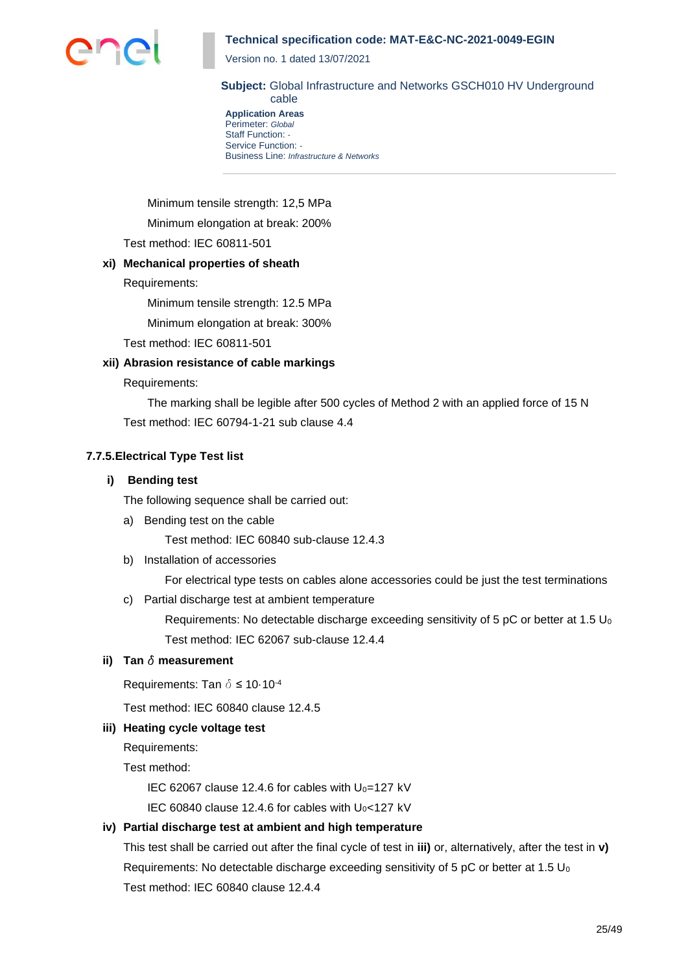

Version no. 1 dated 13/07/2021

**Subject:** Global Infrastructure and Networks GSCH010 HV Underground cable

**Application Areas** Perimeter: *Global* Staff Function: *-* Service Function: *-* Business Line: *Infrastructure & Networks*

Minimum tensile strength: 12,5 MPa

Minimum elongation at break: 200%

Test method: IEC 60811-501

### **xi) Mechanical properties of sheath**

Requirements:

Minimum tensile strength: 12.5 MPa

Minimum elongation at break: 300%

Test method: IEC 60811-501

### **xii) Abrasion resistance of cable markings**

Requirements:

The marking shall be legible after 500 cycles of Method 2 with an applied force of 15 N Test method: IEC 60794-1-21 sub clause 4.4

## **7.7.5.Electrical Type Test list**

#### **i) Bending test**

The following sequence shall be carried out:

a) Bending test on the cable

Test method: IEC 60840 sub-clause 12.4.3

b) Installation of accessories

For electrical type tests on cables alone accessories could be just the test terminations

c) Partial discharge test at ambient temperature

Requirements: No detectable discharge exceeding sensitivity of 5 pC or better at 1.5  $U_0$ Test method: IEC 62067 sub-clause 12.4.4

#### **ii)** Tan  $\delta$  measurement

Requirements: Tan  $\delta \leq 10.10^{-4}$ 

Test method: IEC 60840 clause 12.4.5

## **iii) Heating cycle voltage test**

Requirements:

Test method:

IEC 62067 clause 12.4.6 for cables with  $U_0=127$  kV

IEC 60840 clause 12.4.6 for cables with  $U_0$ <127 kV

## **iv) Partial discharge test at ambient and high temperature**

This test shall be carried out after the final cycle of test in **iii)** or, alternatively, after the test in **v)** Requirements: No detectable discharge exceeding sensitivity of 5 pC or better at 1.5  $U_0$ Test method: IEC 60840 clause 12.4.4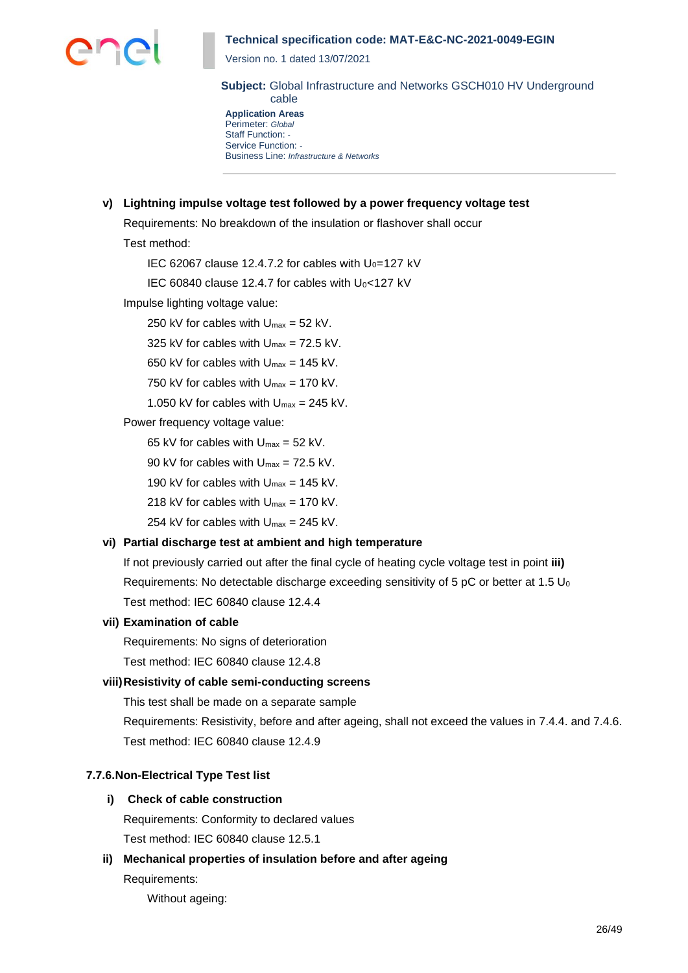

Version no. 1 dated 13/07/2021

**Subject:** Global Infrastructure and Networks GSCH010 HV Underground cable

**Application Areas** Perimeter: *Global* Staff Function: *-* Service Function: *-* Business Line: *Infrastructure & Networks*

## **v) Lightning impulse voltage test followed by a power frequency voltage test**

Requirements: No breakdown of the insulation or flashover shall occur

#### Test method:

IEC 62067 clause 12.4.7.2 for cables with  $U_0$ =127 kV

IEC 60840 clause 12.4.7 for cables with  $U_0$ <127 kV

Impulse lighting voltage value:

250 kV for cables with  $U_{\text{max}} = 52$  kV.

325 kV for cables with  $U_{\text{max}} = 72.5$  kV.

650 kV for cables with  $U_{\text{max}} = 145$  kV.

750 kV for cables with  $U_{\text{max}} = 170$  kV.

1.050 kV for cables with  $U_{\text{max}} = 245$  kV.

Power frequency voltage value:

65 kV for cables with  $U_{\text{max}} = 52$  kV.

90 kV for cables with  $U_{\text{max}} = 72.5$  kV.

190 kV for cables with  $U_{\text{max}} = 145$  kV.

218 kV for cables with  $U_{\text{max}} = 170$  kV.

254 kV for cables with  $U_{\text{max}} = 245$  kV.

## **vi) Partial discharge test at ambient and high temperature**

If not previously carried out after the final cycle of heating cycle voltage test in point **iii)** Requirements: No detectable discharge exceeding sensitivity of 5 pC or better at 1.5  $U_0$ Test method: IEC 60840 clause 12.4.4

#### **vii) Examination of cable**

Requirements: No signs of deterioration

Test method: IEC 60840 clause 12.4.8

## **viii)Resistivity of cable semi-conducting screens**

This test shall be made on a separate sample

Requirements: Resistivity, before and after ageing, shall not exceed the values in 7.4.4. and 7.4.6. Test method: IEC 60840 clause 12.4.9

#### **7.7.6.Non-Electrical Type Test list**

#### **i) Check of cable construction**

Requirements: Conformity to declared values Test method: IEC 60840 clause 12.5.1

**ii) Mechanical properties of insulation before and after ageing** Requirements:

Without ageing: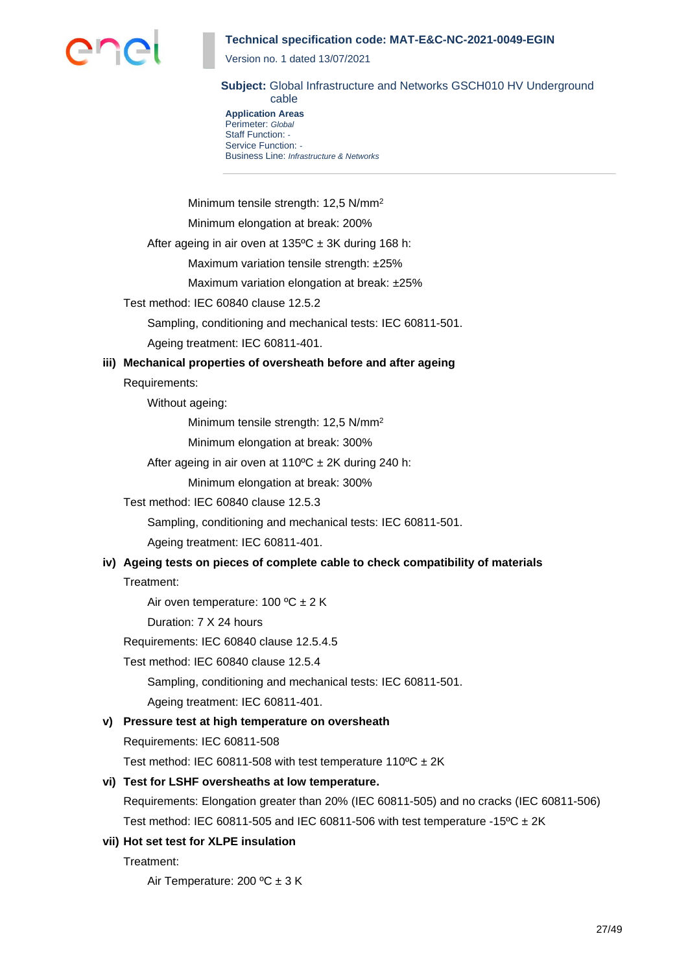

Version no. 1 dated 13/07/2021

**Subject:** Global Infrastructure and Networks GSCH010 HV Underground cable

**Application Areas** Perimeter: *Global* Staff Function: *-* Service Function: *-* Business Line: *Infrastructure & Networks*

Minimum tensile strength: 12,5 N/mm<sup>2</sup>

Minimum elongation at break: 200%

After ageing in air oven at  $135^{\circ}$ C ± 3K during 168 h:

Maximum variation tensile strength: ±25%

Maximum variation elongation at break: ±25%

#### Test method: IEC 60840 clause 12.5.2

Sampling, conditioning and mechanical tests: IEC 60811-501.

Ageing treatment: IEC 60811-401.

#### **iii) Mechanical properties of oversheath before and after ageing**

Requirements:

Without ageing:

Minimum tensile strength: 12,5 N/mm<sup>2</sup>

Minimum elongation at break: 300%

After ageing in air oven at  $110^{\circ}$ C ± 2K during 240 h:

Minimum elongation at break: 300%

Test method: IEC 60840 clause 12.5.3

Sampling, conditioning and mechanical tests: IEC 60811-501.

Ageing treatment: IEC 60811-401.

# **iv) Ageing tests on pieces of complete cable to check compatibility of materials**

Treatment:

Air oven temperature: 100  $^{\circ}$ C  $\pm$  2 K

Duration: 7 X 24 hours

Requirements: IEC 60840 clause 12.5.4.5

Test method: IEC 60840 clause 12.5.4

Sampling, conditioning and mechanical tests: IEC 60811-501.

Ageing treatment: IEC 60811-401.

### **v) Pressure test at high temperature on oversheath**

Requirements: IEC 60811-508

Test method: IEC 60811-508 with test temperature  $110^{\circ}C \pm 2K$ 

#### **vi) Test for LSHF oversheaths at low temperature.**

Requirements: Elongation greater than 20% (IEC 60811-505) and no cracks (IEC 60811-506) Test method: IEC 60811-505 and IEC 60811-506 with test temperature -15 $^{\circ}$ C  $\pm$  2K

#### **vii) Hot set test for XLPE insulation**

Treatment:

Air Temperature: 200 ºC ± 3 K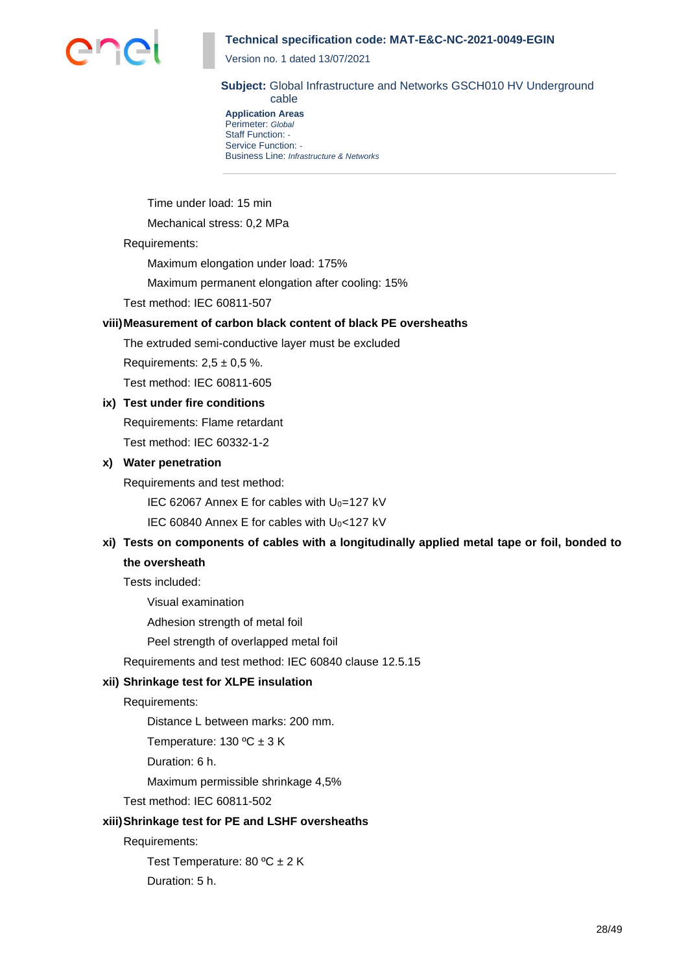

Version no. 1 dated 13/07/2021

**Subject:** Global Infrastructure and Networks GSCH010 HV Underground cable

**Application Areas** Perimeter: *Global* Staff Function: *-* Service Function: *-* Business Line: *Infrastructure & Networks*

Time under load: 15 min

Mechanical stress: 0,2 MPa

#### Requirements:

Maximum elongation under load: 175%

Maximum permanent elongation after cooling: 15%

Test method: IEC 60811-507

## **viii)Measurement of carbon black content of black PE oversheaths**

The extruded semi-conductive layer must be excluded

Requirements:  $2.5 \pm 0.5$  %.

Test method: IEC 60811-605

# **ix) Test under fire conditions**

Requirements: Flame retardant Test method: IEC 60332-1-2

### **x) Water penetration**

Requirements and test method:

IEC 62067 Annex E for cables with  $U_0$ =127 kV

IEC 60840 Annex E for cables with  $U_0$ <127 kV

# **xi) Tests on components of cables with a longitudinally applied metal tape or foil, bonded to the oversheath**

Tests included:

Visual examination

Adhesion strength of metal foil

Peel strength of overlapped metal foil

Requirements and test method: IEC 60840 clause 12.5.15

## **xii) Shrinkage test for XLPE insulation**

Requirements:

Distance L between marks: 200 mm.

Temperature: 130 ºC ± 3 K

Duration: 6 h.

Maximum permissible shrinkage 4,5%

Test method: IEC 60811-502

#### **xiii)Shrinkage test for PE and LSHF oversheaths**

Requirements:

Test Temperature: 80 °C ± 2 K

Duration: 5 h.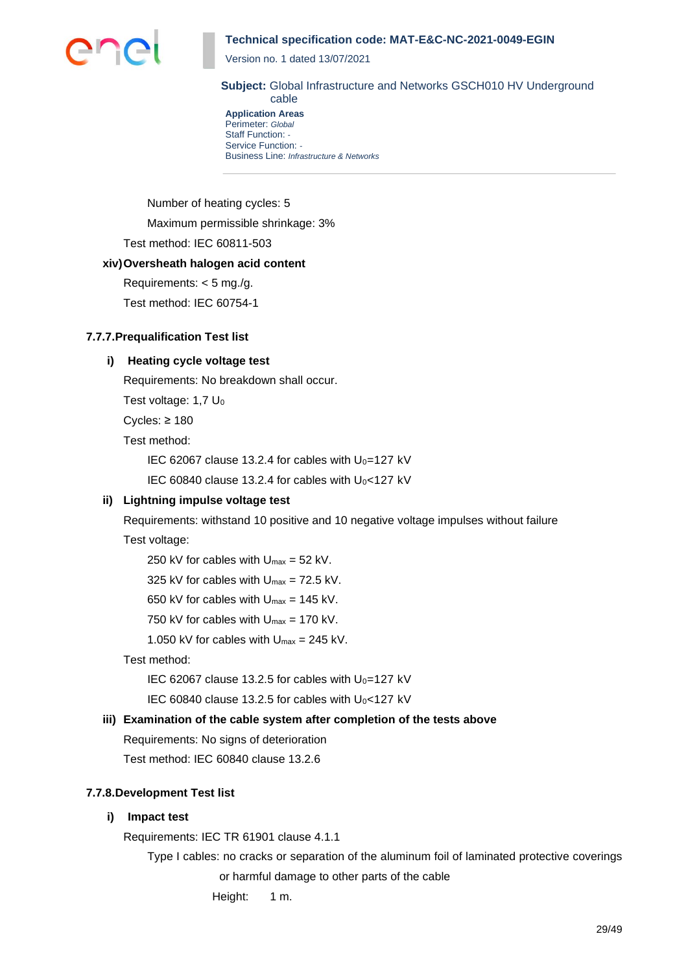

Version no. 1 dated 13/07/2021

**Subject:** Global Infrastructure and Networks GSCH010 HV Underground cable

**Application Areas** Perimeter: *Global* Staff Function: *-* Service Function: *-* Business Line: *Infrastructure & Networks*

Number of heating cycles: 5 Maximum permissible shrinkage: 3%

Test method: IEC 60811-503

## **xiv)Oversheath halogen acid content**

Requirements: < 5 mg./g.

Test method: IEC 60754-1

## **7.7.7.Prequalification Test list**

## **i) Heating cycle voltage test**

Requirements: No breakdown shall occur.

Test voltage:  $1.7 U_0$ 

Cycles: ≥ 180

Test method:

IEC 62067 clause 13.2.4 for cables with  $U_0$ =127 kV

IEC 60840 clause 13.2.4 for cables with  $U_0$ <127 kV

## **ii) Lightning impulse voltage test**

Requirements: withstand 10 positive and 10 negative voltage impulses without failure Test voltage:

250 kV for cables with  $U_{\text{max}} = 52$  kV.

325 kV for cables with  $U_{\text{max}} = 72.5$  kV.

- 650 kV for cables with  $U_{\text{max}} = 145$  kV.
- 750 kV for cables with  $U_{\text{max}} = 170$  kV.

1.050 kV for cables with  $U_{\text{max}} = 245$  kV.

Test method:

IEC 62067 clause 13.2.5 for cables with  $U_0$ =127 kV

IEC 60840 clause 13.2.5 for cables with  $U_0$ <127 kV

## **iii) Examination of the cable system after completion of the tests above**

Requirements: No signs of deterioration

Test method: IEC 60840 clause 13.2.6

## **7.7.8.Development Test list**

## **i) Impact test**

Requirements: IEC TR 61901 clause 4.1.1

Type I cables: no cracks or separation of the aluminum foil of laminated protective coverings or harmful damage to other parts of the cable

Height: 1 m.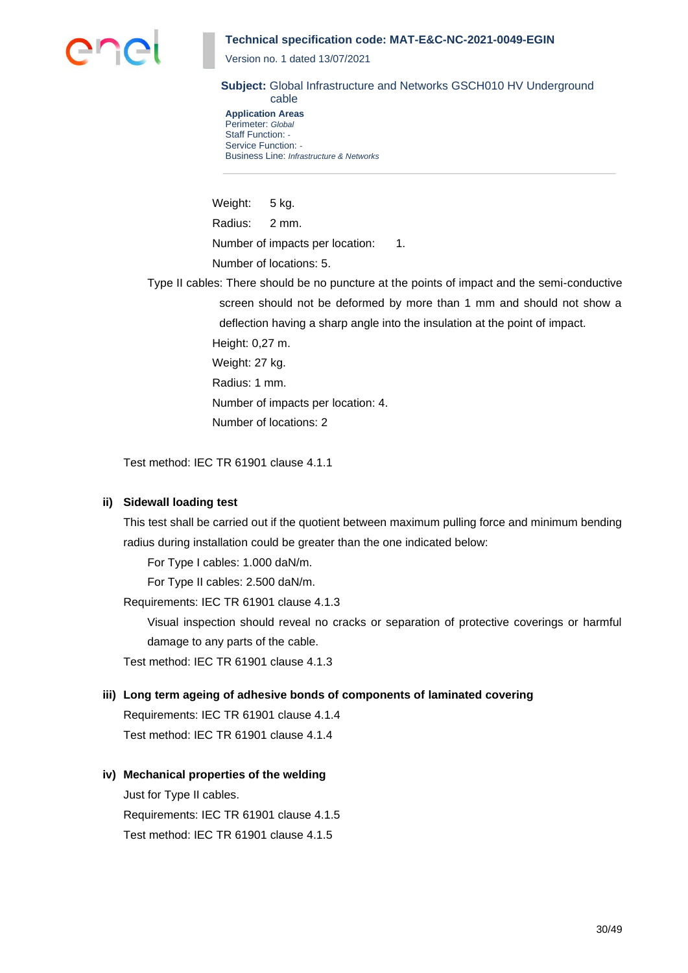

Version no. 1 dated 13/07/2021

**Subject:** Global Infrastructure and Networks GSCH010 HV Underground cable

**Application Areas** Perimeter: *Global* Staff Function: *-* Service Function: *-* Business Line: *Infrastructure & Networks*

Weight: 5 kg. Radius: 2 mm. Number of impacts per location: 1. Number of locations: 5.

Type II cables: There should be no puncture at the points of impact and the semi-conductive screen should not be deformed by more than 1 mm and should not show a deflection having a sharp angle into the insulation at the point of impact.

> Height: 0,27 m. Weight: 27 kg. Radius: 1 mm. Number of impacts per location: 4. Number of locations: 2

Test method: IEC TR 61901 clause 4.1.1

## **ii) Sidewall loading test**

This test shall be carried out if the quotient between maximum pulling force and minimum bending radius during installation could be greater than the one indicated below:

For Type I cables: 1.000 daN/m.

For Type II cables: 2.500 daN/m.

Requirements: IEC TR 61901 clause 4.1.3

Visual inspection should reveal no cracks or separation of protective coverings or harmful damage to any parts of the cable.

Test method: IEC TR 61901 clause 4.1.3

## **iii) Long term ageing of adhesive bonds of components of laminated covering**

Requirements: IEC TR 61901 clause 4.1.4 Test method: IEC TR 61901 clause 4.1.4

## **iv) Mechanical properties of the welding**

Just for Type II cables. Requirements: IEC TR 61901 clause 4.1.5 Test method: IEC TR 61901 clause 4.1.5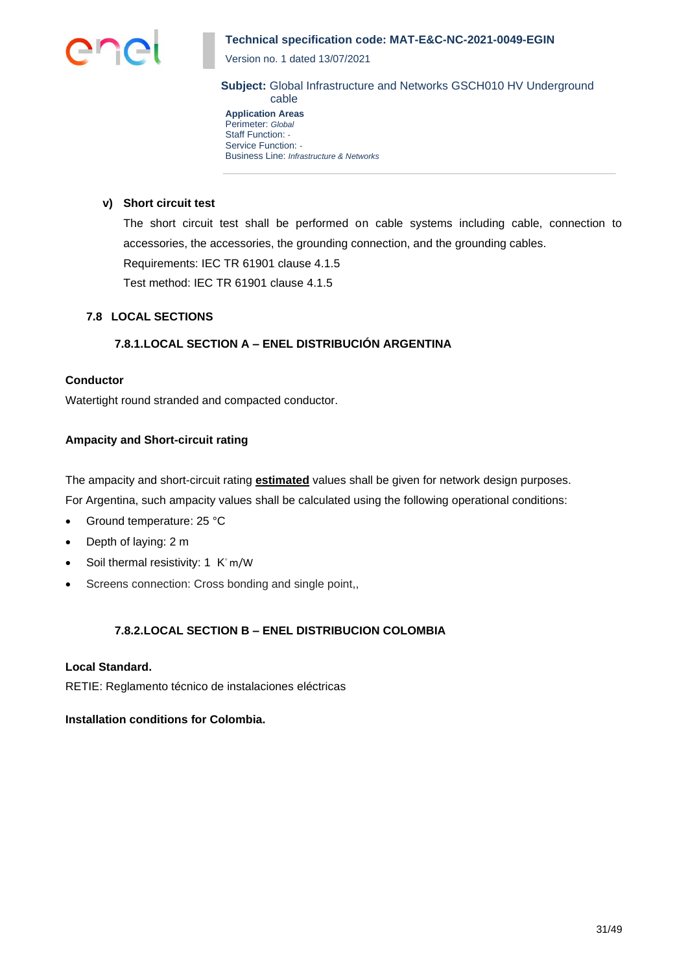

Version no. 1 dated 13/07/2021

**Subject:** Global Infrastructure and Networks GSCH010 HV Underground cable

**Application Areas** Perimeter: *Global* Staff Function: *-* Service Function: *-* Business Line: *Infrastructure & Networks*

### **v) Short circuit test**

The short circuit test shall be performed on cable systems including cable, connection to accessories, the accessories, the grounding connection, and the grounding cables. Requirements: IEC TR 61901 clause 4.1.5 Test method: IEC TR 61901 clause 4.1.5

## **7.8 LOCAL SECTIONS**

## **7.8.1.LOCAL SECTION A – ENEL DISTRIBUCIÓN ARGENTINA**

## **Conductor**

Watertight round stranded and compacted conductor.

## **Ampacity and Short-circuit rating**

The ampacity and short-circuit rating **estimated** values shall be given for network design purposes. For Argentina, such ampacity values shall be calculated using the following operational conditions:

- Ground temperature: 25 °C
- Depth of laying: 2 m
- Soil thermal resistivity: 1 K° m/W
- Screens connection: Cross bonding and single point,,

## **7.8.2.LOCAL SECTION B – ENEL DISTRIBUCION COLOMBIA**

## **Local Standard.**

RETIE: Reglamento técnico de instalaciones eléctricas

#### **Installation conditions for Colombia.**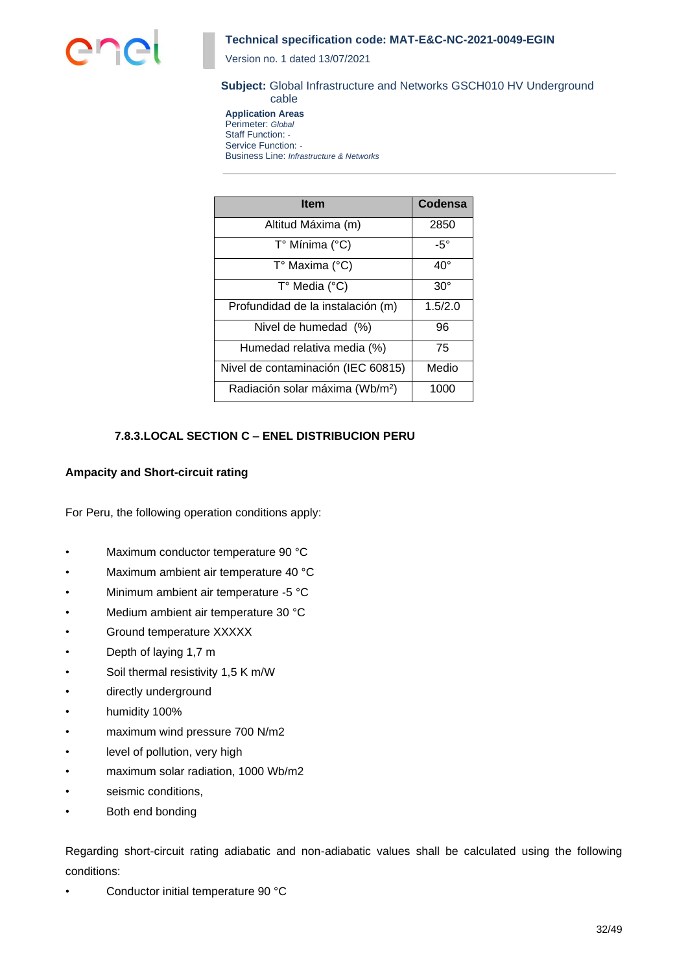

Version no. 1 dated 13/07/2021

#### **Subject:** Global Infrastructure and Networks GSCH010 HV Underground cable

**Application Areas** Perimeter: *Global* Staff Function: *-* Service Function: *-* Business Line: *Infrastructure & Networks*

| <b>Item</b>                                 | Codensa      |
|---------------------------------------------|--------------|
| Altitud Máxima (m)                          | 2850         |
| T° Mínima (°C)                              | $-5^\circ$   |
| T° Maxima (°C)                              | $40^{\circ}$ |
| T° Media (°C)                               | $30^\circ$   |
| Profundidad de la instalación (m)           | 1.5/2.0      |
| Nivel de humedad (%)                        | 96           |
| Humedad relativa media (%)                  | 75           |
| Nivel de contaminación (IEC 60815)          | Medio        |
| Radiación solar máxima (Wb/m <sup>2</sup> ) | 1000         |

## **7.8.3.LOCAL SECTION C – ENEL DISTRIBUCION PERU**

### **Ampacity and Short-circuit rating**

For Peru, the following operation conditions apply:

- Maximum conductor temperature 90 °C
- Maximum ambient air temperature 40 °C
- Minimum ambient air temperature -5 °C
- Medium ambient air temperature 30 °C
- Ground temperature XXXXX
- Depth of laying 1,7 m
- Soil thermal resistivity 1,5 K m/W
- directly underground
- humidity 100%
- maximum wind pressure 700 N/m2
- level of pollution, very high
- maximum solar radiation, 1000 Wb/m2
- seismic conditions.
- Both end bonding

Regarding short-circuit rating adiabatic and non-adiabatic values shall be calculated using the following conditions:

• Conductor initial temperature 90 °C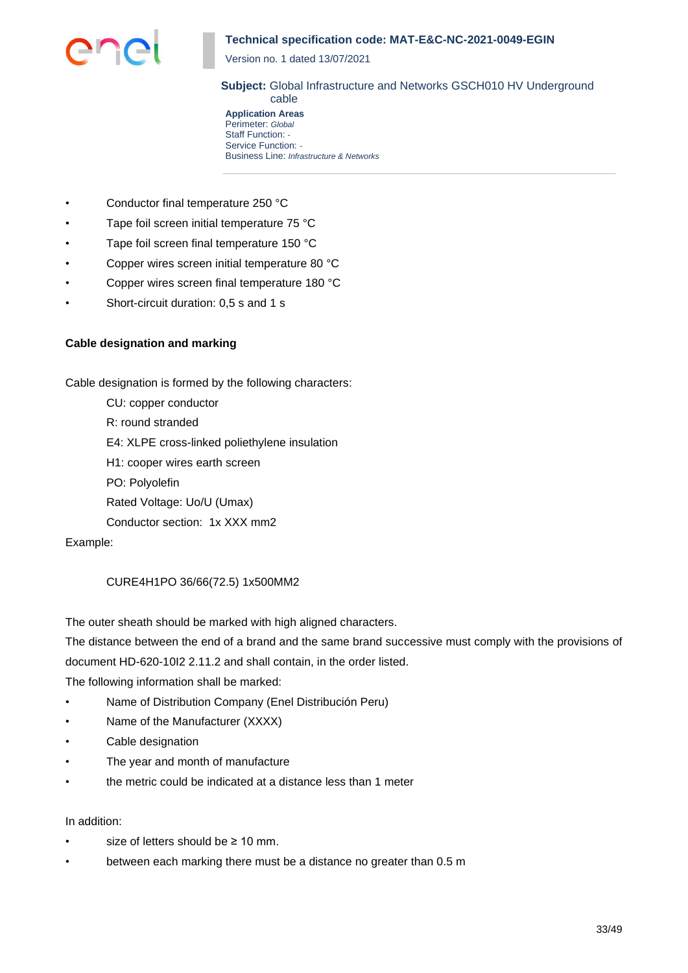

Version no. 1 dated 13/07/2021

**Subject:** Global Infrastructure and Networks GSCH010 HV Underground cable

**Application Areas** Perimeter: *Global* Staff Function: *-* Service Function: *-* Business Line: *Infrastructure & Networks*

- Conductor final temperature 250 °C
- Tape foil screen initial temperature 75 °C
- Tape foil screen final temperature 150 °C
- Copper wires screen initial temperature 80 °C
- Copper wires screen final temperature 180 °C
- Short-circuit duration: 0,5 s and 1 s

### **Cable designation and marking**

Cable designation is formed by the following characters:

- CU: copper conductor
- R: round stranded
- E4: XLPE cross-linked poliethylene insulation
- H1: cooper wires earth screen
- PO: Polyolefin
- Rated Voltage: Uo/U (Umax)
- Conductor section: 1x XXX mm2

### Example:

## CURE4H1PO 36/66(72.5) 1x500MM2

The outer sheath should be marked with high aligned characters.

The distance between the end of a brand and the same brand successive must comply with the provisions of document HD-620-10I2 2.11.2 and shall contain, in the order listed.

The following information shall be marked:

- Name of Distribution Company (Enel Distribución Peru)
- Name of the Manufacturer (XXXX)
- Cable designation
- The year and month of manufacture
- the metric could be indicated at a distance less than 1 meter

#### In addition:

- size of letters should be  $\geq 10$  mm.
- between each marking there must be a distance no greater than 0.5 m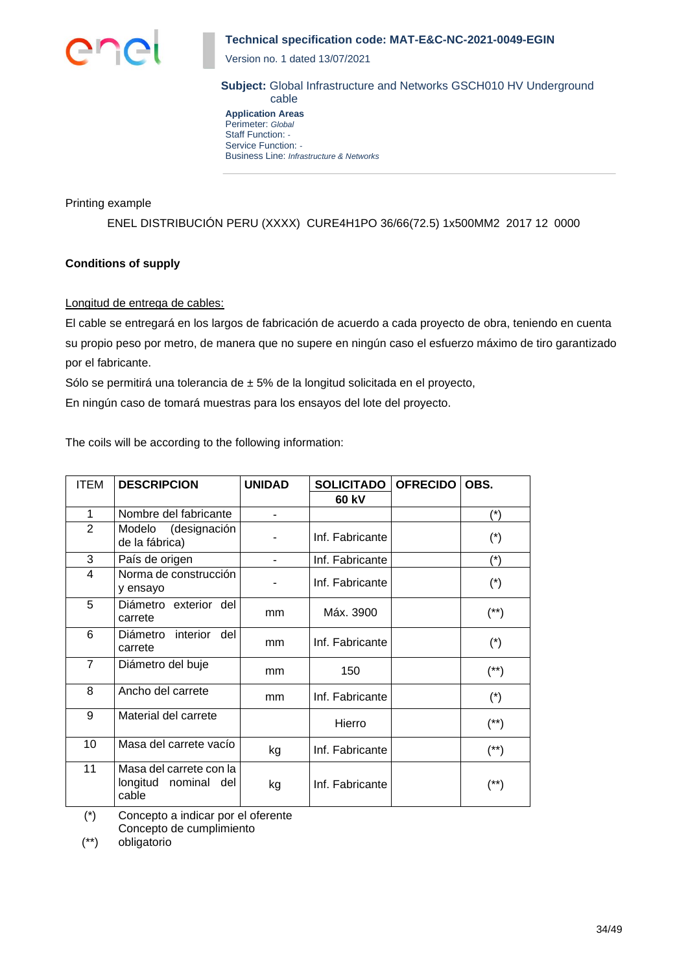

Version no. 1 dated 13/07/2021

**Subject:** Global Infrastructure and Networks GSCH010 HV Underground cable

**Application Areas** Perimeter: *Global* Staff Function: *-* Service Function: *-* Business Line: *Infrastructure & Networks*

Printing example

ENEL DISTRIBUCIÓN PERU (XXXX) CURE4H1PO 36/66(72.5) 1x500MM2 2017 12 0000

## **Conditions of supply**

Longitud de entrega de cables:

El cable se entregará en los largos de fabricación de acuerdo a cada proyecto de obra, teniendo en cuenta su propio peso por metro, de manera que no supere en ningún caso el esfuerzo máximo de tiro garantizado por el fabricante.

Sólo se permitirá una tolerancia de ± 5% de la longitud solicitada en el proyecto,

En ningún caso de tomará muestras para los ensayos del lote del proyecto.

The coils will be according to the following information:

| <b>ITEM</b>    | <b>DESCRIPCION</b>                                       | <b>UNIDAD</b> | <b>SOLICITADO</b> | <b>OFRECIDO</b> | OBS.                  |
|----------------|----------------------------------------------------------|---------------|-------------------|-----------------|-----------------------|
|                |                                                          |               | 60 kV             |                 |                       |
| 1              | Nombre del fabricante                                    |               |                   |                 | $(*)$                 |
| 2              | Modelo (designación<br>de la fábrica)                    |               | Inf. Fabricante   |                 | $(*)$                 |
| 3              | País de origen                                           |               | Inf. Fabricante   |                 | $(\dot{\phantom{a}})$ |
| 4              | Norma de construcción<br>y ensayo                        |               | Inf. Fabricante   |                 | $(\dot{\phantom{a}})$ |
| 5              | Diámetro exterior del<br>carrete                         | mm            | Máx. 3900         |                 | $(^{**})$             |
| 6              | Diámetro<br>interior<br>del<br>carrete                   | mm            | Inf. Fabricante   |                 | $(*)$                 |
| $\overline{7}$ | Diámetro del buje                                        | mm            | 150               |                 | $(^{**})$             |
| 8              | Ancho del carrete                                        | mm            | Inf. Fabricante   |                 | $(*)$                 |
| 9              | Material del carrete                                     |               | Hierro            |                 | $(^{**})$             |
| 10             | Masa del carrete vacío                                   | kg            | Inf. Fabricante   |                 | (**)                  |
| 11             | Masa del carrete con la<br>longitud nominal del<br>cable | kg            | Inf. Fabricante   |                 | (**)                  |

(\*) Concepto a indicar por el oferente

Concepto de cumplimiento

(\*\*) obligatorio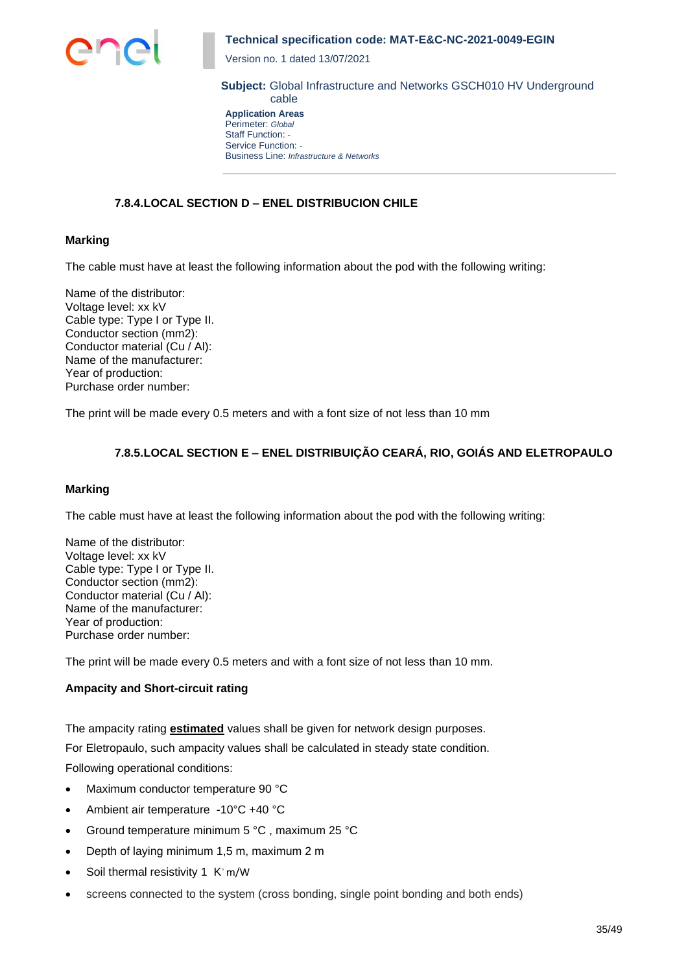

Version no. 1 dated 13/07/2021

**Subject:** Global Infrastructure and Networks GSCH010 HV Underground cable

**Application Areas** Perimeter: *Global* Staff Function: *-* Service Function: *-* Business Line: *Infrastructure & Networks*

## **7.8.4.LOCAL SECTION D – ENEL DISTRIBUCION CHILE**

### **Marking**

The cable must have at least the following information about the pod with the following writing:

Name of the distributor: Voltage level: xx kV Cable type: Type I or Type II. Conductor section (mm2): Conductor material (Cu / Al): Name of the manufacturer: Year of production: Purchase order number:

The print will be made every 0.5 meters and with a font size of not less than 10 mm

## **7.8.5.LOCAL SECTION E – ENEL DISTRIBUIÇÃO CEARÁ, RIO, GOIÁS AND ELETROPAULO**

#### **Marking**

The cable must have at least the following information about the pod with the following writing:

Name of the distributor: Voltage level: xx kV Cable type: Type I or Type II. Conductor section (mm2): Conductor material (Cu / Al): Name of the manufacturer: Year of production: Purchase order number:

The print will be made every 0.5 meters and with a font size of not less than 10 mm.

## **Ampacity and Short-circuit rating**

The ampacity rating **estimated** values shall be given for network design purposes.

For Eletropaulo, such ampacity values shall be calculated in steady state condition.

Following operational conditions:

- Maximum conductor temperature 90 °C
- Ambient air temperature -10°C +40 °C
- Ground temperature minimum 5 °C , maximum 25 °C
- Depth of laying minimum 1,5 m, maximum 2 m
- Soil thermal resistivity 1 K◦ m/W
- screens connected to the system (cross bonding, single point bonding and both ends)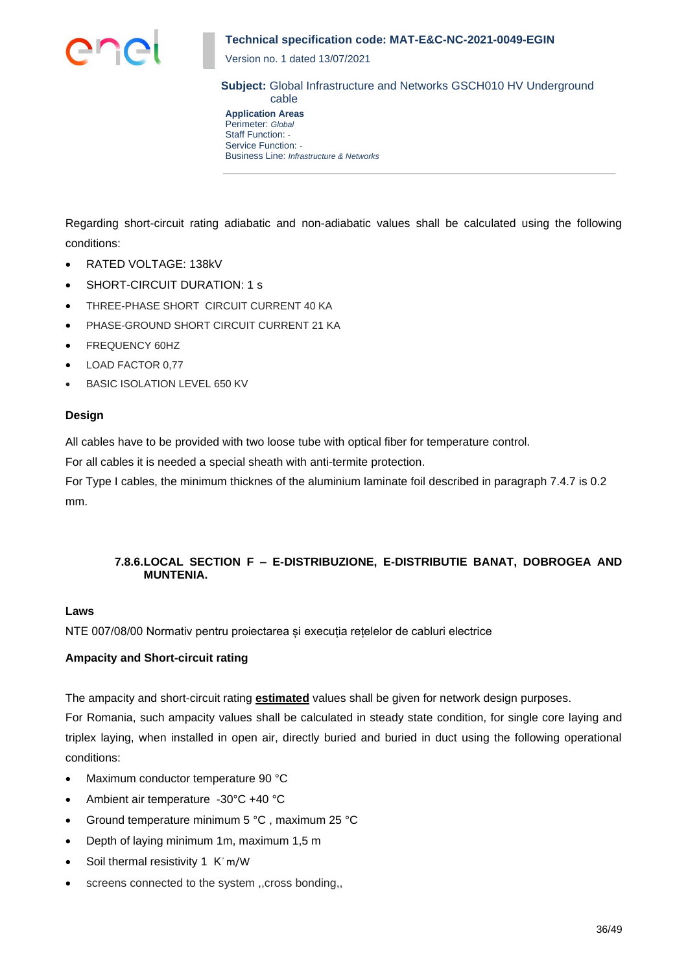

Version no. 1 dated 13/07/2021

**Subject:** Global Infrastructure and Networks GSCH010 HV Underground cable

**Application Areas** Perimeter: *Global* Staff Function: *-* Service Function: *-* Business Line: *Infrastructure & Networks*

Regarding short-circuit rating adiabatic and non-adiabatic values shall be calculated using the following conditions:

- RATED VOLTAGE: 138kV
- SHORT-CIRCUIT DURATION: 1 s
- THREE-PHASE SHORT CIRCUIT CURRENT 40 KA
- PHASE-GROUND SHORT CIRCUIT CURRENT 21 KA
- FREQUENCY 60HZ
- LOAD FACTOR 0,77
- BASIC ISOLATION LEVEL 650 KV

### **Design**

All cables have to be provided with two loose tube with optical fiber for temperature control.

For all cables it is needed a special sheath with anti-termite protection.

For Type I cables, the minimum thicknes of the aluminium laminate foil described in paragraph 7.4.7 is 0.2 mm.

## **7.8.6.LOCAL SECTION F – E-DISTRIBUZIONE, E-DISTRIBUTIE BANAT, DOBROGEA AND MUNTENIA.**

#### **Laws**

NTE 007/08/00 Normativ pentru proiectarea și execuția rețelelor de cabluri electrice

## **Ampacity and Short-circuit rating**

The ampacity and short-circuit rating **estimated** values shall be given for network design purposes.

For Romania, such ampacity values shall be calculated in steady state condition, for single core laying and triplex laying, when installed in open air, directly buried and buried in duct using the following operational conditions:

- Maximum conductor temperature 90 °C
- Ambient air temperature -30°C +40 °C
- Ground temperature minimum 5 °C , maximum 25 °C
- Depth of laying minimum 1m, maximum 1,5 m
- Soil thermal resistivity 1 K° m/W
- screens connected to the system ,,cross bonding,,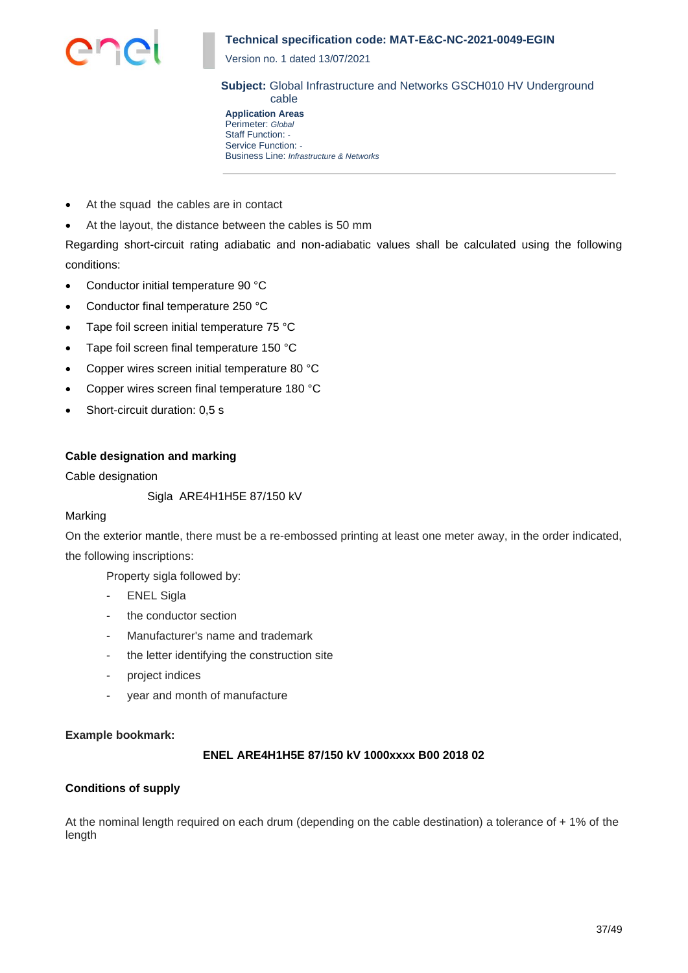

Version no. 1 dated 13/07/2021

**Subject:** Global Infrastructure and Networks GSCH010 HV Underground cable

**Application Areas** Perimeter: *Global* Staff Function: *-* Service Function: *-* Business Line: *Infrastructure & Networks*

- At the squad the cables are in contact
- At the layout, the distance between the cables is 50 mm

Regarding short-circuit rating adiabatic and non-adiabatic values shall be calculated using the following conditions:

- Conductor initial temperature 90 °C
- Conductor final temperature 250 °C
- Tape foil screen initial temperature 75 °C
- Tape foil screen final temperature 150 °C
- Copper wires screen initial temperature 80 °C
- Copper wires screen final temperature 180 °C
- Short-circuit duration: 0,5 s

#### **Cable designation and marking**

Cable designation

Sigla ARE4H1H5E 87/150 kV

#### Marking

On the exterior mantle, there must be a re-embossed printing at least one meter away, in the order indicated, the following inscriptions:

Property sigla followed by:

- **ENEL Sigla**
- the conductor section
- Manufacturer's name and trademark
- the letter identifying the construction site
- project indices
- year and month of manufacture

#### **Example bookmark:**

### **ENEL ARE4H1H5E 87/150 kV 1000xxxx B00 2018 02**

#### **Conditions of supply**

At the nominal length required on each drum (depending on the cable destination) a tolerance of + 1% of the length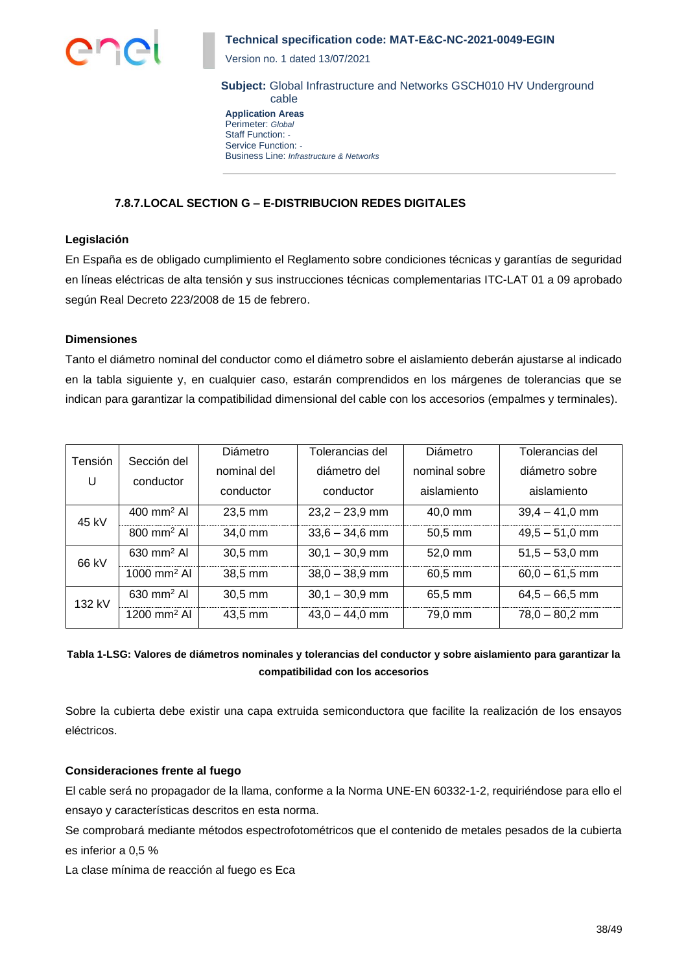

Version no. 1 dated 13/07/2021

**Subject:** Global Infrastructure and Networks GSCH010 HV Underground cable

**Application Areas** Perimeter: *Global* Staff Function: *-* Service Function: *-* Business Line: *Infrastructure & Networks*

## **7.8.7.LOCAL SECTION G – E-DISTRIBUCION REDES DIGITALES**

### **Legislación**

En España es de obligado cumplimiento el Reglamento sobre condiciones técnicas y garantías de seguridad en líneas eléctricas de alta tensión y sus instrucciones técnicas complementarias ITC-LAT 01 a 09 aprobado según Real Decreto 223/2008 de 15 de febrero.

#### **Dimensiones**

Tanto el diámetro nominal del conductor como el diámetro sobre el aislamiento deberán ajustarse al indicado en la tabla siguiente y, en cualquier caso, estarán comprendidos en los márgenes de tolerancias que se indican para garantizar la compatibilidad dimensional del cable con los accesorios (empalmes y terminales).

| Tensión | Sección del               | Diámetro    | Tolerancias del  | Diámetro      | Tolerancias del  |
|---------|---------------------------|-------------|------------------|---------------|------------------|
|         |                           | nominal del | diámetro del     | nominal sobre | diámetro sobre   |
| U       | conductor                 | conductor   | conductor        | aislamiento   | aislamiento      |
| 45 kV   | $400$ mm <sup>2</sup> Al  | $23,5$ mm   | $23,2 - 23,9$ mm | $40.0$ mm     | $39,4 - 41,0$ mm |
|         | $800 \text{ mm}^2$ Al     | 34,0 mm     | $33,6 - 34,6$ mm | $50,5$ mm     | $49,5 - 51,0$ mm |
| 66 kV   | $630 \text{ mm}^2$ Al     | 30,5 mm     | $30,1 - 30,9$ mm | 52,0 mm       | $51,5 - 53,0$ mm |
|         | $1000$ mm <sup>2</sup> Al | 38,5 mm     | $38,0 - 38,9$ mm | 60,5 mm       | $60,0 - 61,5$ mm |
| 132 kV  | $630 \text{ mm}^2$ Al     | 30,5 mm     | $30,1 - 30,9$ mm | 65,5 mm       | $64,5 - 66,5$ mm |
|         | 1200 mm <sup>2</sup> Al   | 43,5 mm     | $43,0 - 44,0$ mm | 79,0 mm       | $78,0 - 80,2$ mm |

# **Tabla 1-LSG: Valores de diámetros nominales y tolerancias del conductor y sobre aislamiento para garantizar la compatibilidad con los accesorios**

Sobre la cubierta debe existir una capa extruida semiconductora que facilite la realización de los ensayos eléctricos.

#### **Consideraciones frente al fuego**

El cable será no propagador de la llama, conforme a la Norma UNE-EN 60332-1-2, requiriéndose para ello el ensayo y características descritos en esta norma.

Se comprobará mediante métodos espectrofotométricos que el contenido de metales pesados de la cubierta es inferior a 0,5 %

La clase mínima de reacción al fuego es Eca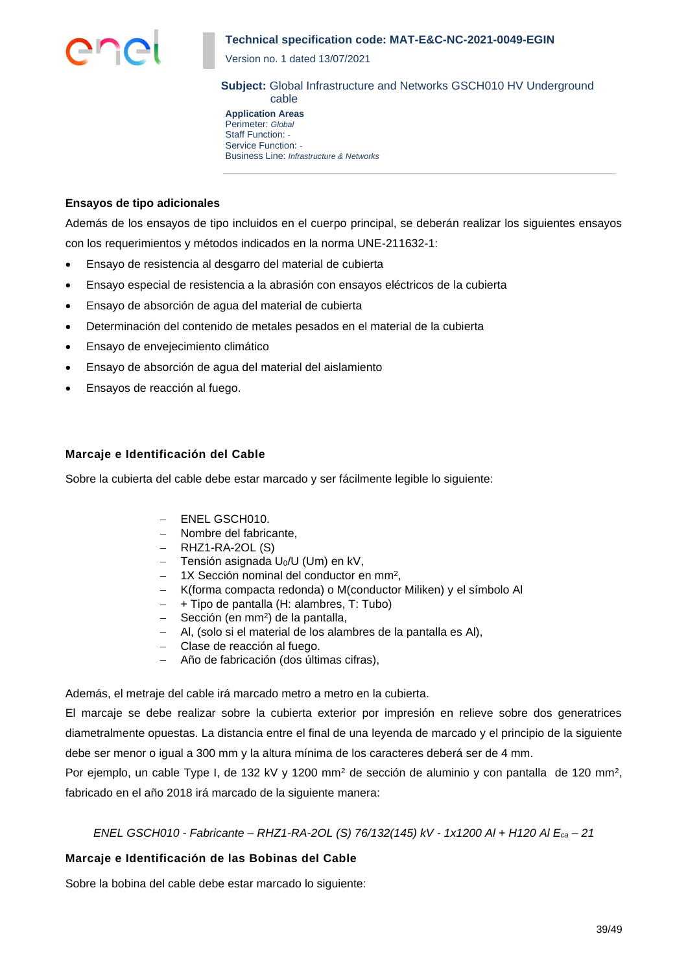

Version no. 1 dated 13/07/2021

**Subject:** Global Infrastructure and Networks GSCH010 HV Underground cable

**Application Areas** Perimeter: *Global* Staff Function: *-* Service Function: *-* Business Line: *Infrastructure & Networks*

### **Ensayos de tipo adicionales**

Además de los ensayos de tipo incluidos en el cuerpo principal, se deberán realizar los siguientes ensayos con los requerimientos y métodos indicados en la norma UNE-211632-1:

- Ensayo de resistencia al desgarro del material de cubierta
- Ensayo especial de resistencia a la abrasión con ensayos eléctricos de la cubierta
- Ensayo de absorción de agua del material de cubierta
- Determinación del contenido de metales pesados en el material de la cubierta
- Ensayo de envejecimiento climático
- Ensayo de absorción de agua del material del aislamiento
- Ensayos de reacción al fuego.

### **Marcaje e Identificación del Cable**

Sobre la cubierta del cable debe estar marcado y ser fácilmente legible lo siguiente:

- − ENEL GSCH010.
- − Nombre del fabricante,
- − RHZ1-RA-2OL (S)
- − Tensión asignada U0/U (Um) en kV,
- − 1X Sección nominal del conductor en mm<sup>2</sup> ,
- − K(forma compacta redonda) o M(conductor Miliken) y el símbolo Al
- − + Tipo de pantalla (H: alambres, T: Tubo)
- − Sección (en mm<sup>2</sup> ) de la pantalla,
- − Al, (solo si el material de los alambres de la pantalla es Al),
- − Clase de reacción al fuego.
- − Año de fabricación (dos últimas cifras),

Además, el metraje del cable irá marcado metro a metro en la cubierta.

El marcaje se debe realizar sobre la cubierta exterior por impresión en relieve sobre dos generatrices diametralmente opuestas. La distancia entre el final de una leyenda de marcado y el principio de la siguiente debe ser menor o igual a 300 mm y la altura mínima de los caracteres deberá ser de 4 mm.

Por ejemplo, un cable Type I, de 132 kV y 1200 mm<sup>2</sup> de sección de aluminio y con pantalla de 120 mm<sup>2</sup>, fabricado en el año 2018 irá marcado de la siguiente manera:

## *ENEL GSCH010 - Fabricante – RHZ1-RA-2OL (S) 76/132(145) kV - 1x1200 Al + H120 Al Eca – 21*

## **Marcaje e Identificación de las Bobinas del Cable**

Sobre la bobina del cable debe estar marcado lo siguiente: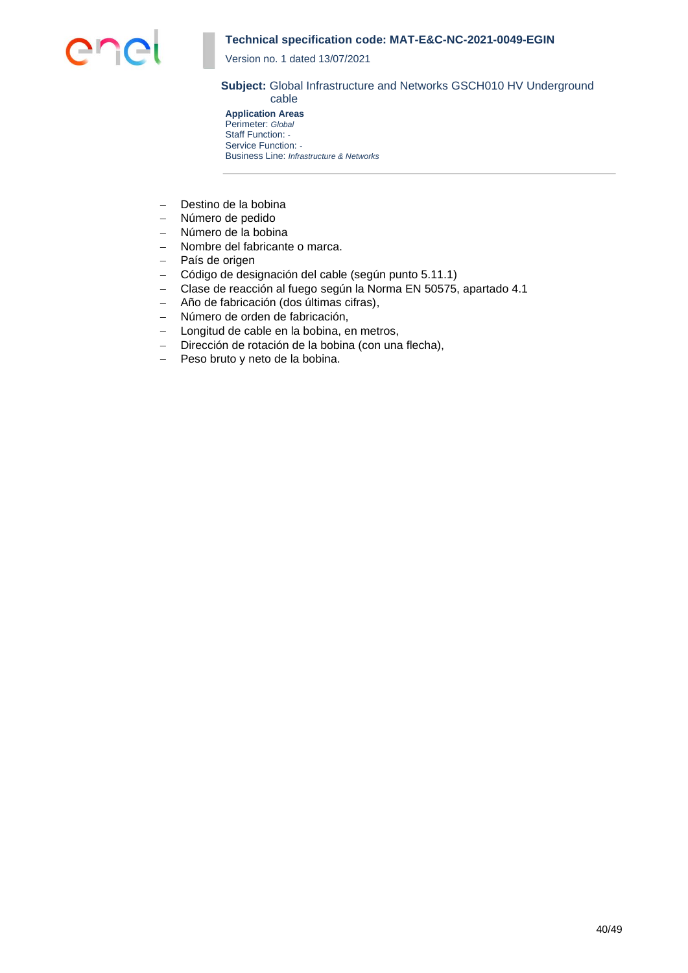

Version no. 1 dated 13/07/2021

#### **Subject:** Global Infrastructure and Networks GSCH010 HV Underground cable

**Application Areas** Perimeter: *Global* Staff Function: *-* Service Function: *-* Business Line: *Infrastructure & Networks*

- − Destino de la bobina
- − Número de pedido
- − Número de la bobina
- − Nombre del fabricante o marca.
- − País de origen
- − Código de designación del cable (según punto 5.11.1)
- − Clase de reacción al fuego según la Norma EN 50575, apartado 4.1
- − Año de fabricación (dos últimas cifras),
- − Número de orden de fabricación,
- − Longitud de cable en la bobina, en metros,
- − Dirección de rotación de la bobina (con una flecha),
- − Peso bruto y neto de la bobina.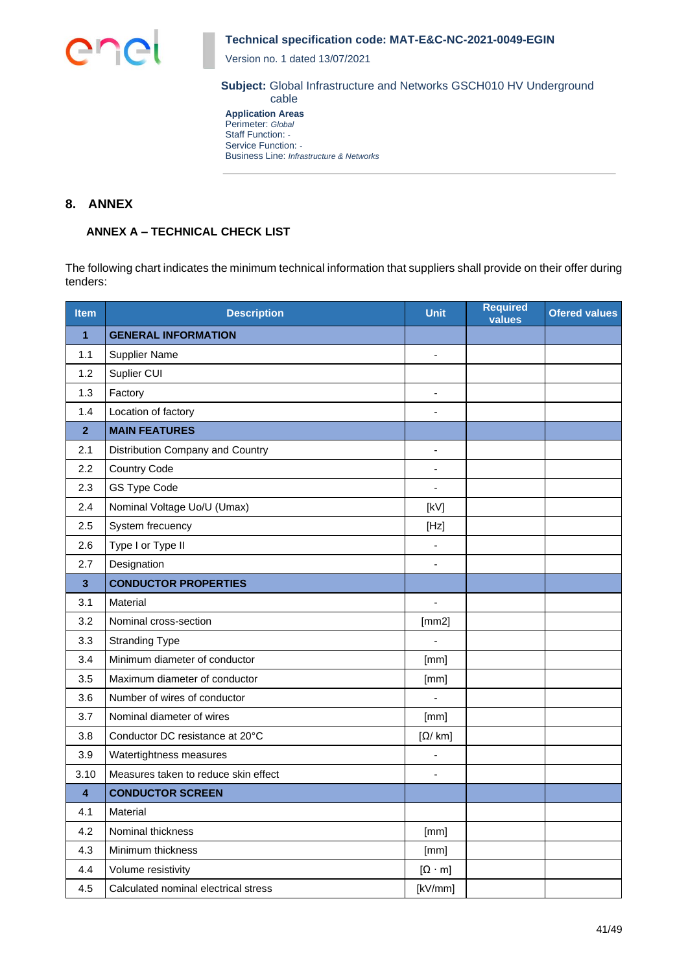

Version no. 1 dated 13/07/2021

**Subject:** Global Infrastructure and Networks GSCH010 HV Underground cable

**Application Areas** Perimeter: *Global* Staff Function: *-* Service Function: *-* Business Line: *Infrastructure & Networks*

## **8. ANNEX**

## **ANNEX A – TECHNICAL CHECK LIST**

The following chart indicates the minimum technical information that suppliers shall provide on their offer during tenders:

| <b>Item</b>  | <b>Description</b>                   | <b>Unit</b>                         | <b>Required</b><br>values | <b>Ofered values</b> |
|--------------|--------------------------------------|-------------------------------------|---------------------------|----------------------|
| $\mathbf{1}$ | <b>GENERAL INFORMATION</b>           |                                     |                           |                      |
| 1.1          | <b>Supplier Name</b>                 |                                     |                           |                      |
| 1.2          | Suplier CUI                          |                                     |                           |                      |
| 1.3          | Factory                              | $\blacksquare$                      |                           |                      |
| 1.4          | Location of factory                  |                                     |                           |                      |
| $\mathbf{2}$ | <b>MAIN FEATURES</b>                 |                                     |                           |                      |
| 2.1          | Distribution Company and Country     |                                     |                           |                      |
| 2.2          | <b>Country Code</b>                  |                                     |                           |                      |
| 2.3          | GS Type Code                         |                                     |                           |                      |
| 2.4          | Nominal Voltage Uo/U (Umax)          | [kV]                                |                           |                      |
| 2.5          | System frecuency                     | [Hz]                                |                           |                      |
| 2.6          | Type I or Type II                    |                                     |                           |                      |
| 2.7          | Designation                          |                                     |                           |                      |
| 3            | <b>CONDUCTOR PROPERTIES</b>          |                                     |                           |                      |
| 3.1          | Material                             | $\overline{a}$                      |                           |                      |
| 3.2          | Nominal cross-section                | [mm2]                               |                           |                      |
| 3.3          | <b>Stranding Type</b>                |                                     |                           |                      |
| 3.4          | Minimum diameter of conductor        | [mm]                                |                           |                      |
| 3.5          | Maximum diameter of conductor        | [mm]                                |                           |                      |
| 3.6          | Number of wires of conductor         |                                     |                           |                      |
| 3.7          | Nominal diameter of wires            | [mm]                                |                           |                      |
| 3.8          | Conductor DC resistance at 20°C      | $\lceil \Omega / \text{ km} \rceil$ |                           |                      |
| 3.9          | Watertightness measures              |                                     |                           |                      |
| 3.10         | Measures taken to reduce skin effect |                                     |                           |                      |
| 4            | <b>CONDUCTOR SCREEN</b>              |                                     |                           |                      |
| 4.1          | Material                             |                                     |                           |                      |
| 4.2          | Nominal thickness                    | [mm]                                |                           |                      |
| 4.3          | Minimum thickness                    | [mm]                                |                           |                      |
| 4.4          | Volume resistivity                   | $[\Omega \cdot m]$                  |                           |                      |
| 4.5          | Calculated nominal electrical stress | [kV/mm]                             |                           |                      |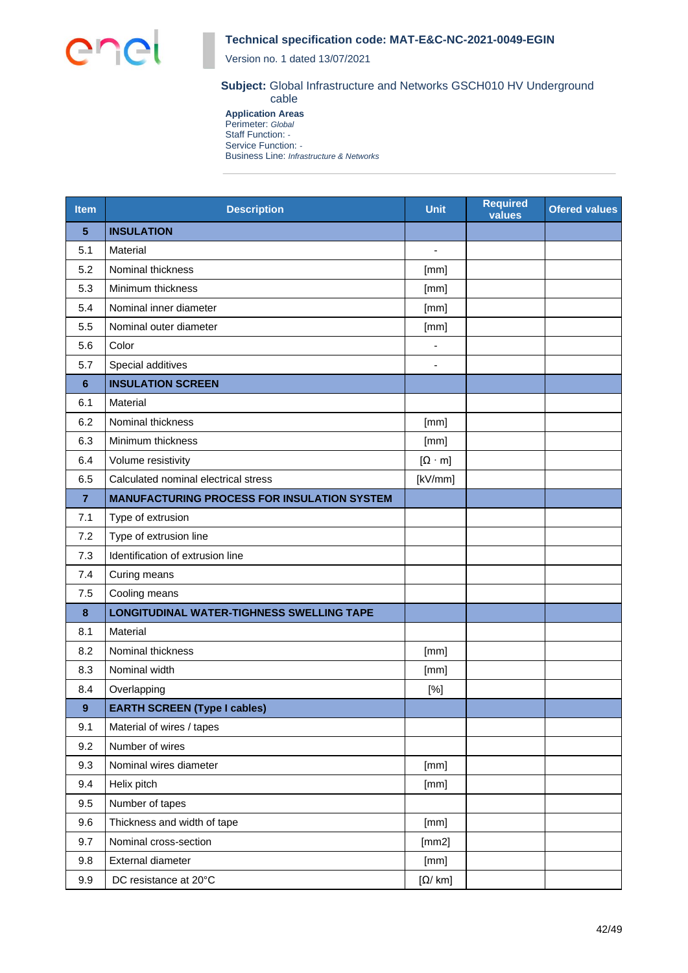

Version no. 1 dated 13/07/2021

#### **Subject:** Global Infrastructure and Networks GSCH010 HV Underground cable

**Application Areas** Perimeter: *Global* Staff Function: *-* Service Function: *-* Business Line: *Infrastructure & Networks*

| <b>Item</b>     | <b>Description</b>                                 | <b>Unit</b>              | <b>Required</b><br>values | <b>Ofered values</b> |
|-----------------|----------------------------------------------------|--------------------------|---------------------------|----------------------|
| 5               | <b>INSULATION</b>                                  |                          |                           |                      |
| 5.1             | Material                                           | $\overline{\phantom{m}}$ |                           |                      |
| 5.2             | Nominal thickness                                  | [mm]                     |                           |                      |
| 5.3             | Minimum thickness                                  | [mm]                     |                           |                      |
| 5.4             | Nominal inner diameter                             | [mm]                     |                           |                      |
| 5.5             | Nominal outer diameter                             | [mm]                     |                           |                      |
| 5.6             | Color                                              |                          |                           |                      |
| 5.7             | Special additives                                  |                          |                           |                      |
| $6\phantom{1}6$ | <b>INSULATION SCREEN</b>                           |                          |                           |                      |
| 6.1             | Material                                           |                          |                           |                      |
| 6.2             | Nominal thickness                                  | [mm]                     |                           |                      |
| 6.3             | Minimum thickness                                  | [mm]                     |                           |                      |
| 6.4             | Volume resistivity                                 | $[\Omega \cdot m]$       |                           |                      |
| 6.5             | Calculated nominal electrical stress               | [kV/mm]                  |                           |                      |
| $\overline{7}$  | <b>MANUFACTURING PROCESS FOR INSULATION SYSTEM</b> |                          |                           |                      |
| 7.1             | Type of extrusion                                  |                          |                           |                      |
| 7.2             | Type of extrusion line                             |                          |                           |                      |
| 7.3             | Identification of extrusion line                   |                          |                           |                      |
| 7.4             | Curing means                                       |                          |                           |                      |
| 7.5             | Cooling means                                      |                          |                           |                      |
| 8               | <b>LONGITUDINAL WATER-TIGHNESS SWELLING TAPE</b>   |                          |                           |                      |
| 8.1             | Material                                           |                          |                           |                      |
| 8.2             | Nominal thickness                                  | [mm]                     |                           |                      |
| 8.3             | Nominal width                                      | [mm]                     |                           |                      |
| 8.4             | Overlapping                                        | [%]                      |                           |                      |
| 9               | <b>EARTH SCREEN (Type I cables)</b>                |                          |                           |                      |
| 9.1             | Material of wires / tapes                          |                          |                           |                      |
| 9.2             | Number of wires                                    |                          |                           |                      |
| 9.3             | Nominal wires diameter                             | [mm]                     |                           |                      |
| 9.4             | Helix pitch                                        | [mm]                     |                           |                      |
| 9.5             | Number of tapes                                    |                          |                           |                      |
| 9.6             | Thickness and width of tape                        | [mm]                     |                           |                      |
| 9.7             | Nominal cross-section                              | [mm2]                    |                           |                      |
| 9.8             | External diameter                                  | [mm]                     |                           |                      |
| 9.9             | DC resistance at 20°C                              | $[\Omega / km]$          |                           |                      |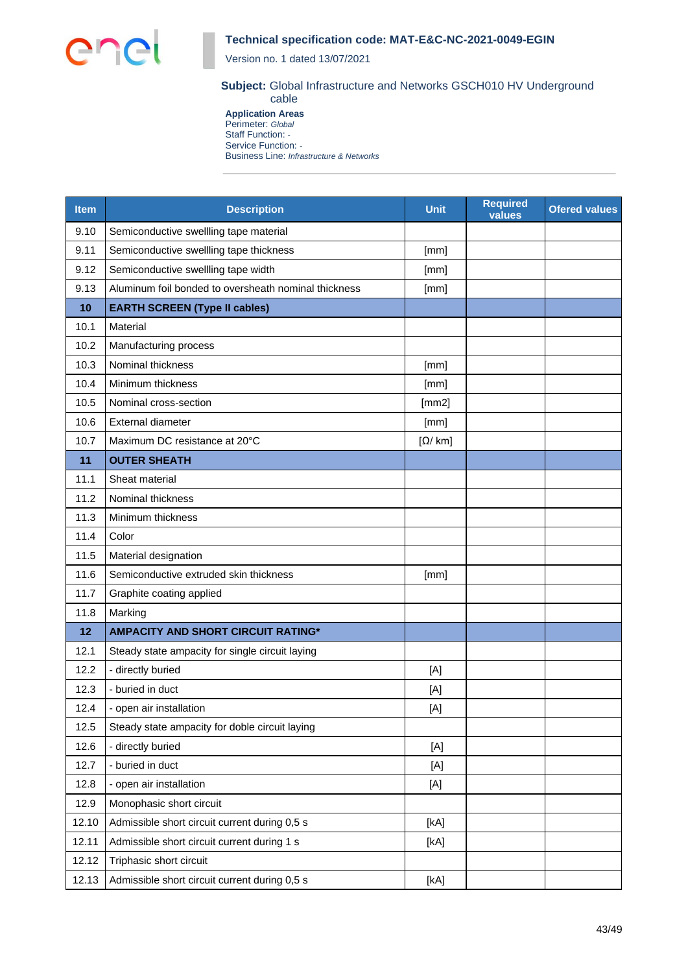

Version no. 1 dated 13/07/2021

#### **Subject:** Global Infrastructure and Networks GSCH010 HV Underground cable

**Application Areas** Perimeter: *Global* Staff Function: *-* Service Function: *-* Business Line: *Infrastructure & Networks*

| <b>Item</b> | <b>Description</b>                                   | <b>Unit</b>     | <b>Required</b><br>values | <b>Ofered values</b> |
|-------------|------------------------------------------------------|-----------------|---------------------------|----------------------|
| 9.10        | Semiconductive swellling tape material               |                 |                           |                      |
| 9.11        | Semiconductive swellling tape thickness              | [mm]            |                           |                      |
| 9.12        | Semiconductive swellling tape width                  | [mm]            |                           |                      |
| 9.13        | Aluminum foil bonded to oversheath nominal thickness | [mm]            |                           |                      |
| 10          | <b>EARTH SCREEN (Type II cables)</b>                 |                 |                           |                      |
| 10.1        | Material                                             |                 |                           |                      |
| 10.2        | Manufacturing process                                |                 |                           |                      |
| 10.3        | Nominal thickness                                    | [mm]            |                           |                      |
| 10.4        | Minimum thickness                                    | [mm]            |                           |                      |
| 10.5        | Nominal cross-section                                | [mm2]           |                           |                      |
| 10.6        | External diameter                                    | [mm]            |                           |                      |
| 10.7        | Maximum DC resistance at 20°C                        | $[\Omega / km]$ |                           |                      |
| 11          | <b>OUTER SHEATH</b>                                  |                 |                           |                      |
| 11.1        | Sheat material                                       |                 |                           |                      |
| 11.2        | Nominal thickness                                    |                 |                           |                      |
| 11.3        | Minimum thickness                                    |                 |                           |                      |
| 11.4        | Color                                                |                 |                           |                      |
| 11.5        | Material designation                                 |                 |                           |                      |
| 11.6        | Semiconductive extruded skin thickness               | [mm]            |                           |                      |
| 11.7        | Graphite coating applied                             |                 |                           |                      |
| 11.8        | Marking                                              |                 |                           |                      |
| 12          | <b>AMPACITY AND SHORT CIRCUIT RATING*</b>            |                 |                           |                      |
| 12.1        | Steady state ampacity for single circuit laying      |                 |                           |                      |
| 12.2        | - directly buried                                    | [A]             |                           |                      |
| 12.3        | - buried in duct                                     | [A]             |                           |                      |
| 12.4        | - open air installation                              | [A]             |                           |                      |
| 12.5        | Steady state ampacity for doble circuit laying       |                 |                           |                      |
| 12.6        | - directly buried                                    | [A]             |                           |                      |
| 12.7        | - buried in duct                                     | [A]             |                           |                      |
| 12.8        | - open air installation                              | [A]             |                           |                      |
| 12.9        | Monophasic short circuit                             |                 |                           |                      |
| 12.10       | Admissible short circuit current during 0,5 s        | [KA]            |                           |                      |
| 12.11       | Admissible short circuit current during 1 s          | [KA]            |                           |                      |
| 12.12       | Triphasic short circuit                              |                 |                           |                      |
| 12.13       | Admissible short circuit current during 0,5 s        | [kA]            |                           |                      |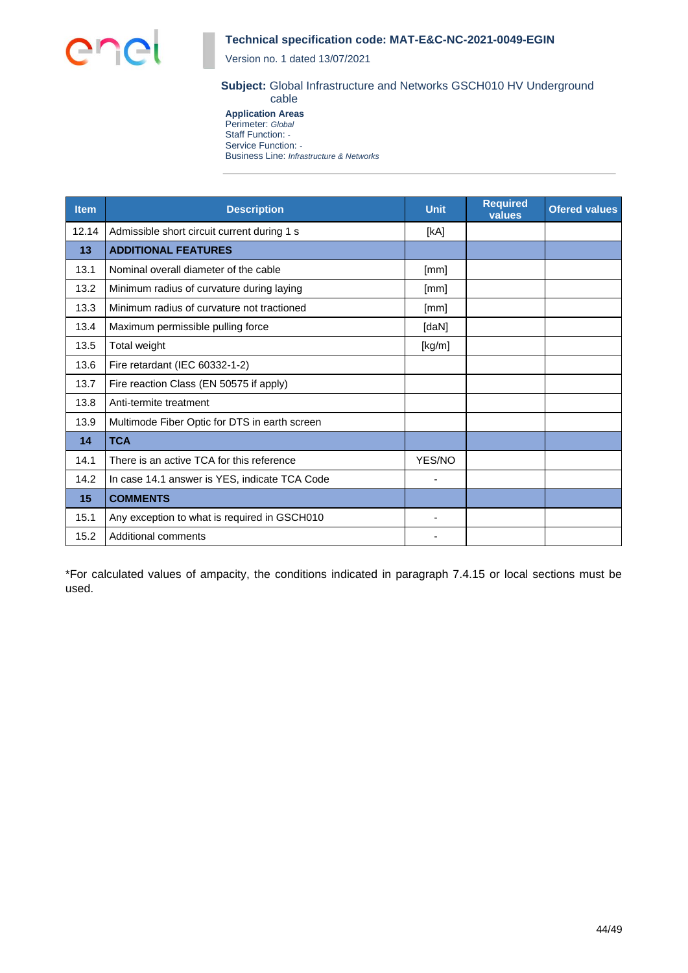

Version no. 1 dated 13/07/2021

### **Subject:** Global Infrastructure and Networks GSCH010 HV Underground cable

**Application Areas** Perimeter: *Global* Staff Function: *-* Service Function: *-* Business Line: *Infrastructure & Networks*

| <b>Item</b> | <b>Description</b>                            | <b>Unit</b> | <b>Required</b><br>values | <b>Ofered values</b> |
|-------------|-----------------------------------------------|-------------|---------------------------|----------------------|
| 12.14       | Admissible short circuit current during 1 s   | [kA]        |                           |                      |
| 13          | <b>ADDITIONAL FEATURES</b>                    |             |                           |                      |
| 13.1        | Nominal overall diameter of the cable         | [mm]        |                           |                      |
| 13.2        | Minimum radius of curvature during laying     | [mm]        |                           |                      |
| 13.3        | Minimum radius of curvature not tractioned    | [mm]        |                           |                      |
| 13.4        | Maximum permissible pulling force             | [daN]       |                           |                      |
| 13.5        | Total weight                                  | [kg/m]      |                           |                      |
| 13.6        | Fire retardant (IEC 60332-1-2)                |             |                           |                      |
| 13.7        | Fire reaction Class (EN 50575 if apply)       |             |                           |                      |
| 13.8        | Anti-termite treatment                        |             |                           |                      |
| 13.9        | Multimode Fiber Optic for DTS in earth screen |             |                           |                      |
| 14          | <b>TCA</b>                                    |             |                           |                      |
| 14.1        | There is an active TCA for this reference     | YES/NO      |                           |                      |
| 14.2        | In case 14.1 answer is YES, indicate TCA Code |             |                           |                      |
| 15          | <b>COMMENTS</b>                               |             |                           |                      |
| 15.1        | Any exception to what is required in GSCH010  |             |                           |                      |
| 15.2        | <b>Additional comments</b>                    |             |                           |                      |

\*For calculated values of ampacity, the conditions indicated in paragraph 7.4.15 or local sections must be used.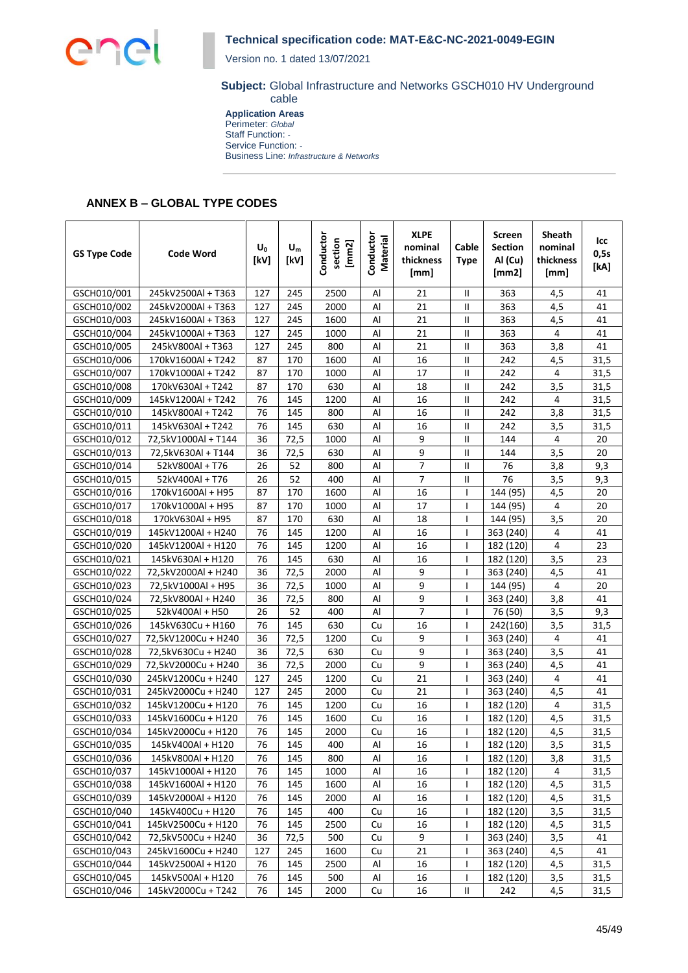

Version no. 1 dated 13/07/2021

#### **Subject:** Global Infrastructure and Networks GSCH010 HV Underground cable

**Application Areas** Perimeter: *Global* Staff Function: *-* Service Function: *-* Business Line: *Infrastructure & Networks*

## **ANNEX B – GLOBAL TYPE CODES**

| <b>GS Type Code</b> | Code Word           | $U_0$<br>[kV] | $U_m$<br>[kV] | Conductor<br>section<br>[mm2] | Conductor<br>Material | <b>XLPE</b><br>nominal<br>thickness<br>[mm] | Cable<br><b>Type</b> | Screen<br><b>Section</b><br>Al (Cu)<br>[mm2] | <b>Sheath</b><br>nominal<br>thickness<br>[mm] | lcc<br>0,5s<br>[kA] |
|---------------------|---------------------|---------------|---------------|-------------------------------|-----------------------|---------------------------------------------|----------------------|----------------------------------------------|-----------------------------------------------|---------------------|
| GSCH010/001         | 245kV2500Al + T363  | 127           | 245           | 2500                          | Al                    | 21                                          | Ш                    | 363                                          | 4,5                                           | 41                  |
| GSCH010/002         | 245kV2000Al + T363  | 127           | 245           | 2000                          | $\mathsf{Al}$         | 21                                          | Ш                    | 363                                          | 4,5                                           | 41                  |
| GSCH010/003         | 245kV1600Al + T363  | 127           | 245           | 1600                          | Al                    | 21                                          | Ш                    | 363                                          | 4,5                                           | 41                  |
| GSCH010/004         | 245kV1000Al + T363  | 127           | 245           | 1000                          | Al                    | 21                                          | Ш                    | 363                                          | 4                                             | 41                  |
| GSCH010/005         | 245kV800Al + T363   | 127           | 245           | 800                           | Al                    | 21                                          | Ш                    | 363                                          | 3,8                                           | 41                  |
| GSCH010/006         | 170kV1600Al + T242  | 87            | 170           | 1600                          | Al                    | 16                                          | Ш                    | 242                                          | 4,5                                           | 31,5                |
| GSCH010/007         | 170kV1000Al + T242  | 87            | 170           | 1000                          | Al                    | 17                                          | Ш                    | 242                                          | 4                                             | 31,5                |
| GSCH010/008         | 170kV630Al + T242   | 87            | 170           | 630                           | Al                    | 18                                          | Ш                    | 242                                          | 3,5                                           | 31,5                |
| GSCH010/009         | 145kV1200Al + T242  | 76            | 145           | 1200                          | Al                    | 16                                          | Ш                    | 242                                          | 4                                             | 31,5                |
| GSCH010/010         | 145kV800Al + T242   | 76            | 145           | 800                           | Al                    | 16                                          | Ш                    | 242                                          | 3,8                                           | 31,5                |
| GSCH010/011         | 145kV630Al + T242   | 76            | 145           | 630                           | Al                    | 16                                          | Ш                    | 242                                          | 3,5                                           | 31,5                |
| GSCH010/012         | 72,5kV1000Al + T144 | 36            | 72,5          | 1000                          | Al                    | 9                                           | Ш                    | 144                                          | 4                                             | 20                  |
| GSCH010/013         | 72,5kV630Al + T144  | 36            | 72,5          | 630                           | Al                    | 9                                           | Ш                    | 144                                          | 3,5                                           | 20                  |
| GSCH010/014         | 52kV800Al + T76     | 26            | 52            | 800                           | Al                    | 7                                           | Ш                    | 76                                           | 3,8                                           | 9,3                 |
| GSCH010/015         | 52kV400Al + T76     | 26            | 52            | 400                           | Al                    | $\overline{7}$                              | $\mathsf{II}$        | 76                                           | 3,5                                           | 9,3                 |
| GSCH010/016         | 170kV1600Al + H95   | 87            | 170           | 1600                          | Al                    | 16                                          |                      | 144 (95)                                     | 4,5                                           | 20                  |
| GSCH010/017         | 170kV1000Al + H95   | 87            | 170           | 1000                          | Al                    | 17                                          |                      | 144 (95)                                     | 4                                             | 20                  |
| GSCH010/018         | 170kV630Al + H95    | 87            | 170           | 630                           | Al                    | 18                                          |                      | 144 (95)                                     | 3,5                                           | 20                  |
| GSCH010/019         | 145kV1200Al + H240  | 76            | 145           | 1200                          | Al                    | 16                                          | ı                    | 363 (240)                                    | 4                                             | 41                  |
| GSCH010/020         | 145kV1200Al + H120  | 76            | 145           | 1200                          | Al                    | 16                                          |                      | 182 (120)                                    | 4                                             | 23                  |
| GSCH010/021         | 145kV630Al + H120   | 76            | 145           | 630                           | Al                    | 16                                          |                      | 182 (120)                                    | 3,5                                           | 23                  |
| GSCH010/022         | 72,5kV2000Al + H240 | 36            | 72,5          | 2000                          | Al                    | 9                                           |                      | 363 (240)                                    | 4,5                                           | 41                  |
| GSCH010/023         | 72,5kV1000Al + H95  | 36            | 72,5          | 1000                          | Al                    | 9                                           |                      | 144 (95)                                     | 4                                             | 20                  |
| GSCH010/024         | 72,5kV800Al + H240  | 36            | 72,5          | 800                           | $\mathsf{Al}$         | 9                                           | I                    | 363 (240)                                    | 3,8                                           | 41                  |
| GSCH010/025         | 52kV400Al + H50     | 26            | 52            | 400                           | $\mathsf{Al}$         | 7                                           | $\mathbf{I}$         | 76 (50)                                      | 3,5                                           | 9,3                 |
| GSCH010/026         | 145kV630Cu + H160   | 76            | 145           | 630                           | Cu                    | 16                                          |                      | 242(160)                                     | 3,5                                           | 31,5                |
| GSCH010/027         | 72,5kV1200Cu + H240 | 36            | 72,5          | 1200                          | Cu                    | 9                                           |                      | 363 (240)                                    | 4                                             | 41                  |
| GSCH010/028         | 72,5kV630Cu + H240  | 36            | 72,5          | 630                           | Cu                    | 9                                           | $\mathbf{I}$         | 363 (240)                                    | 3,5                                           | 41                  |
| GSCH010/029         | 72,5kV2000Cu + H240 | 36            | 72,5          | 2000                          | Cu                    | 9                                           |                      | 363 (240)                                    | 4,5                                           | 41                  |
| GSCH010/030         | 245kV1200Cu + H240  | 127           | 245           | 1200                          | Cu                    | 21                                          |                      | 363 (240)                                    | 4                                             | 41                  |
| GSCH010/031         | 245kV2000Cu + H240  | 127           | 245           | 2000                          | Cu                    | 21                                          |                      | 363 (240)                                    | 4,5                                           | 41                  |
| GSCH010/032         | 145kV1200Cu + H120  | 76            | 145           | 1200                          | Cu                    | 16                                          |                      | 182 (120)                                    | 4                                             | 31,5                |
| GSCH010/033         | 145kV1600Cu + H120  | 76            | 145           | 1600                          | Cu                    | 16                                          |                      | 182 (120)                                    | 4,5                                           | 31,5                |
| GSCH010/034         | 145kV2000Cu + H120  | 76            | 145           | 2000                          | Cu                    | 16                                          | T                    | 182 (120)                                    | 4,5                                           | 31,5                |
| GSCH010/035         | 145kV400Al + H120   | 76            | 145           | 400                           | Al                    | 16                                          | $\mathbf{I}$         | 182 (120)                                    | 3,5                                           | 31,5                |
| GSCH010/036         | 145kV800Al + H120   | 76            | 145           | 800                           | Al                    | 16                                          |                      | 182 (120)                                    | 3,8                                           | 31,5                |
| GSCH010/037         | 145kV1000Al + H120  | 76            | 145           | 1000                          | Al                    | 16                                          | I                    | 182 (120)                                    | 4                                             | 31,5                |
| GSCH010/038         | 145kV1600Al + H120  | 76            | 145           | 1600                          | Al                    | 16                                          | L                    | 182 (120)                                    | 4,5                                           | 31,5                |
| GSCH010/039         | 145kV2000Al + H120  | 76            | 145           | 2000                          | Al                    | 16                                          |                      | 182 (120)                                    | 4,5                                           | 31,5                |
| GSCH010/040         | 145kV400Cu + H120   | 76            | 145           | 400                           | Cu                    | 16                                          | I                    | 182 (120)                                    | 3,5                                           | 31,5                |
| GSCH010/041         | 145kV2500Cu + H120  | 76            | 145           | 2500                          | Cu                    | 16                                          |                      | 182 (120)                                    | 4,5                                           | 31,5                |
| GSCH010/042         | 72,5kV500Cu + H240  | 36            | 72,5          | 500                           | Cu                    | 9                                           |                      | 363 (240)                                    | 3,5                                           | 41                  |
| GSCH010/043         | 245kV1600Cu + H240  | 127           | 245           | 1600                          | Cu                    | 21                                          |                      | 363 (240)                                    | 4,5                                           | 41                  |
| GSCH010/044         | 145kV2500Al + H120  | 76            | 145           | 2500                          | Al                    | 16                                          |                      | 182 (120)                                    | 4,5                                           | 31,5                |
| GSCH010/045         | 145kV500Al + H120   | 76            | 145           | 500                           | Al                    | 16                                          |                      | 182 (120)                                    | 3,5                                           | 31,5                |
| GSCH010/046         | 145kV2000Cu + T242  | 76            | 145           | 2000                          | Cu                    | 16                                          | Ш                    | 242                                          | 4,5                                           | 31,5                |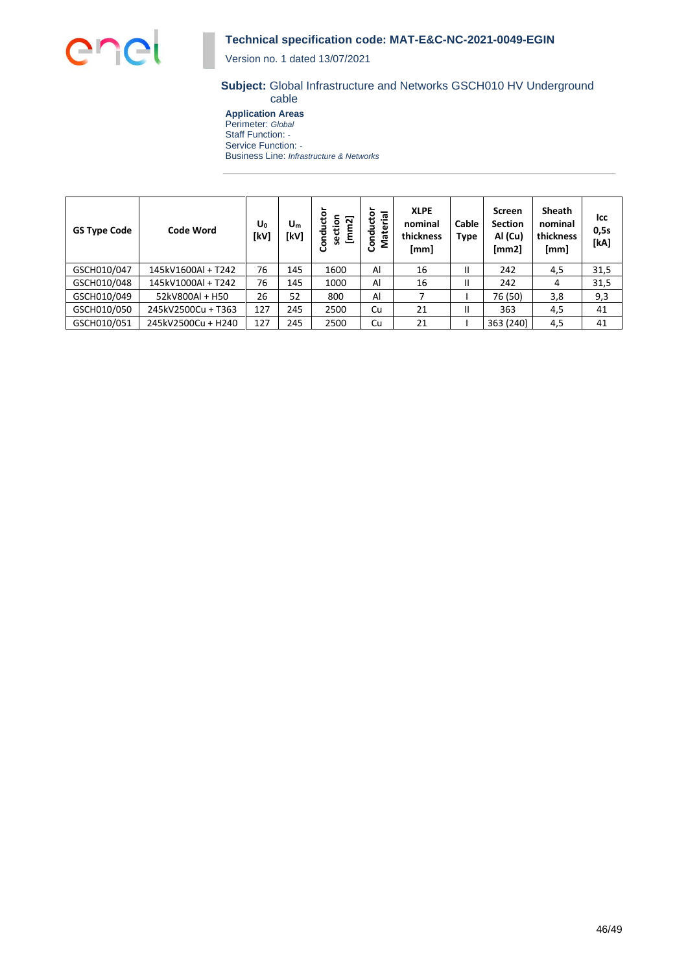

Version no. 1 dated 13/07/2021

#### **Subject:** Global Infrastructure and Networks GSCH010 HV Underground cable

**Application Areas** Perimeter: *Global* Staff Function: *-* Service Function: *-* Business Line: *Infrastructure & Networks*

| <b>GS Type Code</b> | <b>Code Word</b>   | $U_0$<br>[kV] | $U_m$<br>[kV] | č<br>section<br>[mm2]<br>혼<br>පි | Material<br>Conducto | <b>XLPE</b><br>nominal<br>thickness<br>[mm] | Cable<br><b>Type</b> | <b>Screen</b><br><b>Section</b><br>Al (Cu)<br>[mm2] | <b>Sheath</b><br>nominal<br>thickness<br>[mm] | lcc<br>0,5s<br>[kA] |
|---------------------|--------------------|---------------|---------------|----------------------------------|----------------------|---------------------------------------------|----------------------|-----------------------------------------------------|-----------------------------------------------|---------------------|
| GSCH010/047         | 145kV1600Al + T242 | 76            | 145           | 1600                             | Al                   | 16                                          | Ш                    | 242                                                 | 4,5                                           | 31,5                |
| GSCH010/048         | 145kV1000Al + T242 | 76            | 145           | 1000                             | Al                   | 16                                          | Ш                    | 242                                                 | 4                                             | 31,5                |
| GSCH010/049         | 52kV800Al + H50    | 26            | 52            | 800                              | Al                   |                                             |                      | 76 (50)                                             | 3,8                                           | 9,3                 |
| GSCH010/050         | 245kV2500Cu + T363 | 127           | 245           | 2500                             | Cu                   | 21                                          | Ш                    | 363                                                 | 4,5                                           | 41                  |
| GSCH010/051         | 245kV2500Cu + H240 | 127           | 245           | 2500                             | Cu                   | 21                                          |                      | 363 (240)                                           | 4,5                                           | 41                  |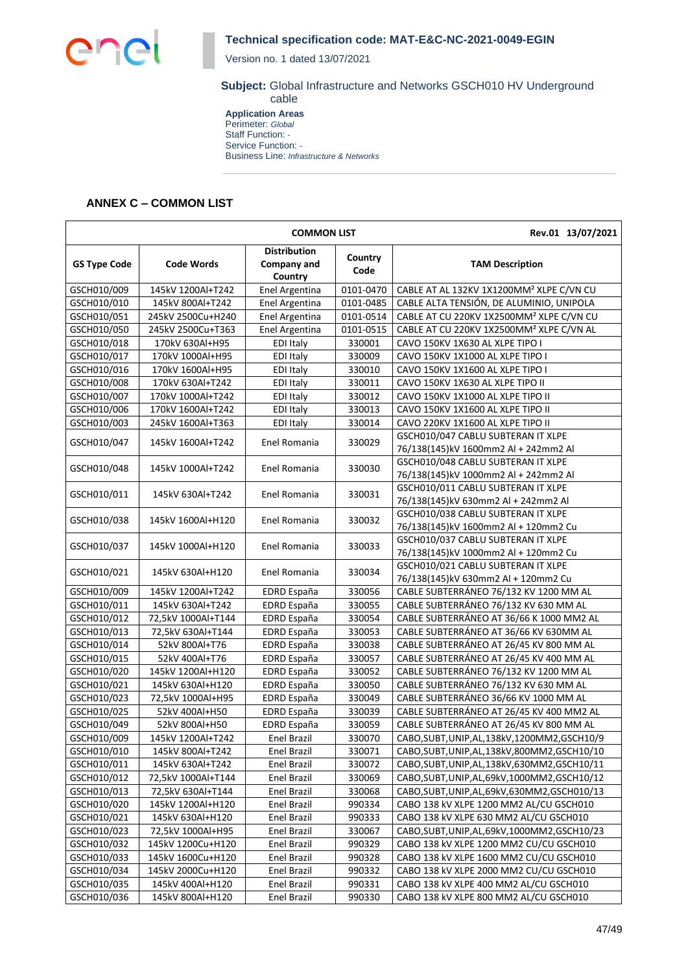

Version no. 1 dated 13/07/2021

#### **Subject:** Global Infrastructure and Networks GSCH010 HV Underground cable

**Application Areas** Perimeter: *Global* Staff Function: *-* Service Function: *-* Business Line: *Infrastructure & Networks*

## **ANNEX C – COMMON LIST**

|                     |                    | <b>COMMON LIST</b>                                   |                 | Rev.01 13/07/2021                                    |                                    |  |
|---------------------|--------------------|------------------------------------------------------|-----------------|------------------------------------------------------|------------------------------------|--|
| <b>GS Type Code</b> | <b>Code Words</b>  | <b>Distribution</b><br><b>Company and</b><br>Country | Country<br>Code | <b>TAM Description</b>                               |                                    |  |
| GSCH010/009         | 145kV 1200Al+T242  | Enel Argentina                                       | 0101-0470       | CABLE AT AL 132KV 1X1200MM <sup>2</sup> XLPE C/VN CU |                                    |  |
| GSCH010/010         | 145kV 800Al+T242   | Enel Argentina                                       | 0101-0485       | CABLE ALTA TENSIÓN, DE ALUMINIO, UNIPOLA             |                                    |  |
| GSCH010/051         | 245kV 2500Cu+H240  | Enel Argentina                                       | 0101-0514       | CABLE AT CU 220KV 1X2500MM <sup>2</sup> XLPE C/VN CU |                                    |  |
| GSCH010/050         | 245kV 2500Cu+T363  | Enel Argentina                                       | 0101-0515       | CABLE AT CU 220KV 1X2500MM <sup>2</sup> XLPE C/VN AL |                                    |  |
| GSCH010/018         | 170kV 630Al+H95    | <b>EDI Italy</b>                                     | 330001          | CAVO 150KV 1X630 AL XLPE TIPO I                      |                                    |  |
| GSCH010/017         | 170kV 1000Al+H95   | EDI Italy                                            | 330009          | CAVO 150KV 1X1000 AL XLPE TIPO I                     |                                    |  |
| GSCH010/016         | 170kV 1600Al+H95   | <b>EDI Italy</b>                                     | 330010          | CAVO 150KV 1X1600 AL XLPE TIPO I                     |                                    |  |
| GSCH010/008         | 170kV 630Al+T242   | EDI Italy                                            | 330011          | CAVO 150KV 1X630 AL XLPE TIPO II                     |                                    |  |
| GSCH010/007         | 170kV 1000Al+T242  | <b>EDI Italy</b>                                     | 330012          | CAVO 150KV 1X1000 AL XLPE TIPO II                    |                                    |  |
| GSCH010/006         | 170kV 1600Al+T242  | <b>EDI Italy</b>                                     | 330013          | CAVO 150KV 1X1600 AL XLPE TIPO II                    |                                    |  |
| GSCH010/003         | 245kV 1600Al+T363  | <b>EDI Italy</b>                                     | 330014          | CAVO 220KV 1X1600 AL XLPE TIPO II                    |                                    |  |
|                     |                    |                                                      |                 | GSCH010/047 CABLU SUBTERAN IT XLPE                   |                                    |  |
| GSCH010/047         | 145kV 1600Al+T242  | Enel Romania                                         | 330029          | 76/138(145)kV 1600mm2 Al + 242mm2 Al                 |                                    |  |
|                     |                    |                                                      |                 | GSCH010/048 CABLU SUBTERAN IT XLPE                   |                                    |  |
| GSCH010/048         | 145kV 1000Al+T242  | Enel Romania                                         | 330030          | 76/138(145)kV 1000mm2 Al + 242mm2 Al                 |                                    |  |
|                     |                    |                                                      |                 | GSCH010/011 CABLU SUBTERAN IT XLPE                   |                                    |  |
| GSCH010/011         | 145kV 630Al+T242   | Enel Romania                                         | 330031          | 76/138(145)kV 630mm2 Al + 242mm2 Al                  |                                    |  |
|                     | 145kV 1600Al+H120  |                                                      |                 | GSCH010/038 CABLU SUBTERAN IT XLPE                   |                                    |  |
| GSCH010/038         |                    | Enel Romania                                         | 330032          | 76/138(145)kV 1600mm2 Al + 120mm2 Cu                 |                                    |  |
|                     | 145kV 1000Al+H120  |                                                      |                 |                                                      | GSCH010/037 CABLU SUBTERAN IT XLPE |  |
| GSCH010/037         |                    | Enel Romania                                         | 330033          | 76/138(145)kV 1000mm2 Al + 120mm2 Cu                 |                                    |  |
|                     |                    |                                                      |                 | GSCH010/021 CABLU SUBTERAN IT XLPE                   |                                    |  |
| GSCH010/021         | 145kV 630Al+H120   | Enel Romania                                         | 330034          | 76/138(145)kV 630mm2 Al + 120mm2 Cu                  |                                    |  |
| GSCH010/009         | 145kV 1200Al+T242  | EDRD España                                          | 330056          | CABLE SUBTERRÁNEO 76/132 KV 1200 MM AL               |                                    |  |
| GSCH010/011         | 145kV 630Al+T242   | EDRD España                                          | 330055          | CABLE SUBTERRÁNEO 76/132 KV 630 MM AL                |                                    |  |
| GSCH010/012         | 72,5kV 1000Al+T144 | EDRD España                                          | 330054          | CABLE SUBTERRÁNEO AT 36/66 K 1000 MM2 AL             |                                    |  |
| GSCH010/013         | 72,5kV 630Al+T144  | EDRD España                                          | 330053          | CABLE SUBTERRÁNEO AT 36/66 KV 630MM AL               |                                    |  |
| GSCH010/014         | 52kV 800Al+T76     | EDRD España                                          | 330038          | CABLE SUBTERRÁNEO AT 26/45 KV 800 MM AL              |                                    |  |
| GSCH010/015         | 52kV 400Al+T76     | EDRD España                                          | 330057          | CABLE SUBTERRÁNEO AT 26/45 KV 400 MM AL              |                                    |  |
| GSCH010/020         | 145kV 1200Al+H120  | EDRD España                                          | 330052          | CABLE SUBTERRÁNEO 76/132 KV 1200 MM AL               |                                    |  |
| GSCH010/021         | 145kV 630Al+H120   | EDRD España                                          | 330050          | CABLE SUBTERRÁNEO 76/132 KV 630 MM AL                |                                    |  |
| GSCH010/023         | 72,5kV 1000Al+H95  | EDRD España                                          | 330049          | CABLE SUBTERRÁNEO 36/66 KV 1000 MM AL                |                                    |  |
| GSCH010/025         | 52kV 400Al+H50     | EDRD España                                          | 330039          | CABLE SUBTERRÁNEO AT 26/45 KV 400 MM2 AL             |                                    |  |
| GSCH010/049         | 52kV 800Al+H50     | EDRD España                                          | 330059          | CABLE SUBTERRÁNEO AT 26/45 KV 800 MM AL              |                                    |  |
| GSCH010/009         | 145kV 1200Al+T242  | <b>Enel Brazil</b>                                   | 330070          | CABO, SUBT, UNIP, AL, 138kV, 1200MM2, GSCH10/9       |                                    |  |
| GSCH010/010         | 145kV 800Al+T242   | Enel Brazil                                          | 330071          | CABO, SUBT, UNIP, AL, 138kV, 800MM2, GSCH10/10       |                                    |  |
| GSCH010/011         | 145kV 630Al+T242   | <b>Enel Brazil</b>                                   | 330072          | CABO, SUBT, UNIP, AL, 138kV, 630MM2, GSCH10/11       |                                    |  |
| GSCH010/012         | 72,5kV 1000Al+T144 | Enel Brazil                                          | 330069          | CABO, SUBT, UNIP, AL, 69kV, 1000MM2, GSCH10/12       |                                    |  |
| GSCH010/013         | 72,5kV 630Al+T144  | <b>Enel Brazil</b>                                   | 330068          | CABO,SUBT,UNIP,AL,69kV,630MM2,GSCH010/13             |                                    |  |
| GSCH010/020         | 145kV 1200Al+H120  | Enel Brazil                                          | 990334          | CABO 138 kV XLPE 1200 MM2 AL/CU GSCH010              |                                    |  |
| GSCH010/021         | 145kV 630Al+H120   | Enel Brazil                                          | 990333          | CABO 138 kV XLPE 630 MM2 AL/CU GSCH010               |                                    |  |
| GSCH010/023         | 72,5kV 1000Al+H95  | <b>Enel Brazil</b>                                   | 330067          | CABO, SUBT, UNIP, AL, 69kV, 1000MM2, GSCH10/23       |                                    |  |
| GSCH010/032         | 145kV 1200Cu+H120  | Enel Brazil                                          | 990329          | CABO 138 kV XLPE 1200 MM2 CU/CU GSCH010              |                                    |  |
| GSCH010/033         | 145kV 1600Cu+H120  | <b>Enel Brazil</b>                                   | 990328          | CABO 138 kV XLPE 1600 MM2 CU/CU GSCH010              |                                    |  |
| GSCH010/034         | 145kV 2000Cu+H120  | Enel Brazil                                          | 990332          | CABO 138 kV XLPE 2000 MM2 CU/CU GSCH010              |                                    |  |
| GSCH010/035         | 145kV 400Al+H120   | <b>Enel Brazil</b>                                   | 990331          | CABO 138 kV XLPE 400 MM2 AL/CU GSCH010               |                                    |  |
| GSCH010/036         | 145kV 800Al+H120   | Enel Brazil                                          | 990330          | CABO 138 kV XLPE 800 MM2 AL/CU GSCH010               |                                    |  |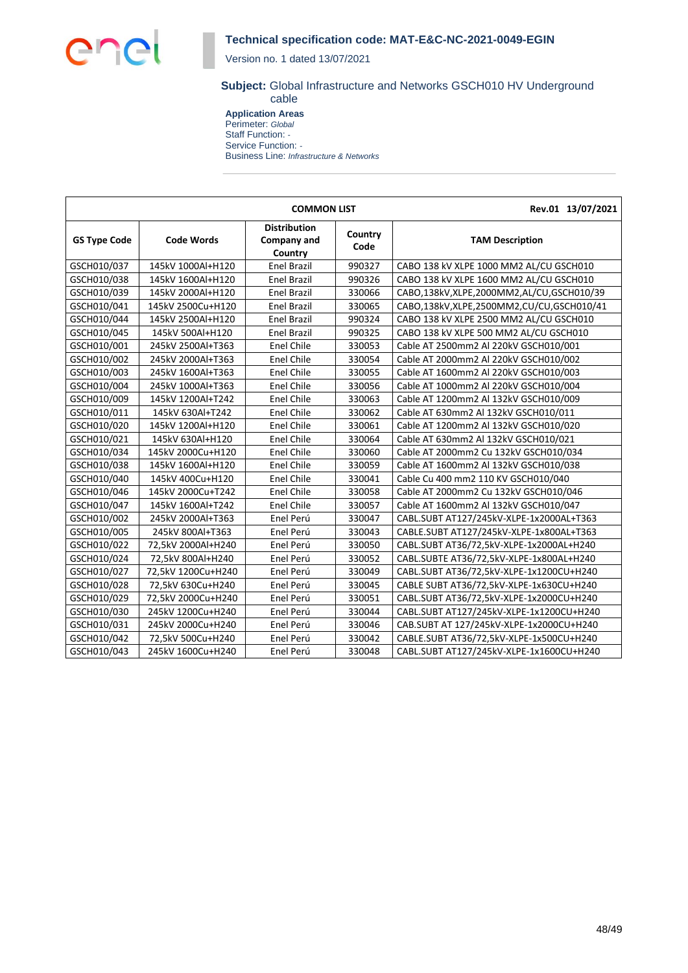

Version no. 1 dated 13/07/2021

#### **Subject:** Global Infrastructure and Networks GSCH010 HV Underground cable

**Application Areas** Perimeter: *Global* Staff Function: *-* Service Function: *-* Business Line: *Infrastructure & Networks*

|                     |                    | <b>COMMON LIST</b>                            |                 | Rev.01 13/07/2021                        |
|---------------------|--------------------|-----------------------------------------------|-----------------|------------------------------------------|
| <b>GS Type Code</b> | <b>Code Words</b>  | <b>Distribution</b><br>Company and<br>Country | Country<br>Code | <b>TAM Description</b>                   |
| GSCH010/037         | 145kV 1000Al+H120  | <b>Enel Brazil</b>                            | 990327          | CABO 138 kV XLPE 1000 MM2 AL/CU GSCH010  |
| GSCH010/038         | 145kV 1600Al+H120  | <b>Enel Brazil</b>                            | 990326          | CABO 138 kV XLPE 1600 MM2 AL/CU GSCH010  |
| GSCH010/039         | 145kV 2000Al+H120  | <b>Enel Brazil</b>                            | 330066          | CABO,138kV,XLPE,2000MM2,AL/CU,GSCH010/39 |
| GSCH010/041         | 145kV 2500Cu+H120  | <b>Enel Brazil</b>                            | 330065          | CABO,138kV,XLPE,2500MM2,CU/CU,GSCH010/41 |
| GSCH010/044         | 145kV 2500Al+H120  | <b>Enel Brazil</b>                            | 990324          | CABO 138 kV XLPE 2500 MM2 AL/CU GSCH010  |
| GSCH010/045         | 145kV 500Al+H120   | <b>Enel Brazil</b>                            | 990325          | CABO 138 kV XLPE 500 MM2 AL/CU GSCH010   |
| GSCH010/001         | 245kV 2500Al+T363  | <b>Enel Chile</b>                             | 330053          | Cable AT 2500mm2 Al 220kV GSCH010/001    |
| GSCH010/002         | 245kV 2000Al+T363  | <b>Enel Chile</b>                             | 330054          | Cable AT 2000mm2 Al 220kV GSCH010/002    |
| GSCH010/003         | 245kV 1600Al+T363  | <b>Enel Chile</b>                             | 330055          | Cable AT 1600mm2 Al 220kV GSCH010/003    |
| GSCH010/004         | 245kV 1000Al+T363  | <b>Enel Chile</b>                             | 330056          | Cable AT 1000mm2 Al 220kV GSCH010/004    |
| GSCH010/009         | 145kV 1200Al+T242  | <b>Enel Chile</b>                             | 330063          | Cable AT 1200mm2 Al 132kV GSCH010/009    |
| GSCH010/011         | 145kV 630Al+T242   | <b>Enel Chile</b>                             | 330062          | Cable AT 630mm2 Al 132kV GSCH010/011     |
| GSCH010/020         | 145kV 1200Al+H120  | <b>Enel Chile</b>                             | 330061          | Cable AT 1200mm2 Al 132kV GSCH010/020    |
| GSCH010/021         | 145kV 630Al+H120   | <b>Enel Chile</b>                             | 330064          | Cable AT 630mm2 Al 132kV GSCH010/021     |
| GSCH010/034         | 145kV 2000Cu+H120  | <b>Enel Chile</b>                             | 330060          | Cable AT 2000mm2 Cu 132kV GSCH010/034    |
| GSCH010/038         | 145kV 1600Al+H120  | <b>Enel Chile</b>                             | 330059          | Cable AT 1600mm2 Al 132kV GSCH010/038    |
| GSCH010/040         | 145kV 400Cu+H120   | <b>Enel Chile</b>                             | 330041          | Cable Cu 400 mm2 110 KV GSCH010/040      |
| GSCH010/046         | 145kV 2000Cu+T242  | <b>Enel Chile</b>                             | 330058          | Cable AT 2000mm2 Cu 132kV GSCH010/046    |
| GSCH010/047         | 145kV 1600Al+T242  | <b>Enel Chile</b>                             | 330057          | Cable AT 1600mm2 Al 132kV GSCH010/047    |
| GSCH010/002         | 245kV 2000Al+T363  | Enel Perú                                     | 330047          | CABL.SUBT AT127/245kV-XLPE-1x2000AL+T363 |
| GSCH010/005         | 245kV 800Al+T363   | Enel Perú                                     | 330043          | CABLE.SUBT AT127/245kV-XLPE-1x800AL+T363 |
| GSCH010/022         | 72,5kV 2000Al+H240 | Enel Perú                                     | 330050          | CABL.SUBT AT36/72,5kV-XLPE-1x2000AL+H240 |
| GSCH010/024         | 72,5kV 800Al+H240  | Enel Perú                                     | 330052          | CABL.SUBTE AT36/72,5kV-XLPE-1x800AL+H240 |
| GSCH010/027         | 72,5kV 1200Cu+H240 | Enel Perú                                     | 330049          | CABL.SUBT AT36/72,5kV-XLPE-1x1200CU+H240 |
| GSCH010/028         | 72,5kV 630Cu+H240  | Enel Perú                                     | 330045          | CABLE SUBT AT36/72,5kV-XLPE-1x630CU+H240 |
| GSCH010/029         | 72,5kV 2000Cu+H240 | Enel Perú                                     | 330051          | CABL.SUBT AT36/72,5kV-XLPE-1x2000CU+H240 |
| GSCH010/030         | 245kV 1200Cu+H240  | Enel Perú                                     | 330044          | CABL.SUBT AT127/245kV-XLPE-1x1200CU+H240 |
| GSCH010/031         | 245kV 2000Cu+H240  | Enel Perú                                     | 330046          | CAB.SUBT AT 127/245kV-XLPE-1x2000CU+H240 |
| GSCH010/042         | 72,5kV 500Cu+H240  | Enel Perú                                     | 330042          | CABLE.SUBT AT36/72,5kV-XLPE-1x500CU+H240 |
| GSCH010/043         | 245kV 1600Cu+H240  | Enel Perú                                     | 330048          | CABL.SUBT AT127/245kV-XLPE-1x1600CU+H240 |